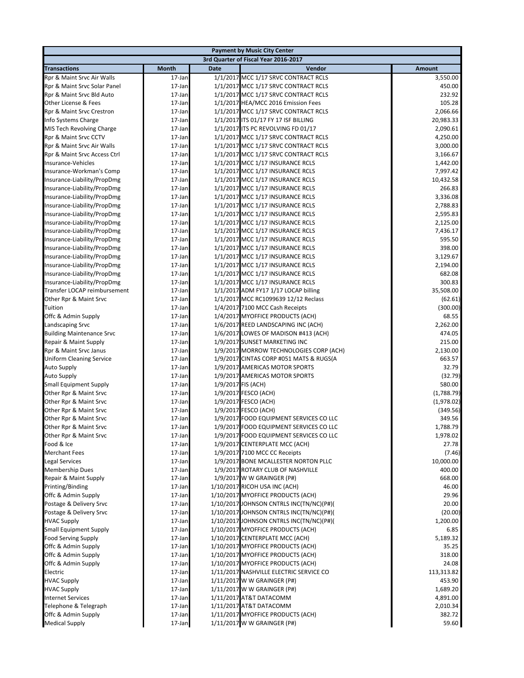|                                                     |                  |             | <b>Payment by Music City Center</b>                              |                 |
|-----------------------------------------------------|------------------|-------------|------------------------------------------------------------------|-----------------|
|                                                     |                  |             | 3rd Quarter of Fiscal Year 2016-2017                             |                 |
| <b>Transactions</b>                                 | <b>Month</b>     | <b>Date</b> | Vendor                                                           | <b>Amount</b>   |
| Rpr & Maint Srvc Air Walls                          | 17-Jan           |             | 1/1/2017 MCC 1/17 SRVC CONTRACT RCLS                             | 3,550.00        |
| Rpr & Maint Srvc Solar Panel                        | 17-Jan           |             | 1/1/2017 MCC 1/17 SRVC CONTRACT RCLS                             | 450.00          |
| Rpr & Maint Srvc Bld Auto                           | 17-Jan           |             | 1/1/2017 MCC 1/17 SRVC CONTRACT RCLS                             | 232.92          |
| Other License & Fees                                | 17-Jan           |             | 1/1/2017 HEA/MCC 2016 Emission Fees                              | 105.28          |
| Rpr & Maint Srvc Crestron                           | 17-Jan           |             | 1/1/2017 MCC 1/17 SRVC CONTRACT RCLS                             | 2,066.66        |
| Info Systems Charge                                 | 17-Jan           |             | 1/1/2017 ITS 01/17 FY 17 ISF BILLING                             | 20,983.33       |
| MIS Tech Revolving Charge                           | 17-Jan           |             | 1/1/2017 ITS PC REVOLVING FD 01/17                               | 2,090.61        |
| Rpr & Maint Srvc CCTV                               | 17-Jan           |             | 1/1/2017 MCC 1/17 SRVC CONTRACT RCLS                             | 4,250.00        |
| Rpr & Maint Srvc Air Walls                          | 17-Jan           |             | 1/1/2017 MCC 1/17 SRVC CONTRACT RCLS                             | 3,000.00        |
| Rpr & Maint Srvc Access Ctrl                        | 17-Jan           |             | 1/1/2017 MCC 1/17 SRVC CONTRACT RCLS                             | 3,166.67        |
| Insurance-Vehicles                                  | 17-Jan           |             | 1/1/2017 MCC 1/17 INSURANCE RCLS                                 | 1,442.00        |
| Insurance-Workman's Comp                            | 17-Jan           |             | 1/1/2017 MCC 1/17 INSURANCE RCLS                                 | 7,997.42        |
| Insurance-Liability/PropDmg                         | 17-Jan           |             | 1/1/2017 MCC 1/17 INSURANCE RCLS                                 | 10,432.58       |
| Insurance-Liability/PropDmg                         | 17-Jan           |             | 1/1/2017 MCC 1/17 INSURANCE RCLS                                 | 266.83          |
| Insurance-Liability/PropDmg                         | 17-Jan           |             | 1/1/2017 MCC 1/17 INSURANCE RCLS                                 | 3,336.08        |
| Insurance-Liability/PropDmg                         | 17-Jan           |             | 1/1/2017 MCC 1/17 INSURANCE RCLS                                 | 2,788.83        |
| Insurance-Liability/PropDmg                         | 17-Jan           |             | 1/1/2017 MCC 1/17 INSURANCE RCLS                                 | 2,595.83        |
| Insurance-Liability/PropDmg                         | 17-Jan           |             | 1/1/2017 MCC 1/17 INSURANCE RCLS                                 | 2,125.00        |
| Insurance-Liability/PropDmg                         | 17-Jan           |             | 1/1/2017 MCC 1/17 INSURANCE RCLS                                 | 7,436.17        |
| Insurance-Liability/PropDmg                         | 17-Jan           |             | 1/1/2017 MCC 1/17 INSURANCE RCLS                                 | 595.50          |
| Insurance-Liability/PropDmg                         | 17-Jan           |             | 1/1/2017 MCC 1/17 INSURANCE RCLS                                 | 398.00          |
| Insurance-Liability/PropDmg                         | 17-Jan           |             | 1/1/2017 MCC 1/17 INSURANCE RCLS                                 | 3,129.67        |
| Insurance-Liability/PropDmg                         | 17-Jan           |             | 1/1/2017 MCC 1/17 INSURANCE RCLS                                 | 2,194.00        |
| Insurance-Liability/PropDmg                         | 17-Jan           |             | 1/1/2017 MCC 1/17 INSURANCE RCLS                                 | 682.08          |
| Insurance-Liability/PropDmg                         | 17-Jan           |             | 1/1/2017 MCC 1/17 INSURANCE RCLS                                 | 300.83          |
| Transfer LOCAP reimbursement                        | 17-Jan           |             | 1/1/2017 ADM FY17 1/17 LOCAP billing                             | 35,508.00       |
| Other Rpr & Maint Srvc                              | 17-Jan           |             | 1/1/2017 MCC RC1099639 12/12 Reclass                             | (62.61)         |
| Tuition                                             | 17-Jan           |             | 1/4/2017 7100 MCC Cash Receipts                                  | (300.00)        |
| Offc & Admin Supply                                 | 17-Jan           |             | 1/4/2017 MYOFFICE PRODUCTS (ACH)                                 | 68.55           |
| Landscaping Srvc                                    | 17-Jan           |             | 1/6/2017 REED LANDSCAPING INC (ACH)                              | 2,262.00        |
| <b>Building Maintenance Srvc</b>                    | 17-Jan           |             | 1/6/2017 LOWES OF MADISON #413 (ACH)                             | 474.05          |
| Repair & Maint Supply                               | 17-Jan           |             | 1/9/2017 SUNSET MARKETING INC                                    | 215.00          |
| Rpr & Maint Srvc Janus                              | 17-Jan           |             | 1/9/2017 MORROW TECHNOLOGIES CORP (ACH)                          | 2,130.00        |
| <b>Uniform Cleaning Service</b>                     | 17-Jan           |             | 1/9/2017 CINTAS CORP #051 MATS & RUGS(A                          | 663.57<br>32.79 |
| <b>Auto Supply</b>                                  | 17-Jan           |             | 1/9/2017 AMERICAS MOTOR SPORTS<br>1/9/2017 AMERICAS MOTOR SPORTS | (32.79)         |
| <b>Auto Supply</b><br><b>Small Equipment Supply</b> | 17-Jan<br>17-Jan |             | 1/9/2017 FIS (ACH)                                               | 580.00          |
| Other Rpr & Maint Srvc                              | 17-Jan           |             | 1/9/2017 FESCO (ACH)                                             | (1,788.79)      |
| Other Rpr & Maint Srvc                              | 17-Jan           |             | 1/9/2017 FESCO (ACH)                                             | (1,978.02)      |
| Other Rpr & Maint Srvc                              | 17-Jan           |             | 1/9/2017 FESCO (ACH)                                             | (349.56)        |
| Other Rpr & Maint Srvc                              | 17-Jan           |             | 1/9/2017 FOOD EQUIPMENT SERVICES CO LLC                          | 349.56          |
| Other Rpr & Maint Srvc                              | 17-Jan           |             | 1/9/2017 FOOD EQUIPMENT SERVICES CO LLC                          | 1,788.79        |
| Other Rpr & Maint Srvc                              | 17-Jan           |             | 1/9/2017 FOOD EQUIPMENT SERVICES CO LLC                          | 1,978.02        |
| Food & Ice                                          | 17-Jan           |             | 1/9/2017 CENTERPLATE MCC (ACH)                                   | 27.78           |
| <b>Merchant Fees</b>                                | 17-Jan           |             | 1/9/2017 7100 MCC CC Receipts                                    | (7.46)          |
| <b>Legal Services</b>                               | 17-Jan           |             | 1/9/2017 BONE MCALLESTER NORTON PLLC                             | 10,000.00       |
| <b>Membership Dues</b>                              | 17-Jan           |             | 1/9/2017 ROTARY CLUB OF NASHVILLE                                | 400.00          |
| Repair & Maint Supply                               | 17-Jan           |             | 1/9/2017 W W GRAINGER (P#)                                       | 668.00          |
| Printing/Binding                                    | 17-Jan           |             | 1/10/2017 RICOH USA INC (ACH)                                    | 46.00           |
| Offc & Admin Supply                                 | 17-Jan           |             | 1/10/2017 MYOFFICE PRODUCTS (ACH)                                | 29.96           |
| Postage & Delivery Srvc                             | 17-Jan           |             | 1/10/2017 JOHNSON CNTRLS INC(TN/NC)(P#)(                         | 20.00           |
| Postage & Delivery Srvc                             | 17-Jan           |             | 1/10/2017 JOHNSON CNTRLS INC(TN/NC)(P#)(                         | (20.00)         |
| <b>HVAC Supply</b>                                  | 17-Jan           |             | 1/10/2017 JOHNSON CNTRLS INC(TN/NC)(P#)(                         | 1,200.00        |
| <b>Small Equipment Supply</b>                       | 17-Jan           |             | 1/10/2017 MYOFFICE PRODUCTS (ACH)                                | 6.85            |
| <b>Food Serving Supply</b>                          | 17-Jan           |             | 1/10/2017 CENTERPLATE MCC (ACH)                                  | 5,189.32        |
| Offc & Admin Supply                                 | 17-Jan           |             | 1/10/2017 MYOFFICE PRODUCTS (ACH)                                | 35.25           |
| Offc & Admin Supply                                 | 17-Jan           |             | 1/10/2017 MYOFFICE PRODUCTS (ACH)                                | 318.00          |
| Offc & Admin Supply                                 | 17-Jan           |             | 1/10/2017 MYOFFICE PRODUCTS (ACH)                                | 24.08           |
| Electric                                            | 17-Jan           |             | 1/11/2017 NASHVILLE ELECTRIC SERVICE CO                          | 113,313.82      |
| <b>HVAC Supply</b>                                  | 17-Jan           |             | 1/11/2017 W W GRAINGER (P#)                                      | 453.90          |
| <b>HVAC Supply</b>                                  | 17-Jan           |             | 1/11/2017 W W GRAINGER (P#)                                      | 1,689.20        |
| <b>Internet Services</b>                            | 17-Jan           |             | 1/11/2017 AT&T DATACOMM                                          | 4,891.00        |
| Telephone & Telegraph                               | 17-Jan           |             | 1/11/2017 AT&T DATACOMM                                          | 2,010.34        |
| Offc & Admin Supply                                 | 17-Jan           |             | 1/11/2017 MYOFFICE PRODUCTS (ACH)                                | 382.72          |
| <b>Medical Supply</b>                               | 17-Jan           |             | 1/11/2017 W W GRAINGER (P#)                                      | 59.60           |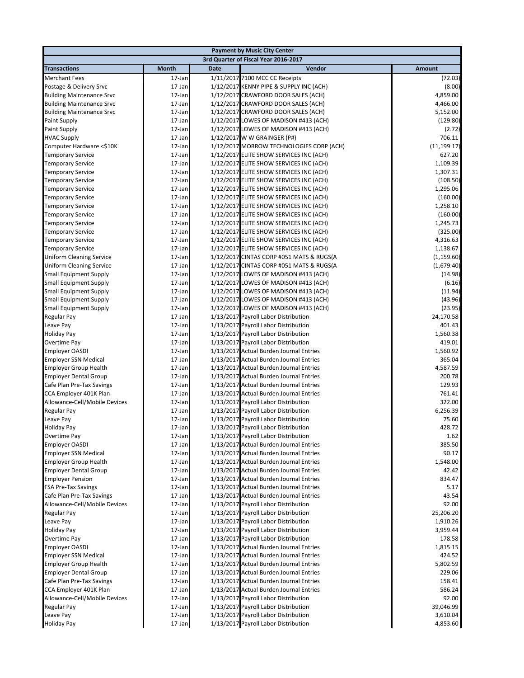|                                                      |                  |             | <b>Payment by Music City Center</b>                                                |                      |
|------------------------------------------------------|------------------|-------------|------------------------------------------------------------------------------------|----------------------|
|                                                      |                  |             | 3rd Quarter of Fiscal Year 2016-2017                                               |                      |
| <b>Transactions</b>                                  | Month            | <b>Date</b> | Vendor                                                                             | <b>Amount</b>        |
| <b>Merchant Fees</b>                                 | 17-Jan           |             | 1/11/2017 7100 MCC CC Receipts                                                     | (72.03)              |
| Postage & Delivery Srvc                              | 17-Jan           |             | 1/12/2017 KENNY PIPE & SUPPLY INC (ACH)                                            | (8.00)               |
| <b>Building Maintenance Srvc</b>                     | 17-Jan           |             | 1/12/2017 CRAWFORD DOOR SALES (ACH)                                                | 4,859.00             |
| <b>Building Maintenance Srvc</b>                     | 17-Jan           |             | 1/12/2017 CRAWFORD DOOR SALES (ACH)                                                | 4,466.00             |
| <b>Building Maintenance Srvc</b>                     | 17-Jan           |             | 1/12/2017 CRAWFORD DOOR SALES (ACH)                                                | 5,152.00             |
| <b>Paint Supply</b>                                  | 17-Jan           |             | 1/12/2017 LOWES OF MADISON #413 (ACH)                                              | (129.80)             |
| <b>Paint Supply</b>                                  | 17-Jan           |             | 1/12/2017 LOWES OF MADISON #413 (ACH)                                              | (2.72)               |
| <b>HVAC Supply</b>                                   | 17-Jan           |             | 1/12/2017 W W GRAINGER (P#)                                                        | 706.11               |
| Computer Hardware <\$10K                             | 17-Jan           |             | 1/12/2017 MORROW TECHNOLOGIES CORP (ACH)                                           | (11, 199.17)         |
| <b>Temporary Service</b>                             | 17-Jan           |             | 1/12/2017 ELITE SHOW SERVICES INC (ACH)                                            | 627.20               |
| <b>Temporary Service</b>                             | 17-Jan           |             | 1/12/2017 ELITE SHOW SERVICES INC (ACH)                                            | 1,109.39             |
| <b>Temporary Service</b>                             | 17-Jan           |             | 1/12/2017 ELITE SHOW SERVICES INC (ACH)                                            | 1,307.31             |
| <b>Temporary Service</b>                             | 17-Jan           |             | 1/12/2017 ELITE SHOW SERVICES INC (ACH)                                            | (108.50)             |
| <b>Temporary Service</b>                             | 17-Jan           |             | 1/12/2017 ELITE SHOW SERVICES INC (ACH)                                            | 1,295.06             |
| <b>Temporary Service</b>                             | 17-Jan           |             | 1/12/2017 ELITE SHOW SERVICES INC (ACH)                                            | (160.00)<br>1,258.10 |
| <b>Temporary Service</b>                             | 17-Jan<br>17-Jan |             | 1/12/2017 ELITE SHOW SERVICES INC (ACH)                                            | (160.00)             |
| <b>Temporary Service</b><br><b>Temporary Service</b> | 17-Jan           |             | 1/12/2017 ELITE SHOW SERVICES INC (ACH)<br>1/12/2017 ELITE SHOW SERVICES INC (ACH) | 1,245.73             |
| <b>Temporary Service</b>                             | 17-Jan           |             | 1/12/2017 ELITE SHOW SERVICES INC (ACH)                                            | (325.00)             |
| <b>Temporary Service</b>                             | 17-Jan           |             | 1/12/2017 ELITE SHOW SERVICES INC (ACH)                                            | 4,316.63             |
| <b>Temporary Service</b>                             | 17-Jan           |             | 1/12/2017 ELITE SHOW SERVICES INC (ACH)                                            | 1,138.67             |
| <b>Uniform Cleaning Service</b>                      | 17-Jan           |             | 1/12/2017 CINTAS CORP #051 MATS & RUGS(A                                           | (1, 159.60)          |
| <b>Uniform Cleaning Service</b>                      | 17-Jan           |             | 1/12/2017 CINTAS CORP #051 MATS & RUGS(A                                           | (1,679.40)           |
| <b>Small Equipment Supply</b>                        | 17-Jan           |             | 1/12/2017 LOWES OF MADISON #413 (ACH)                                              | (14.98)              |
| <b>Small Equipment Supply</b>                        | 17-Jan           |             | 1/12/2017 LOWES OF MADISON #413 (ACH)                                              | (6.16)               |
| <b>Small Equipment Supply</b>                        | 17-Jan           |             | 1/12/2017 LOWES OF MADISON #413 (ACH)                                              | (11.94)              |
| <b>Small Equipment Supply</b>                        | 17-Jan           |             | 1/12/2017 LOWES OF MADISON #413 (ACH)                                              | (43.96)              |
| <b>Small Equipment Supply</b>                        | 17-Jan           |             | 1/12/2017 LOWES OF MADISON #413 (ACH)                                              | (23.95)              |
| Regular Pay                                          | 17-Jan           |             | 1/13/2017 Payroll Labor Distribution                                               | 24,170.58            |
| Leave Pay                                            | 17-Jan           |             | 1/13/2017 Payroll Labor Distribution                                               | 401.43               |
| <b>Holiday Pay</b>                                   | 17-Jan           |             | 1/13/2017 Payroll Labor Distribution                                               | 1,560.38             |
| Overtime Pay                                         | 17-Jan           |             | 1/13/2017 Payroll Labor Distribution                                               | 419.01               |
| <b>Employer OASDI</b>                                | 17-Jan           |             | 1/13/2017 Actual Burden Journal Entries                                            | 1,560.92             |
| <b>Employer SSN Medical</b>                          | 17-Jan           |             | 1/13/2017 Actual Burden Journal Entries                                            | 365.04               |
| <b>Employer Group Health</b>                         | 17-Jan           |             | 1/13/2017 Actual Burden Journal Entries                                            | 4,587.59             |
| <b>Employer Dental Group</b>                         | 17-Jan           |             | 1/13/2017 Actual Burden Journal Entries                                            | 200.78               |
| Cafe Plan Pre-Tax Savings                            | 17-Jan           |             | 1/13/2017 Actual Burden Journal Entries                                            | 129.93               |
| CCA Employer 401K Plan                               | 17-Jan           |             | 1/13/2017 Actual Burden Journal Entries                                            | 761.41               |
| Allowance-Cell/Mobile Devices                        | 17-Jan           |             | 1/13/2017 Payroll Labor Distribution                                               | 322.00               |
| Regular Pay                                          | 17-Jan           |             | 1/13/2017 Payroll Labor Distribution                                               | 6,256.39             |
| Leave Pay                                            | 17-Jan           |             | 1/13/2017 Payroll Labor Distribution                                               | 75.60                |
| <b>Holiday Pay</b>                                   | 17-Jan           |             | 1/13/2017 Payroll Labor Distribution                                               | 428.72               |
| Overtime Pay                                         | 17-Jan           |             | 1/13/2017 Payroll Labor Distribution                                               | 1.62<br>385.50       |
| <b>Employer OASDI</b><br><b>Employer SSN Medical</b> | 17-Jan<br>17-Jan |             | 1/13/2017 Actual Burden Journal Entries<br>1/13/2017 Actual Burden Journal Entries | 90.17                |
| <b>Employer Group Health</b>                         | 17-Jan           |             | 1/13/2017 Actual Burden Journal Entries                                            | 1,548.00             |
| <b>Employer Dental Group</b>                         | 17-Jan           |             | 1/13/2017 Actual Burden Journal Entries                                            | 42.42                |
| <b>Employer Pension</b>                              | 17-Jan           |             | 1/13/2017 Actual Burden Journal Entries                                            | 834.47               |
| <b>FSA Pre-Tax Savings</b>                           | 17-Jan           |             | 1/13/2017 Actual Burden Journal Entries                                            | 5.17                 |
| Cafe Plan Pre-Tax Savings                            | 17-Jan           |             | 1/13/2017 Actual Burden Journal Entries                                            | 43.54                |
| Allowance-Cell/Mobile Devices                        | 17-Jan           |             | 1/13/2017 Payroll Labor Distribution                                               | 92.00                |
| Regular Pay                                          | 17-Jan           |             | 1/13/2017 Payroll Labor Distribution                                               | 25,206.20            |
| Leave Pay                                            | 17-Jan           |             | 1/13/2017 Payroll Labor Distribution                                               | 1,910.26             |
| <b>Holiday Pay</b>                                   | 17-Jan           |             | 1/13/2017 Payroll Labor Distribution                                               | 3,959.44             |
| Overtime Pay                                         | 17-Jan           |             | 1/13/2017 Payroll Labor Distribution                                               | 178.58               |
| <b>Employer OASDI</b>                                | 17-Jan           |             | 1/13/2017 Actual Burden Journal Entries                                            | 1,815.15             |
| <b>Employer SSN Medical</b>                          | 17-Jan           |             | 1/13/2017 Actual Burden Journal Entries                                            | 424.52               |
| <b>Employer Group Health</b>                         | 17-Jan           |             | 1/13/2017 Actual Burden Journal Entries                                            | 5,802.59             |
| <b>Employer Dental Group</b>                         | 17-Jan           |             | 1/13/2017 Actual Burden Journal Entries                                            | 229.06               |
| Cafe Plan Pre-Tax Savings                            | 17-Jan           |             | 1/13/2017 Actual Burden Journal Entries                                            | 158.41               |
| CCA Employer 401K Plan                               | 17-Jan           |             | 1/13/2017 Actual Burden Journal Entries                                            | 586.24               |
| Allowance-Cell/Mobile Devices                        | 17-Jan           |             | 1/13/2017 Payroll Labor Distribution                                               | 92.00                |
| Regular Pay                                          | 17-Jan           |             | 1/13/2017 Payroll Labor Distribution                                               | 39,046.99            |
| Leave Pay                                            | 17-Jan           |             | 1/13/2017 Payroll Labor Distribution                                               | 3,610.04             |
| <b>Holiday Pay</b>                                   | 17-Jan           |             | 1/13/2017 Payroll Labor Distribution                                               | 4,853.60             |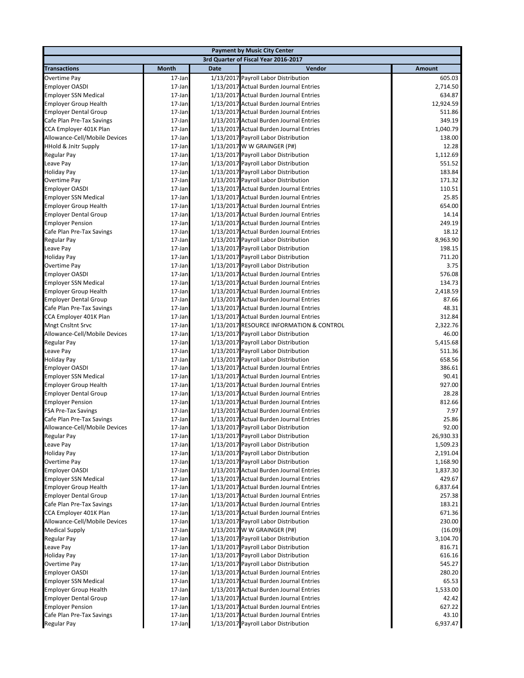|                                                      |                  |             | <b>Payment by Music City Center</b>                                             |                  |
|------------------------------------------------------|------------------|-------------|---------------------------------------------------------------------------------|------------------|
|                                                      |                  |             | 3rd Quarter of Fiscal Year 2016-2017                                            |                  |
| <b>Transactions</b>                                  | <b>Month</b>     | <b>Date</b> | Vendor                                                                          | <b>Amount</b>    |
| Overtime Pay                                         | 17-Jan           |             | 1/13/2017 Payroll Labor Distribution                                            | 605.03           |
| <b>Employer OASDI</b>                                | 17-Jan           |             | 1/13/2017 Actual Burden Journal Entries                                         | 2,714.50         |
| <b>Employer SSN Medical</b>                          | 17-Jan           |             | 1/13/2017 Actual Burden Journal Entries                                         | 634.87           |
| <b>Employer Group Health</b>                         | 17-Jan           |             | 1/13/2017 Actual Burden Journal Entries                                         | 12,924.59        |
| <b>Employer Dental Group</b>                         | 17-Jan           |             | 1/13/2017 Actual Burden Journal Entries                                         | 511.86           |
| Cafe Plan Pre-Tax Savings                            | 17-Jan           |             | 1/13/2017 Actual Burden Journal Entries                                         | 349.19           |
| CCA Employer 401K Plan                               | 17-Jan           |             | 1/13/2017 Actual Burden Journal Entries                                         | 1,040.79         |
| Allowance-Cell/Mobile Devices                        | 17-Jan           |             | 1/13/2017 Payroll Labor Distribution                                            | 138.00           |
| <b>HHold &amp; Jnitr Supply</b>                      | 17-Jan           |             | 1/13/2017 W W GRAINGER (P#)                                                     | 12.28            |
| Regular Pay                                          | 17-Jan           |             | 1/13/2017 Payroll Labor Distribution                                            | 1,112.69         |
| Leave Pay                                            | 17-Jan           |             | 1/13/2017 Payroll Labor Distribution                                            | 551.52           |
| <b>Holiday Pay</b>                                   | 17-Jan           |             | 1/13/2017 Payroll Labor Distribution                                            | 183.84           |
| Overtime Pay                                         | 17-Jan           |             | 1/13/2017 Payroll Labor Distribution                                            | 171.32           |
| <b>Employer OASDI</b>                                | 17-Jan           |             | 1/13/2017 Actual Burden Journal Entries                                         | 110.51           |
| <b>Employer SSN Medical</b>                          | 17-Jan           |             | 1/13/2017 Actual Burden Journal Entries                                         | 25.85            |
| <b>Employer Group Health</b>                         | 17-Jan           |             | 1/13/2017 Actual Burden Journal Entries                                         | 654.00           |
| <b>Employer Dental Group</b>                         | 17-Jan           |             | 1/13/2017 Actual Burden Journal Entries                                         | 14.14            |
| <b>Employer Pension</b>                              | 17-Jan           |             | 1/13/2017 Actual Burden Journal Entries                                         | 249.19           |
| Cafe Plan Pre-Tax Savings                            | 17-Jan           |             | 1/13/2017 Actual Burden Journal Entries                                         | 18.12            |
| <b>Regular Pay</b>                                   | 17-Jan           |             | 1/13/2017 Payroll Labor Distribution                                            | 8,963.90         |
| Leave Pay                                            | 17-Jan           |             | 1/13/2017 Payroll Labor Distribution                                            | 198.15           |
| <b>Holiday Pay</b>                                   | 17-Jan           |             | 1/13/2017 Payroll Labor Distribution                                            | 711.20           |
| Overtime Pay                                         | 17-Jan           |             | 1/13/2017 Payroll Labor Distribution                                            | 3.75             |
| <b>Employer OASDI</b>                                | 17-Jan           |             | 1/13/2017 Actual Burden Journal Entries                                         | 576.08           |
| <b>Employer SSN Medical</b>                          | 17-Jan           |             | 1/13/2017 Actual Burden Journal Entries                                         | 134.73           |
| <b>Employer Group Health</b>                         | 17-Jan           |             | 1/13/2017 Actual Burden Journal Entries                                         | 2,418.59         |
| <b>Employer Dental Group</b>                         | 17-Jan           |             | 1/13/2017 Actual Burden Journal Entries                                         | 87.66            |
| Cafe Plan Pre-Tax Savings                            | 17-Jan           |             | 1/13/2017 Actual Burden Journal Entries                                         | 48.31            |
| CCA Employer 401K Plan                               | 17-Jan           |             | 1/13/2017 Actual Burden Journal Entries                                         | 312.84           |
| <b>Mngt Cnsltnt Srvc</b>                             | 17-Jan           |             | 1/13/2017 RESOURCE INFORMATION & CONTROL                                        | 2,322.76         |
| Allowance-Cell/Mobile Devices                        | 17-Jan           |             | 1/13/2017 Payroll Labor Distribution                                            | 46.00            |
| Regular Pay                                          | 17-Jan           |             | 1/13/2017 Payroll Labor Distribution                                            | 5,415.68         |
| Leave Pay                                            | 17-Jan<br>17-Jan |             | 1/13/2017 Payroll Labor Distribution                                            | 511.36<br>658.56 |
| <b>Holiday Pay</b>                                   | 17-Jan           |             | 1/13/2017 Payroll Labor Distribution<br>1/13/2017 Actual Burden Journal Entries | 386.61           |
| <b>Employer OASDI</b><br><b>Employer SSN Medical</b> | 17-Jan           |             | 1/13/2017 Actual Burden Journal Entries                                         | 90.41            |
| <b>Employer Group Health</b>                         | 17-Jan           |             | 1/13/2017 Actual Burden Journal Entries                                         | 927.00           |
| <b>Employer Dental Group</b>                         | 17-Jan           |             | 1/13/2017 Actual Burden Journal Entries                                         | 28.28            |
| <b>Employer Pension</b>                              | 17-Jan           |             | 1/13/2017 Actual Burden Journal Entries                                         | 812.66           |
| <b>FSA Pre-Tax Savings</b>                           | 17-Jan           |             | 1/13/2017 Actual Burden Journal Entries                                         | 7.97             |
| Cafe Plan Pre-Tax Savings                            | 17-Jan           |             | 1/13/2017 Actual Burden Journal Entries                                         | 25.86            |
| Allowance-Cell/Mobile Devices                        | 17-Jan           |             | 1/13/2017 Payroll Labor Distribution                                            | 92.00            |
| Regular Pay                                          | 17-Jan           |             | 1/13/2017 Payroll Labor Distribution                                            | 26,930.33        |
| Leave Pay                                            | 17-Jan           |             | 1/13/2017 Payroll Labor Distribution                                            | 1,509.23         |
| <b>Holiday Pay</b>                                   | 17-Jan           |             | 1/13/2017 Payroll Labor Distribution                                            | 2,191.04         |
| Overtime Pay                                         | 17-Jan           |             | 1/13/2017 Payroll Labor Distribution                                            | 1,168.90         |
| <b>Employer OASDI</b>                                | 17-Jan           |             | 1/13/2017 Actual Burden Journal Entries                                         | 1,837.30         |
| <b>Employer SSN Medical</b>                          | 17-Jan           |             | 1/13/2017 Actual Burden Journal Entries                                         | 429.67           |
| <b>Employer Group Health</b>                         | 17-Jan           |             | 1/13/2017 Actual Burden Journal Entries                                         | 6,837.64         |
| <b>Employer Dental Group</b>                         | 17-Jan           |             | 1/13/2017 Actual Burden Journal Entries                                         | 257.38           |
| Cafe Plan Pre-Tax Savings                            | 17-Jan           |             | 1/13/2017 Actual Burden Journal Entries                                         | 183.21           |
| CCA Employer 401K Plan                               | 17-Jan           |             | 1/13/2017 Actual Burden Journal Entries                                         | 671.36           |
| Allowance-Cell/Mobile Devices                        | 17-Jan           |             | 1/13/2017 Payroll Labor Distribution                                            | 230.00           |
| <b>Medical Supply</b>                                | 17-Jan           |             | 1/13/2017 W W GRAINGER (P#)                                                     | (16.09)          |
| Regular Pay                                          | 17-Jan           |             | 1/13/2017 Payroll Labor Distribution                                            | 3,104.70         |
| Leave Pay                                            | 17-Jan           |             | 1/13/2017 Payroll Labor Distribution                                            | 816.71           |
| <b>Holiday Pay</b>                                   | 17-Jan           |             | 1/13/2017 Payroll Labor Distribution                                            | 616.16           |
| Overtime Pay                                         | 17-Jan           |             | 1/13/2017 Payroll Labor Distribution                                            | 545.27           |
| Employer OASDI                                       | 17-Jan           |             | 1/13/2017 Actual Burden Journal Entries                                         | 280.20           |
| <b>Employer SSN Medical</b>                          | 17-Jan           |             | 1/13/2017 Actual Burden Journal Entries                                         | 65.53            |
| <b>Employer Group Health</b>                         | 17-Jan           |             | 1/13/2017 Actual Burden Journal Entries                                         | 1,533.00         |
| <b>Employer Dental Group</b>                         | 17-Jan           |             | 1/13/2017 Actual Burden Journal Entries                                         | 42.42            |
| <b>Employer Pension</b>                              | 17-Jan           |             | 1/13/2017 Actual Burden Journal Entries                                         | 627.22           |
| Cafe Plan Pre-Tax Savings                            | 17-Jan           |             | 1/13/2017 Actual Burden Journal Entries                                         | 43.10            |
| Regular Pay                                          | 17-Jan           |             | 1/13/2017 Payroll Labor Distribution                                            | 6,937.47         |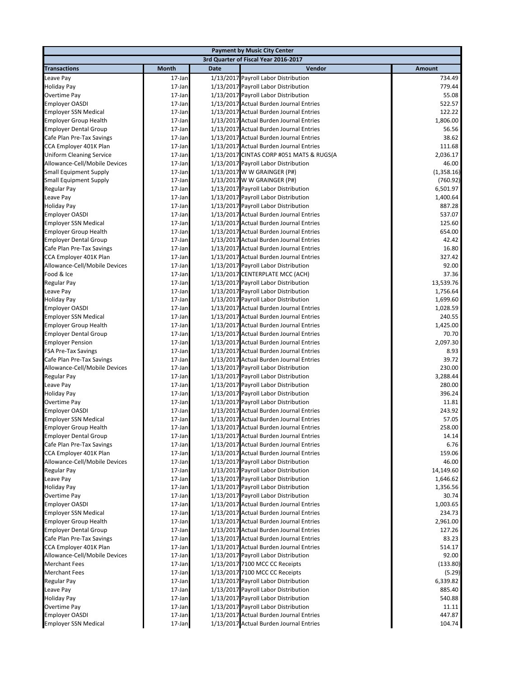|                                 |              |             | <b>Payment by Music City Center</b>      |            |
|---------------------------------|--------------|-------------|------------------------------------------|------------|
|                                 |              |             | 3rd Quarter of Fiscal Year 2016-2017     |            |
| <b>Transactions</b>             | <b>Month</b> | <b>Date</b> | Vendor                                   | Amount     |
| Leave Pay                       | 17-Jan       |             | 1/13/2017 Payroll Labor Distribution     | 734.49     |
| Holiday Pay                     | 17-Jan       |             | 1/13/2017 Payroll Labor Distribution     | 779.44     |
| Overtime Pay                    | 17-Jan       |             | 1/13/2017 Payroll Labor Distribution     | 55.08      |
| <b>Employer OASDI</b>           | 17-Jan       |             | 1/13/2017 Actual Burden Journal Entries  | 522.57     |
| <b>Employer SSN Medical</b>     | 17-Jan       |             | 1/13/2017 Actual Burden Journal Entries  | 122.22     |
| <b>Employer Group Health</b>    | 17-Jan       |             | 1/13/2017 Actual Burden Journal Entries  | 1,806.00   |
| <b>Employer Dental Group</b>    | 17-Jan       |             | 1/13/2017 Actual Burden Journal Entries  | 56.56      |
| Cafe Plan Pre-Tax Savings       | 17-Jan       |             | 1/13/2017 Actual Burden Journal Entries  | 38.62      |
| CCA Employer 401K Plan          | 17-Jan       |             | 1/13/2017 Actual Burden Journal Entries  | 111.68     |
| <b>Uniform Cleaning Service</b> | 17-Jan       |             | 1/13/2017 CINTAS CORP #051 MATS & RUGS(A | 2,036.17   |
| Allowance-Cell/Mobile Devices   | 17-Jan       |             | 1/13/2017 Payroll Labor Distribution     | 46.00      |
| <b>Small Equipment Supply</b>   | 17-Jan       |             | 1/13/2017 W W GRAINGER (P#)              | (1,358.16) |
| <b>Small Equipment Supply</b>   | 17-Jan       |             | 1/13/2017 W W GRAINGER (P#)              | (760.92)   |
|                                 | 17-Jan       |             |                                          | 6,501.97   |
| Regular Pay                     | 17-Jan       |             | 1/13/2017 Payroll Labor Distribution     |            |
| Leave Pay                       |              |             | 1/13/2017 Payroll Labor Distribution     | 1,400.64   |
| <b>Holiday Pay</b>              | 17-Jan       |             | 1/13/2017 Payroll Labor Distribution     | 887.28     |
| <b>Employer OASDI</b>           | 17-Jan       |             | 1/13/2017 Actual Burden Journal Entries  | 537.07     |
| <b>Employer SSN Medical</b>     | 17-Jan       |             | 1/13/2017 Actual Burden Journal Entries  | 125.60     |
| <b>Employer Group Health</b>    | 17-Jan       |             | 1/13/2017 Actual Burden Journal Entries  | 654.00     |
| <b>Employer Dental Group</b>    | 17-Jan       |             | 1/13/2017 Actual Burden Journal Entries  | 42.42      |
| Cafe Plan Pre-Tax Savings       | 17-Jan       |             | 1/13/2017 Actual Burden Journal Entries  | 16.80      |
| CCA Employer 401K Plan          | 17-Jan       |             | 1/13/2017 Actual Burden Journal Entries  | 327.42     |
| Allowance-Cell/Mobile Devices   | 17-Jan       |             | 1/13/2017 Payroll Labor Distribution     | 92.00      |
| Food & Ice                      | 17-Jan       |             | 1/13/2017 CENTERPLATE MCC (ACH)          | 37.36      |
| Regular Pay                     | 17-Jan       |             | 1/13/2017 Payroll Labor Distribution     | 13,539.76  |
| Leave Pay                       | 17-Jan       |             | 1/13/2017 Payroll Labor Distribution     | 1,756.64   |
| <b>Holiday Pay</b>              | 17-Jan       |             | 1/13/2017 Payroll Labor Distribution     | 1,699.60   |
| <b>Employer OASDI</b>           | 17-Jan       |             | 1/13/2017 Actual Burden Journal Entries  | 1,028.59   |
| <b>Employer SSN Medical</b>     | 17-Jan       |             | 1/13/2017 Actual Burden Journal Entries  | 240.55     |
| <b>Employer Group Health</b>    | 17-Jan       |             | 1/13/2017 Actual Burden Journal Entries  | 1,425.00   |
| <b>Employer Dental Group</b>    | 17-Jan       |             | 1/13/2017 Actual Burden Journal Entries  | 70.70      |
| <b>Employer Pension</b>         | 17-Jan       |             | 1/13/2017 Actual Burden Journal Entries  | 2,097.30   |
| <b>FSA Pre-Tax Savings</b>      | 17-Jan       |             | 1/13/2017 Actual Burden Journal Entries  | 8.93       |
| Cafe Plan Pre-Tax Savings       | 17-Jan       |             | 1/13/2017 Actual Burden Journal Entries  | 39.72      |
| Allowance-Cell/Mobile Devices   | 17-Jan       |             | 1/13/2017 Payroll Labor Distribution     | 230.00     |
| Regular Pay                     | 17-Jan       |             | 1/13/2017 Payroll Labor Distribution     | 3,288.44   |
| Leave Pay                       | 17-Jan       |             | 1/13/2017 Payroll Labor Distribution     | 280.00     |
| <b>Holiday Pay</b>              | 17-Jan       |             | 1/13/2017 Payroll Labor Distribution     | 396.24     |
| Overtime Pay                    | 17-Jan       |             | 1/13/2017 Payroll Labor Distribution     | 11.81      |
| <b>Employer OASDI</b>           | 17-Jan       |             | 1/13/2017 Actual Burden Journal Entries  | 243.92     |
| <b>Employer SSN Medical</b>     | 17-Jan       |             | 1/13/2017 Actual Burden Journal Entries  | 57.05      |
| <b>Employer Group Health</b>    | 17-Jan       |             | 1/13/2017 Actual Burden Journal Entries  | 258.00     |
| <b>Employer Dental Group</b>    | 17-Jan       |             | 1/13/2017 Actual Burden Journal Entries  | 14.14      |
| Cafe Plan Pre-Tax Savings       | 17-Jan       |             | 1/13/2017 Actual Burden Journal Entries  | 6.76       |
| CCA Employer 401K Plan          | 17-Jan       |             | 1/13/2017 Actual Burden Journal Entries  | 159.06     |
| Allowance-Cell/Mobile Devices   | 17-Jan       |             | 1/13/2017 Payroll Labor Distribution     | 46.00      |
| Regular Pay                     | 17-Jan       |             | 1/13/2017 Payroll Labor Distribution     | 14,149.60  |
| Leave Pay                       | 17-Jan       |             | 1/13/2017 Payroll Labor Distribution     | 1,646.62   |
| <b>Holiday Pay</b>              | 17-Jan       |             | 1/13/2017 Payroll Labor Distribution     | 1,356.56   |
| Overtime Pay                    | 17-Jan       |             | 1/13/2017 Payroll Labor Distribution     | 30.74      |
| <b>Employer OASDI</b>           | 17-Jan       |             | 1/13/2017 Actual Burden Journal Entries  | 1,003.65   |
| <b>Employer SSN Medical</b>     | 17-Jan       |             | 1/13/2017 Actual Burden Journal Entries  | 234.73     |
| <b>Employer Group Health</b>    | 17-Jan       |             | 1/13/2017 Actual Burden Journal Entries  | 2,961.00   |
| <b>Employer Dental Group</b>    | 17-Jan       |             | 1/13/2017 Actual Burden Journal Entries  | 127.26     |
| Cafe Plan Pre-Tax Savings       | 17-Jan       |             | 1/13/2017 Actual Burden Journal Entries  | 83.23      |
| CCA Employer 401K Plan          | 17-Jan       |             | 1/13/2017 Actual Burden Journal Entries  | 514.17     |
| Allowance-Cell/Mobile Devices   | 17-Jan       |             | 1/13/2017 Payroll Labor Distribution     | 92.00      |
| <b>Merchant Fees</b>            | 17-Jan       |             | 1/13/2017 7100 MCC CC Receipts           | (133.80)   |
| <b>Merchant Fees</b>            | 17-Jan       |             | 1/13/2017 7100 MCC CC Receipts           | (5.29)     |
| Regular Pay                     | 17-Jan       |             | 1/13/2017 Payroll Labor Distribution     | 6,339.82   |
| Leave Pay                       | 17-Jan       |             | 1/13/2017 Payroll Labor Distribution     | 885.40     |
| <b>Holiday Pay</b>              | 17-Jan       |             | 1/13/2017 Payroll Labor Distribution     | 540.88     |
| Overtime Pay                    | 17-Jan       |             | 1/13/2017 Payroll Labor Distribution     | 11.11      |
| <b>Employer OASDI</b>           | 17-Jan       |             | 1/13/2017 Actual Burden Journal Entries  | 447.87     |
|                                 |              |             | 1/13/2017 Actual Burden Journal Entries  | 104.74     |
| <b>Employer SSN Medical</b>     | 17-Jan       |             |                                          |            |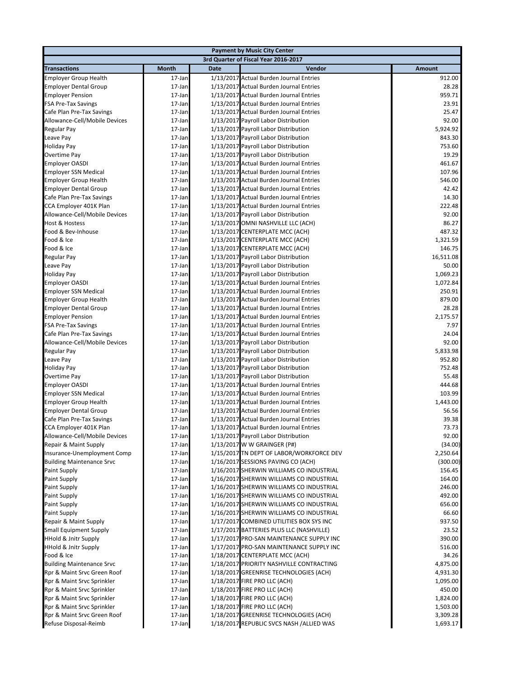|                                                                    |                  |             | <b>Payment by Music City Center</b>                                                  |                 |
|--------------------------------------------------------------------|------------------|-------------|--------------------------------------------------------------------------------------|-----------------|
|                                                                    |                  |             | 3rd Quarter of Fiscal Year 2016-2017                                                 |                 |
| <b>Transactions</b>                                                | Month            | <b>Date</b> | Vendor                                                                               | <b>Amount</b>   |
| <b>Employer Group Health</b>                                       | 17-Jan           |             | 1/13/2017 Actual Burden Journal Entries                                              | 912.00          |
| <b>Employer Dental Group</b>                                       | 17-Jan           |             | 1/13/2017 Actual Burden Journal Entries                                              | 28.28           |
| <b>Employer Pension</b>                                            | 17-Jan           |             | 1/13/2017 Actual Burden Journal Entries                                              | 959.71          |
| <b>FSA Pre-Tax Savings</b>                                         | 17-Jan           |             | 1/13/2017 Actual Burden Journal Entries                                              | 23.91           |
| Cafe Plan Pre-Tax Savings                                          | 17-Jan           |             | 1/13/2017 Actual Burden Journal Entries                                              | 25.47           |
| Allowance-Cell/Mobile Devices                                      | 17-Jan           |             | 1/13/2017 Payroll Labor Distribution                                                 | 92.00           |
| Regular Pay                                                        | 17-Jan           |             | 1/13/2017 Payroll Labor Distribution                                                 | 5,924.92        |
| Leave Pay                                                          | 17-Jan           |             | 1/13/2017 Payroll Labor Distribution                                                 | 843.30          |
| <b>Holiday Pay</b>                                                 | 17-Jan           |             | 1/13/2017 Payroll Labor Distribution                                                 | 753.60          |
| Overtime Pay                                                       | 17-Jan           |             | 1/13/2017 Payroll Labor Distribution                                                 | 19.29           |
| <b>Employer OASDI</b>                                              | 17-Jan           |             | 1/13/2017 Actual Burden Journal Entries                                              | 461.67          |
| <b>Employer SSN Medical</b>                                        | 17-Jan           |             | 1/13/2017 Actual Burden Journal Entries                                              | 107.96          |
| <b>Employer Group Health</b>                                       | 17-Jan           |             | 1/13/2017 Actual Burden Journal Entries                                              | 546.00          |
| <b>Employer Dental Group</b>                                       | 17-Jan           |             | 1/13/2017 Actual Burden Journal Entries                                              | 42.42           |
| Cafe Plan Pre-Tax Savings                                          | 17-Jan           |             | 1/13/2017 Actual Burden Journal Entries                                              | 14.30<br>222.48 |
| CCA Employer 401K Plan<br>Allowance-Cell/Mobile Devices            | 17-Jan           |             | 1/13/2017 Actual Burden Journal Entries<br>1/13/2017 Payroll Labor Distribution      | 92.00           |
| <b>Host &amp; Hostess</b>                                          | 17-Jan<br>17-Jan |             | 1/13/2017 OMNI NASHVILLE LLC (ACH)                                                   | 86.27           |
| Food & Bev-Inhouse                                                 | 17-Jan           |             | 1/13/2017 CENTERPLATE MCC (ACH)                                                      | 487.32          |
| Food & Ice                                                         | 17-Jan           |             | 1/13/2017 CENTERPLATE MCC (ACH)                                                      | 1,321.59        |
| Food & Ice                                                         | 17-Jan           |             | 1/13/2017 CENTERPLATE MCC (ACH)                                                      | 146.75          |
| Regular Pay                                                        | 17-Jan           |             | 1/13/2017 Payroll Labor Distribution                                                 | 16,511.08       |
| Leave Pay                                                          | 17-Jan           |             | 1/13/2017 Payroll Labor Distribution                                                 | 50.00           |
| <b>Holiday Pay</b>                                                 | 17-Jan           |             | 1/13/2017 Payroll Labor Distribution                                                 | 1,069.23        |
| <b>Employer OASDI</b>                                              | 17-Jan           |             | 1/13/2017 Actual Burden Journal Entries                                              | 1,072.84        |
| <b>Employer SSN Medical</b>                                        | 17-Jan           |             | 1/13/2017 Actual Burden Journal Entries                                              | 250.91          |
| <b>Employer Group Health</b>                                       | 17-Jan           |             | 1/13/2017 Actual Burden Journal Entries                                              | 879.00          |
| <b>Employer Dental Group</b>                                       | 17-Jan           |             | 1/13/2017 Actual Burden Journal Entries                                              | 28.28           |
| <b>Employer Pension</b>                                            | 17-Jan           |             | 1/13/2017 Actual Burden Journal Entries                                              | 2,175.57        |
| <b>FSA Pre-Tax Savings</b>                                         | 17-Jan           |             | 1/13/2017 Actual Burden Journal Entries                                              | 7.97            |
| Cafe Plan Pre-Tax Savings                                          | 17-Jan           |             | 1/13/2017 Actual Burden Journal Entries                                              | 24.04           |
| Allowance-Cell/Mobile Devices                                      | 17-Jan           |             | 1/13/2017 Payroll Labor Distribution                                                 | 92.00           |
| Regular Pay                                                        | 17-Jan           |             | 1/13/2017 Payroll Labor Distribution                                                 | 5,833.98        |
| Leave Pay                                                          | 17-Jan           |             | 1/13/2017 Payroll Labor Distribution                                                 | 952.80          |
| Holiday Pay                                                        | 17-Jan           |             | 1/13/2017 Payroll Labor Distribution                                                 | 752.48          |
| Overtime Pay                                                       | 17-Jan           |             | 1/13/2017 Payroll Labor Distribution                                                 | 55.48           |
| Employer OASDI                                                     | 17-Jan           |             | 1/13/2017 Actual Burden Journal Entries                                              | 444.68          |
| <b>Employer SSN Medical</b>                                        | 17-Jan           |             | 1/13/2017 Actual Burden Journal Entries                                              | 103.99          |
| <b>Employer Group Health</b>                                       | 17-Jan           |             | 1/13/2017 Actual Burden Journal Entries                                              | 1,443.00        |
| <b>Employer Dental Group</b>                                       | 17-Jan           |             | 1/13/2017 Actual Burden Journal Entries                                              | 56.56           |
| Cafe Plan Pre-Tax Savings                                          | 17-Jan           |             | 1/13/2017 Actual Burden Journal Entries                                              | 39.38           |
| CCA Employer 401K Plan                                             | 17-Jan           |             | 1/13/2017 Actual Burden Journal Entries                                              | 73.73           |
| Allowance-Cell/Mobile Devices                                      | 17-Jan           |             | 1/13/2017 Payroll Labor Distribution                                                 | 92.00           |
| Repair & Maint Supply                                              | 17-Jan           |             | 1/13/2017 W W GRAINGER (P#)                                                          | (34.00)         |
| Insurance-Unemployment Comp                                        | 17-Jan           |             | 1/15/2017 TN DEPT OF LABOR/WORKFORCE DEV                                             | 2,250.64        |
| <b>Building Maintenance Srvc</b>                                   | 17-Jan           |             | 1/16/2017 SESSIONS PAVING CO (ACH)                                                   | (300.00)        |
| <b>Paint Supply</b>                                                | 17-Jan           |             | 1/16/2017 SHERWIN WILLIAMS CO INDUSTRIAL                                             | 156.45          |
| <b>Paint Supply</b>                                                | 17-Jan           |             | 1/16/2017 SHERWIN WILLIAMS CO INDUSTRIAL                                             | 164.00          |
| <b>Paint Supply</b>                                                | 17-Jan           |             | 1/16/2017 SHERWIN WILLIAMS CO INDUSTRIAL                                             | 246.00          |
| <b>Paint Supply</b>                                                | 17-Jan           |             | 1/16/2017 SHERWIN WILLIAMS CO INDUSTRIAL                                             | 492.00          |
| <b>Paint Supply</b>                                                | 17-Jan           |             | 1/16/2017 SHERWIN WILLIAMS CO INDUSTRIAL                                             | 656.00          |
| <b>Paint Supply</b>                                                | 17-Jan           |             | 1/16/2017 SHERWIN WILLIAMS CO INDUSTRIAL                                             | 66.60<br>937.50 |
| Repair & Maint Supply                                              | 17-Jan           |             | 1/17/2017 COMBINED UTILITIES BOX SYS INC                                             |                 |
| <b>Small Equipment Supply</b>                                      | 17-Jan           |             | 1/17/2017 BATTERIES PLUS LLC (NASHVILLE)<br>1/17/2017 PRO-SAN MAINTENANCE SUPPLY INC | 23.52<br>390.00 |
| <b>HHold &amp; Jnitr Supply</b><br><b>HHold &amp; Jnitr Supply</b> | 17-Jan<br>17-Jan |             | 1/17/2017 PRO-SAN MAINTENANCE SUPPLY INC                                             | 516.00          |
| Food & Ice                                                         | 17-Jan           |             | 1/18/2017 CENTERPLATE MCC (ACH)                                                      | 34.26           |
| <b>Building Maintenance Srvc</b>                                   | 17-Jan           |             | 1/18/2017 PRIORITY NASHVILLE CONTRACTING                                             | 4,875.00        |
| Rpr & Maint Srvc Green Roof                                        | 17-Jan           |             | 1/18/2017 GREENRISE TECHNOLOGIES (ACH)                                               | 4,931.30        |
| Rpr & Maint Srvc Sprinkler                                         | 17-Jan           |             | 1/18/2017 FIRE PRO LLC (ACH)                                                         | 1,095.00        |
| Rpr & Maint Srvc Sprinkler                                         | 17-Jan           |             | 1/18/2017 FIRE PRO LLC (ACH)                                                         | 450.00          |
| Rpr & Maint Srvc Sprinkler                                         | 17-Jan           |             | 1/18/2017 FIRE PRO LLC (ACH)                                                         | 1,824.00        |
| Rpr & Maint Srvc Sprinkler                                         | 17-Jan           |             | 1/18/2017 FIRE PRO LLC (ACH)                                                         | 1,503.00        |
| Rpr & Maint Srvc Green Roof                                        | 17-Jan           |             | 1/18/2017 GREENRISE TECHNOLOGIES (ACH)                                               | 3,309.28        |
| Refuse Disposal-Reimb                                              | 17-Jan           |             | 1/18/2017 REPUBLIC SVCS NASH /ALLIED WAS                                             | 1,693.17        |
|                                                                    |                  |             |                                                                                      |                 |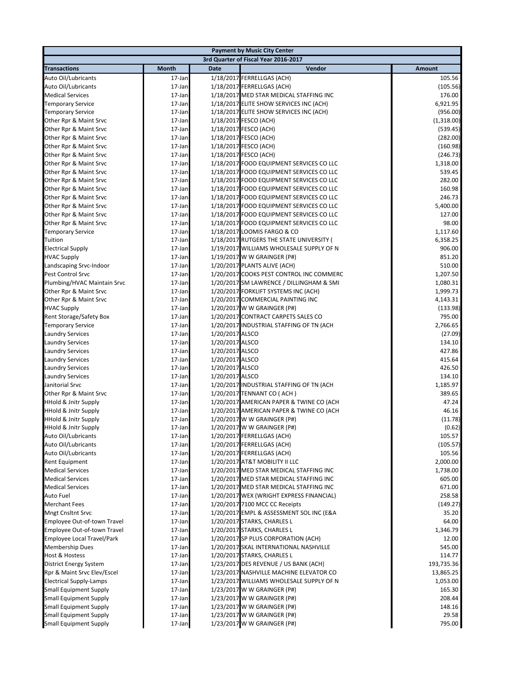|                                               |                  |                 | <b>Payment by Music City Center</b>                                |                    |
|-----------------------------------------------|------------------|-----------------|--------------------------------------------------------------------|--------------------|
|                                               |                  |                 | 3rd Quarter of Fiscal Year 2016-2017                               |                    |
| <b>Transactions</b>                           | <b>Month</b>     | <b>Date</b>     | Vendor                                                             | <b>Amount</b>      |
| Auto Oil/Lubricants                           | 17-Jan           |                 | 1/18/2017 FERRELLGAS (ACH)                                         | 105.56             |
| Auto Oil/Lubricants                           | 17-Jan           |                 | 1/18/2017 FERRELLGAS (ACH)                                         | (105.56)           |
| <b>Medical Services</b>                       | 17-Jan           |                 | 1/18/2017 MED STAR MEDICAL STAFFING INC                            | 176.00             |
| <b>Temporary Service</b>                      | 17-Jan           |                 | 1/18/2017 ELITE SHOW SERVICES INC (ACH)                            | 6,921.95           |
| <b>Temporary Service</b>                      | 17-Jan           |                 | 1/18/2017 ELITE SHOW SERVICES INC (ACH)                            | (956.00)           |
| Other Rpr & Maint Srvc                        | 17-Jan           |                 | 1/18/2017 FESCO (ACH)                                              | (1,318.00)         |
| Other Rpr & Maint Srvc                        | 17-Jan           |                 | 1/18/2017 FESCO (ACH)                                              | (539.45)           |
| Other Rpr & Maint Srvc                        | 17-Jan           |                 | 1/18/2017 FESCO (ACH)                                              | (282.00)           |
| Other Rpr & Maint Srvc                        | 17-Jan           |                 | 1/18/2017 FESCO (ACH)                                              | (160.98)           |
| Other Rpr & Maint Srvc                        | 17-Jan           |                 | 1/18/2017 FESCO (ACH)                                              | (246.73)           |
| Other Rpr & Maint Srvc                        | 17-Jan           |                 | 1/18/2017 FOOD EQUIPMENT SERVICES CO LLC                           | 1,318.00           |
| Other Rpr & Maint Srvc                        | 17-Jan           |                 | 1/18/2017 FOOD EQUIPMENT SERVICES CO LLC                           | 539.45             |
| Other Rpr & Maint Srvc                        | 17-Jan           |                 | 1/18/2017 FOOD EQUIPMENT SERVICES CO LLC                           | 282.00             |
| Other Rpr & Maint Srvc                        | 17-Jan           |                 | 1/18/2017 FOOD EQUIPMENT SERVICES CO LLC                           | 160.98             |
| Other Rpr & Maint Srvc                        | 17-Jan           |                 | 1/18/2017 FOOD EQUIPMENT SERVICES CO LLC                           | 246.73             |
| Other Rpr & Maint Srvc                        | 17-Jan           |                 | 1/18/2017 FOOD EQUIPMENT SERVICES CO LLC                           | 5,400.00           |
| Other Rpr & Maint Srvc                        | 17-Jan           |                 | 1/18/2017 FOOD EQUIPMENT SERVICES CO LLC                           | 127.00             |
| Other Rpr & Maint Srvc                        | 17-Jan           |                 | 1/18/2017 FOOD EQUIPMENT SERVICES CO LLC                           | 98.00              |
| <b>Temporary Service</b>                      | 17-Jan           |                 | 1/18/2017 LOOMIS FARGO & CO                                        | 1,117.60           |
| Tuition                                       | 17-Jan           |                 | 1/18/2017 RUTGERS THE STATE UNIVERSITY (                           | 6,358.25           |
| <b>Electrical Supply</b>                      | 17-Jan           |                 | 1/19/2017 WILLIAMS WHOLESALE SUPPLY OF N                           | 906.00             |
| <b>HVAC Supply</b>                            | 17-Jan           |                 | 1/19/2017 W W GRAINGER (P#)                                        | 851.20             |
| Landscaping Srvc-Indoor                       | 17-Jan           |                 | 1/20/2017 PLANTS ALIVE (ACH)                                       | 510.00             |
| <b>Pest Control Srvc</b>                      | 17-Jan           |                 | 1/20/2017 COOKS PEST CONTROL INC COMMERC                           | 1,207.50           |
| Plumbing/HVAC Maintain Srvc                   | 17-Jan           |                 | 1/20/2017 SM LAWRENCE / DILLINGHAM & SMI                           | 1,080.31           |
| Other Rpr & Maint Srvc                        | 17-Jan           |                 | 1/20/2017 FORKLIFT SYSTEMS INC (ACH)                               | 1,999.73           |
| Other Rpr & Maint Srvc                        | 17-Jan           |                 | 1/20/2017 COMMERCIAL PAINTING INC                                  | 4,143.31           |
| <b>HVAC Supply</b><br>Rent Storage/Safety Box | 17-Jan<br>17-Jan |                 | 1/20/2017 W W GRAINGER (P#)<br>1/20/2017 CONTRACT CARPETS SALES CO | (133.98)<br>795.00 |
| <b>Temporary Service</b>                      | 17-Jan           |                 | 1/20/2017 INDUSTRIAL STAFFING OF TN (ACH                           | 2,766.65           |
| <b>Laundry Services</b>                       | 17-Jan           | 1/20/2017 ALSCO |                                                                    | (27.09)            |
| <b>Laundry Services</b>                       | 17-Jan           | 1/20/2017 ALSCO |                                                                    | 134.10             |
| <b>Laundry Services</b>                       | 17-Jan           | 1/20/2017 ALSCO |                                                                    | 427.86             |
| <b>Laundry Services</b>                       | 17-Jan           | 1/20/2017 ALSCO |                                                                    | 415.64             |
| <b>Laundry Services</b>                       | 17-Jan           | 1/20/2017 ALSCO |                                                                    | 426.50             |
| <b>Laundry Services</b>                       | 17-Jan           | 1/20/2017 ALSCO |                                                                    | 134.10             |
| Janitorial Srvc                               | 17-Jan           |                 | 1/20/2017 INDUSTRIAL STAFFING OF TN (ACH                           | 1,185.97           |
| Other Rpr & Maint Srvc                        | 17-Jan           |                 | 1/20/2017 TENNANT CO (ACH)                                         | 389.65             |
| <b>HHold &amp; Jnitr Supply</b>               | 17-Jan           |                 | 1/20/2017 AMERICAN PAPER & TWINE CO (ACH                           | 47.24              |
| <b>HHold &amp; Jnitr Supply</b>               | 17-Jan           |                 | 1/20/2017 AMERICAN PAPER & TWINE CO (ACH                           | 46.16              |
| <b>HHold &amp; Jnitr Supply</b>               | 17-Jan           |                 | 1/20/2017 W W GRAINGER (P#)                                        | (11.78)            |
| HHold & Jnitr Supply                          | 17-Jan           |                 | 1/20/2017 W W GRAINGER (P#)                                        | (0.62)             |
| Auto Oil/Lubricants                           | 17-Jan           |                 | 1/20/2017 FERRELLGAS (ACH)                                         | 105.57             |
| Auto Oil/Lubricants                           | 17-Jan           |                 | 1/20/2017 FERRELLGAS (ACH)                                         | (105.57)           |
| Auto Oil/Lubricants                           | 17-Jan           |                 | 1/20/2017 FERRELLGAS (ACH)                                         | 105.56             |
| <b>Rent Equipment</b>                         | 17-Jan           |                 | 1/20/2017 AT&T MOBILITY II LLC                                     | 2,000.00           |
| <b>Medical Services</b>                       | 17-Jan           |                 | 1/20/2017 MED STAR MEDICAL STAFFING INC                            | 1,738.00           |
| <b>Medical Services</b>                       | 17-Jan           |                 | 1/20/2017 MED STAR MEDICAL STAFFING INC                            | 605.00             |
| <b>Medical Services</b>                       | 17-Jan           |                 | 1/20/2017 MED STAR MEDICAL STAFFING INC                            | 671.00             |
| Auto Fuel                                     | 17-Jan           |                 | 1/20/2017 WEX (WRIGHT EXPRESS FINANCIAL)                           | 258.58             |
| <b>Merchant Fees</b>                          | 17-Jan           |                 | 1/20/2017 7100 MCC CC Receipts                                     | (149.27)           |
| <b>Mngt Cnsltnt Srvc</b>                      | 17-Jan           |                 | 1/20/2017 EMPL & ASSESSMENT SOL INC (E&A                           | 35.20              |
| Employee Out-of-town Travel                   | 17-Jan           |                 | 1/20/2017 STARKS, CHARLES L                                        | 64.00              |
| Employee Out-of-town Travel                   | 17-Jan           |                 | 1/20/2017 STARKS, CHARLES L                                        | 1,346.79           |
| Employee Local Travel/Park                    | 17-Jan           |                 | 1/20/2017 SP PLUS CORPORATION (ACH)                                | 12.00              |
| <b>Membership Dues</b>                        | 17-Jan           |                 | 1/20/2017 SKAL INTERNATIONAL NASHVILLE                             | 545.00             |
| <b>Host &amp; Hostess</b>                     | 17-Jan           |                 | 1/20/2017 STARKS, CHARLES L                                        | 114.77             |
| District Energy System                        | 17-Jan           |                 | 1/23/2017 DES REVENUE / US BANK (ACH)                              | 193,735.36         |
| Rpr & Maint Srvc Elev/Escel                   | 17-Jan           |                 | 1/23/2017 NASHVILLE MACHINE ELEVATOR CO                            | 13,865.25          |
| <b>Electrical Supply-Lamps</b>                | 17-Jan           |                 | 1/23/2017 WILLIAMS WHOLESALE SUPPLY OF N                           | 1,053.00           |
| <b>Small Equipment Supply</b>                 | 17-Jan           |                 | 1/23/2017 W W GRAINGER (P#)                                        | 165.30             |
| <b>Small Equipment Supply</b>                 | 17-Jan           |                 | 1/23/2017 W W GRAINGER (P#)                                        | 208.44             |
| <b>Small Equipment Supply</b>                 | 17-Jan           |                 | 1/23/2017 W W GRAINGER (P#)                                        | 148.16             |
| <b>Small Equipment Supply</b>                 | 17-Jan           |                 | 1/23/2017 W W GRAINGER (P#)                                        | 29.58              |
| <b>Small Equipment Supply</b>                 | 17-Jan           |                 | 1/23/2017 W W GRAINGER (P#)                                        | 795.00             |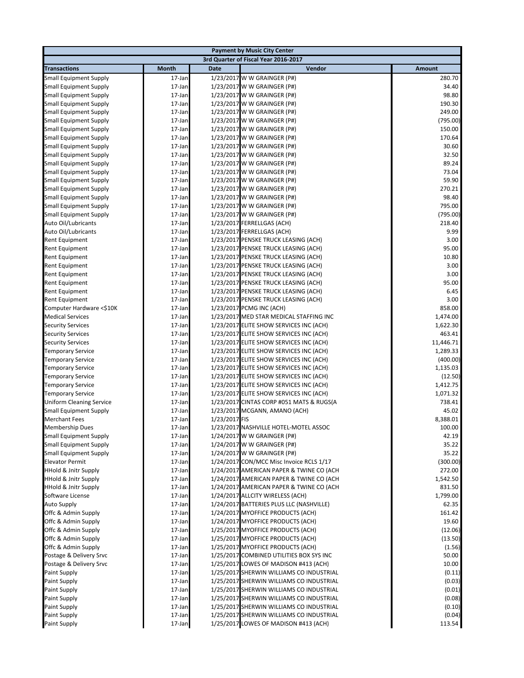|                                                                |                  |               | <b>Payment by Music City Center</b>                                                  |                    |
|----------------------------------------------------------------|------------------|---------------|--------------------------------------------------------------------------------------|--------------------|
|                                                                |                  |               | 3rd Quarter of Fiscal Year 2016-2017                                                 |                    |
| <b>Transactions</b>                                            | <b>Month</b>     | <b>Date</b>   | Vendor                                                                               | <b>Amount</b>      |
| <b>Small Equipment Supply</b>                                  | 17-Jan           |               | 1/23/2017 W W GRAINGER (P#)                                                          | 280.70             |
| <b>Small Equipment Supply</b>                                  | 17-Jan           |               | 1/23/2017 W W GRAINGER (P#)                                                          | 34.40              |
| <b>Small Equipment Supply</b>                                  | 17-Jan           |               | 1/23/2017 W W GRAINGER (P#)                                                          | 98.80              |
| <b>Small Equipment Supply</b>                                  | 17-Jan           |               | 1/23/2017 W W GRAINGER (P#)                                                          | 190.30             |
| <b>Small Equipment Supply</b>                                  | 17-Jan           |               | 1/23/2017 W W GRAINGER (P#)                                                          | 249.00             |
| <b>Small Equipment Supply</b>                                  | 17-Jan           |               | 1/23/2017 W W GRAINGER (P#)                                                          | (795.00)           |
| <b>Small Equipment Supply</b>                                  | 17-Jan           |               | 1/23/2017 W W GRAINGER (P#)                                                          | 150.00             |
| <b>Small Equipment Supply</b>                                  | 17-Jan           |               | 1/23/2017 W W GRAINGER (P#)                                                          | 170.64             |
| <b>Small Equipment Supply</b>                                  | 17-Jan           |               | 1/23/2017 W W GRAINGER (P#)                                                          | 30.60              |
| <b>Small Equipment Supply</b>                                  | 17-Jan           |               | 1/23/2017 W W GRAINGER (P#)                                                          | 32.50              |
| <b>Small Equipment Supply</b>                                  | 17-Jan           |               | 1/23/2017 W W GRAINGER (P#)                                                          | 89.24              |
| <b>Small Equipment Supply</b>                                  | 17-Jan           |               | 1/23/2017 W W GRAINGER (P#)                                                          | 73.04              |
| <b>Small Equipment Supply</b>                                  | 17-Jan           |               | 1/23/2017 W W GRAINGER (P#)                                                          | 59.90              |
| <b>Small Equipment Supply</b>                                  | 17-Jan           |               | 1/23/2017 W W GRAINGER (P#)                                                          | 270.21             |
| <b>Small Equipment Supply</b>                                  | 17-Jan           |               | 1/23/2017 W W GRAINGER (P#)                                                          | 98.40<br>795.00    |
| <b>Small Equipment Supply</b><br><b>Small Equipment Supply</b> | 17-Jan<br>17-Jan |               | 1/23/2017 W W GRAINGER (P#)<br>1/23/2017 W W GRAINGER (P#)                           | (795.00)           |
| Auto Oil/Lubricants                                            | 17-Jan           |               | 1/23/2017 FERRELLGAS (ACH)                                                           | 218.40             |
| Auto Oil/Lubricants                                            | 17-Jan           |               | 1/23/2017 FERRELLGAS (ACH)                                                           | 9.99               |
| <b>Rent Equipment</b>                                          | 17-Jan           |               | 1/23/2017 PENSKE TRUCK LEASING (ACH)                                                 | 3.00               |
| <b>Rent Equipment</b>                                          | 17-Jan           |               | 1/23/2017 PENSKE TRUCK LEASING (ACH)                                                 | 95.00              |
| <b>Rent Equipment</b>                                          | 17-Jan           |               | 1/23/2017 PENSKE TRUCK LEASING (ACH)                                                 | 10.80              |
| <b>Rent Equipment</b>                                          | 17-Jan           |               | 1/23/2017 PENSKE TRUCK LEASING (ACH)                                                 | 3.00               |
| <b>Rent Equipment</b>                                          | 17-Jan           |               | 1/23/2017 PENSKE TRUCK LEASING (ACH)                                                 | 3.00               |
| <b>Rent Equipment</b>                                          | 17-Jan           |               | 1/23/2017 PENSKE TRUCK LEASING (ACH)                                                 | 95.00              |
| <b>Rent Equipment</b>                                          | 17-Jan           |               | 1/23/2017 PENSKE TRUCK LEASING (ACH)                                                 | 6.45               |
| Rent Equipment                                                 | 17-Jan           |               | 1/23/2017 PENSKE TRUCK LEASING (ACH)                                                 | 3.00               |
| Computer Hardware <\$10K                                       | 17-Jan           |               | 1/23/2017 PCMG INC (ACH)                                                             | 858.00             |
| <b>Medical Services</b>                                        | 17-Jan           |               | 1/23/2017 MED STAR MEDICAL STAFFING INC                                              | 1,474.00           |
| <b>Security Services</b>                                       | 17-Jan           |               | 1/23/2017 ELITE SHOW SERVICES INC (ACH)                                              | 1,622.30           |
| <b>Security Services</b>                                       | 17-Jan           |               | 1/23/2017 ELITE SHOW SERVICES INC (ACH)                                              | 463.41             |
| <b>Security Services</b>                                       | 17-Jan           |               | 1/23/2017 ELITE SHOW SERVICES INC (ACH)                                              | 11,446.71          |
| <b>Temporary Service</b>                                       | 17-Jan           |               | 1/23/2017 ELITE SHOW SERVICES INC (ACH)                                              | 1,289.33           |
| <b>Temporary Service</b>                                       | 17-Jan           |               | 1/23/2017 ELITE SHOW SERVICES INC (ACH)                                              | (400.00)           |
| <b>Temporary Service</b>                                       | 17-Jan           |               | 1/23/2017 ELITE SHOW SERVICES INC (ACH)                                              | 1,135.03           |
| <b>Temporary Service</b>                                       | 17-Jan           |               | 1/23/2017 ELITE SHOW SERVICES INC (ACH)                                              | (12.50)            |
| <b>Temporary Service</b>                                       | 17-Jan           |               | 1/23/2017 ELITE SHOW SERVICES INC (ACH)                                              | 1,412.75           |
| <b>Temporary Service</b>                                       | 17-Jan           |               | 1/23/2017 ELITE SHOW SERVICES INC (ACH)                                              | 1,071.32           |
| <b>Uniform Cleaning Service</b>                                | 17-Jan           |               | 1/23/2017 CINTAS CORP #051 MATS & RUGS(A                                             | 738.41             |
| <b>Small Equipment Supply</b>                                  | 17-Jan           |               | 1/23/2017 MCGANN, AMANO (ACH)                                                        | 45.02              |
| <b>Merchant Fees</b>                                           | 17-Jan           | 1/23/2017 FIS |                                                                                      | 8,388.01           |
| <b>Membership Dues</b>                                         | 17-Jan           |               | 1/23/2017 NASHVILLE HOTEL-MOTEL ASSOC                                                | 100.00             |
| <b>Small Equipment Supply</b>                                  | 17-Jan           |               | 1/24/2017 W W GRAINGER (P#)                                                          | 42.19              |
| Small Equipment Supply                                         | 17-Jan           |               | 1/24/2017 W W GRAINGER (P#)                                                          | 35.22              |
| <b>Small Equipment Supply</b>                                  | 17-Jan           |               | 1/24/2017 W W GRAINGER (P#)                                                          | 35.22              |
| <b>Elevator Permit</b><br><b>HHold &amp; Jnitr Supply</b>      | 17-Jan<br>17-Jan |               | 1/24/2017 CON/MCC Misc Invoice RCLS 1/17<br>1/24/2017 AMERICAN PAPER & TWINE CO (ACH | (300.00)<br>272.00 |
| <b>HHold &amp; Jnitr Supply</b>                                | 17-Jan           |               | 1/24/2017 AMERICAN PAPER & TWINE CO (ACH                                             | 1,542.50           |
| <b>HHold &amp; Jnitr Supply</b>                                | 17-Jan           |               | 1/24/2017 AMERICAN PAPER & TWINE CO (ACH                                             | 831.50             |
| Software License                                               | 17-Jan           |               | 1/24/2017 ALLCITY WIRELESS (ACH)                                                     | 1,799.00           |
| <b>Auto Supply</b>                                             | 17-Jan           |               | 1/24/2017 BATTERIES PLUS LLC (NASHVILLE)                                             | 62.35              |
| Offc & Admin Supply                                            | 17-Jan           |               | 1/24/2017 MYOFFICE PRODUCTS (ACH)                                                    | 161.42             |
| Offc & Admin Supply                                            | 17-Jan           |               | 1/24/2017 MYOFFICE PRODUCTS (ACH)                                                    | 19.60              |
| Offc & Admin Supply                                            | 17-Jan           |               | 1/25/2017 MYOFFICE PRODUCTS (ACH)                                                    | (12.06)            |
| Offc & Admin Supply                                            | 17-Jan           |               | 1/25/2017 MYOFFICE PRODUCTS (ACH)                                                    | (13.50)            |
| Offc & Admin Supply                                            | 17-Jan           |               | 1/25/2017 MYOFFICE PRODUCTS (ACH)                                                    | (1.56)             |
| Postage & Delivery Srvc                                        | 17-Jan           |               | 1/25/2017 COMBINED UTILITIES BOX SYS INC                                             | 50.00              |
| Postage & Delivery Srvc                                        | 17-Jan           |               | 1/25/2017 LOWES OF MADISON #413 (ACH)                                                | 10.00              |
| <b>Paint Supply</b>                                            | 17-Jan           |               | 1/25/2017 SHERWIN WILLIAMS CO INDUSTRIAL                                             | (0.11)             |
| <b>Paint Supply</b>                                            | 17-Jan           |               | 1/25/2017 SHERWIN WILLIAMS CO INDUSTRIAL                                             | (0.03)             |
| <b>Paint Supply</b>                                            | 17-Jan           |               | 1/25/2017 SHERWIN WILLIAMS CO INDUSTRIAL                                             | (0.01)             |
| <b>Paint Supply</b>                                            | 17-Jan           |               | 1/25/2017 SHERWIN WILLIAMS CO INDUSTRIAL                                             | (0.08)             |
| <b>Paint Supply</b>                                            | 17-Jan           |               | 1/25/2017 SHERWIN WILLIAMS CO INDUSTRIAL                                             | (0.10)             |
| <b>Paint Supply</b>                                            | 17-Jan           |               | 1/25/2017 SHERWIN WILLIAMS CO INDUSTRIAL                                             | (0.04)             |
| Paint Supply                                                   | 17-Jan           |               | 1/25/2017 LOWES OF MADISON #413 (ACH)                                                | 113.54             |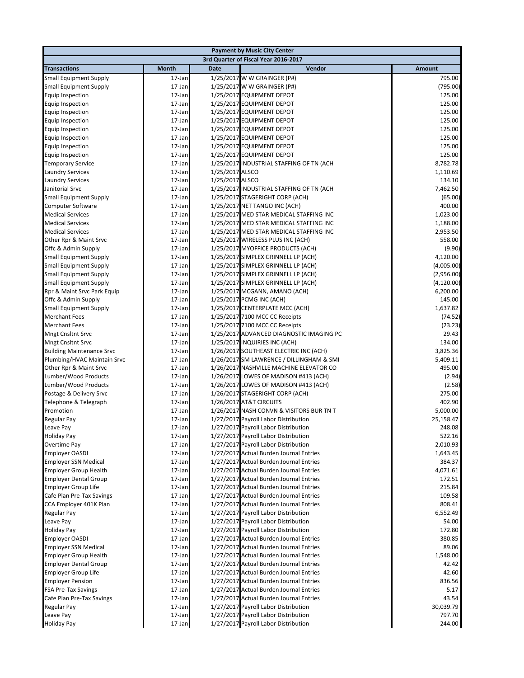| <b>Payment by Music City Center</b>              |                  |                                    |                                                                                    |                    |
|--------------------------------------------------|------------------|------------------------------------|------------------------------------------------------------------------------------|--------------------|
|                                                  |                  |                                    | 3rd Quarter of Fiscal Year 2016-2017                                               |                    |
| <b>Transactions</b>                              | Month            | <b>Date</b>                        | Vendor                                                                             | <b>Amount</b>      |
| <b>Small Equipment Supply</b>                    | 17-Jan           |                                    | 1/25/2017 W W GRAINGER (P#)                                                        | 795.00             |
| <b>Small Equipment Supply</b>                    | 17-Jan           |                                    | 1/25/2017 W W GRAINGER (P#)                                                        | (795.00)           |
| <b>Equip Inspection</b>                          | 17-Jan           |                                    | 1/25/2017 EQUIPMENT DEPOT                                                          | 125.00             |
| Equip Inspection                                 | 17-Jan           |                                    | 1/25/2017 EQUIPMENT DEPOT                                                          | 125.00             |
| <b>Equip Inspection</b>                          | 17-Jan           |                                    | 1/25/2017 EQUIPMENT DEPOT                                                          | 125.00             |
| Equip Inspection                                 | 17-Jan           |                                    | 1/25/2017 EQUIPMENT DEPOT                                                          | 125.00             |
| Equip Inspection                                 | 17-Jan           |                                    | 1/25/2017 EQUIPMENT DEPOT                                                          | 125.00             |
| <b>Equip Inspection</b>                          | 17-Jan           |                                    | 1/25/2017 EQUIPMENT DEPOT                                                          | 125.00             |
| <b>Equip Inspection</b>                          | 17-Jan           |                                    | 1/25/2017 EQUIPMENT DEPOT                                                          | 125.00             |
| <b>Equip Inspection</b>                          | 17-Jan           |                                    | 1/25/2017 EQUIPMENT DEPOT                                                          | 125.00             |
| <b>Temporary Service</b>                         | 17-Jan           |                                    | 1/25/2017 INDUSTRIAL STAFFING OF TN (ACH                                           | 8,782.78           |
| Laundry Services                                 | 17-Jan<br>17-Jan | 1/25/2017 ALSCO<br>1/25/2017 ALSCO |                                                                                    | 1,110.69           |
| <b>Laundry Services</b><br>Janitorial Srvc       | 17-Jan           |                                    | 1/25/2017 INDUSTRIAL STAFFING OF TN (ACH                                           | 134.10<br>7,462.50 |
| <b>Small Equipment Supply</b>                    | 17-Jan           |                                    | 1/25/2017 STAGERIGHT CORP (ACH)                                                    | (65.00)            |
| Computer Software                                | 17-Jan           |                                    | 1/25/2017 NET TANGO INC (ACH)                                                      | 400.00             |
| <b>Medical Services</b>                          | 17-Jan           |                                    | 1/25/2017 MED STAR MEDICAL STAFFING INC                                            | 1,023.00           |
| <b>Medical Services</b>                          | 17-Jan           |                                    | 1/25/2017 MED STAR MEDICAL STAFFING INC                                            | 1,188.00           |
| <b>Medical Services</b>                          | 17-Jan           |                                    | 1/25/2017 MED STAR MEDICAL STAFFING INC                                            | 2,953.50           |
| Other Rpr & Maint Srvc                           | 17-Jan           |                                    | 1/25/2017 WIRELESS PLUS INC (ACH)                                                  | 558.00             |
| Offc & Admin Supply                              | 17-Jan           |                                    | 1/25/2017 MYOFFICE PRODUCTS (ACH)                                                  | (9.90)             |
| <b>Small Equipment Supply</b>                    | 17-Jan           |                                    | 1/25/2017 SIMPLEX GRINNELL LP (ACH)                                                | 4,120.00           |
| <b>Small Equipment Supply</b>                    | 17-Jan           |                                    | 1/25/2017 SIMPLEX GRINNELL LP (ACH)                                                | (4,005.00)         |
| <b>Small Equipment Supply</b>                    | 17-Jan           |                                    | 1/25/2017 SIMPLEX GRINNELL LP (ACH)                                                | (2,956.00)         |
| <b>Small Equipment Supply</b>                    | 17-Jan           |                                    | 1/25/2017 SIMPLEX GRINNELL LP (ACH)                                                | (4, 120.00)        |
| Rpr & Maint Srvc Park Equip                      | 17-Jan           |                                    | 1/25/2017 MCGANN, AMANO (ACH)                                                      | 6,200.00           |
| Offc & Admin Supply                              | 17-Jan           |                                    | 1/25/2017 PCMG INC (ACH)                                                           | 145.00             |
| <b>Small Equipment Supply</b>                    | 17-Jan           |                                    | 1/25/2017 CENTERPLATE MCC (ACH)                                                    | 1,637.82           |
| <b>Merchant Fees</b>                             | 17-Jan           |                                    | 1/25/2017 7100 MCC CC Receipts                                                     | (74.52)            |
| <b>Merchant Fees</b>                             | 17-Jan           |                                    | 1/25/2017 7100 MCC CC Receipts                                                     | (23.23)            |
| <b>Mngt Cnsltnt Srvc</b>                         | 17-Jan           |                                    | 1/25/2017 ADVANCED DIAGNOSTIC IMAGING PC                                           | 29.43              |
| <b>Mngt Cnsltnt Srvc</b>                         | 17-Jan           |                                    | 1/25/2017 INQUIRIES INC (ACH)                                                      | 134.00             |
| <b>Building Maintenance Srvc</b>                 | 17-Jan           |                                    | 1/26/2017 SOUTHEAST ELECTRIC INC (ACH)                                             | 3,825.36           |
| Plumbing/HVAC Maintain Srvc                      | 17-Jan           |                                    | 1/26/2017 SM LAWRENCE / DILLINGHAM & SMI                                           | 5,409.11           |
| Other Rpr & Maint Srvc                           | 17-Jan           |                                    | 1/26/2017 NASHVILLE MACHINE ELEVATOR CO                                            | 495.00             |
| Lumber/Wood Products                             | 17-Jan           |                                    | 1/26/2017 LOWES OF MADISON #413 (ACH)                                              | (2.94)             |
| Lumber/Wood Products                             | 17-Jan           |                                    | 1/26/2017 LOWES OF MADISON #413 (ACH)                                              | (2.58)             |
| Postage & Delivery Srvc<br>Telephone & Telegraph | 17-Jan<br>17-Jan |                                    | 1/26/2017 STAGERIGHT CORP (ACH)<br>1/26/2017 AT&T CIRCUITS                         | 275.00<br>402.90   |
| Promotion                                        | 17-Jan           |                                    | 1/26/2017 NASH CONVN & VISITORS BUR TN T                                           | 5,000.00           |
| Regular Pay                                      | 17-Jan           |                                    | 1/27/2017 Payroll Labor Distribution                                               | 25,158.47          |
| Leave Pay                                        | 17-Jan           |                                    | 1/27/2017 Payroll Labor Distribution                                               | 248.08             |
| <b>Holiday Pay</b>                               | 17-Jan           |                                    | 1/27/2017 Payroll Labor Distribution                                               | 522.16             |
| Overtime Pay                                     | 17-Jan           |                                    | 1/27/2017 Payroll Labor Distribution                                               | 2,010.93           |
| <b>Employer OASDI</b>                            | 17-Jan           |                                    | 1/27/2017 Actual Burden Journal Entries                                            | 1,643.45           |
| <b>Employer SSN Medical</b>                      | 17-Jan           |                                    | 1/27/2017 Actual Burden Journal Entries                                            | 384.37             |
| <b>Employer Group Health</b>                     | 17-Jan           |                                    | 1/27/2017 Actual Burden Journal Entries                                            | 4,071.61           |
| <b>Employer Dental Group</b>                     | 17-Jan           |                                    | 1/27/2017 Actual Burden Journal Entries                                            | 172.51             |
| <b>Employer Group Life</b>                       | 17-Jan           |                                    | 1/27/2017 Actual Burden Journal Entries                                            | 215.84             |
| Cafe Plan Pre-Tax Savings                        | 17-Jan           |                                    | 1/27/2017 Actual Burden Journal Entries                                            | 109.58             |
| CCA Employer 401K Plan                           | 17-Jan           |                                    | 1/27/2017 Actual Burden Journal Entries                                            | 808.41             |
| Regular Pay                                      | 17-Jan           |                                    | 1/27/2017 Payroll Labor Distribution                                               | 6,552.49           |
| Leave Pay                                        | 17-Jan           |                                    | 1/27/2017 Payroll Labor Distribution                                               | 54.00              |
| <b>Holiday Pay</b>                               | 17-Jan           |                                    | 1/27/2017 Payroll Labor Distribution                                               | 172.80             |
| <b>Employer OASDI</b>                            | 17-Jan           |                                    | 1/27/2017 Actual Burden Journal Entries                                            | 380.85             |
| <b>Employer SSN Medical</b>                      | 17-Jan           |                                    | 1/27/2017 Actual Burden Journal Entries                                            | 89.06              |
| <b>Employer Group Health</b>                     | 17-Jan           |                                    | 1/27/2017 Actual Burden Journal Entries                                            | 1,548.00           |
| <b>Employer Dental Group</b>                     | 17-Jan           |                                    | 1/27/2017 Actual Burden Journal Entries                                            | 42.42              |
| <b>Employer Group Life</b>                       | 17-Jan           |                                    | 1/27/2017 Actual Burden Journal Entries                                            | 42.60              |
| <b>Employer Pension</b>                          | 17-Jan           |                                    | 1/27/2017 Actual Burden Journal Entries                                            | 836.56             |
| <b>FSA Pre-Tax Savings</b>                       | 17-Jan           |                                    | 1/27/2017 Actual Burden Journal Entries<br>1/27/2017 Actual Burden Journal Entries | 5.17<br>43.54      |
| Cafe Plan Pre-Tax Savings<br>Regular Pay         | 17-Jan<br>17-Jan |                                    | 1/27/2017 Payroll Labor Distribution                                               | 30,039.79          |
| Leave Pay                                        | 17-Jan           |                                    | 1/27/2017 Payroll Labor Distribution                                               | 797.70             |
| <b>Holiday Pay</b>                               | 17-Jan           |                                    | 1/27/2017 Payroll Labor Distribution                                               | 244.00             |
|                                                  |                  |                                    |                                                                                    |                    |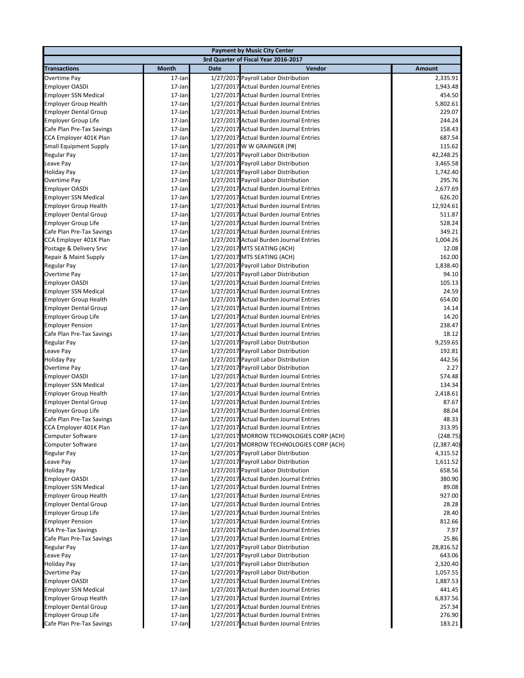|                               |                  |             | <b>Payment by Music City Center</b>                                                |                   |
|-------------------------------|------------------|-------------|------------------------------------------------------------------------------------|-------------------|
|                               |                  |             | 3rd Quarter of Fiscal Year 2016-2017                                               |                   |
| <b>Transactions</b>           | <b>Month</b>     | <b>Date</b> | Vendor                                                                             | <b>Amount</b>     |
| Overtime Pay                  | 17-Jan           |             | 1/27/2017 Payroll Labor Distribution                                               | 2,335.91          |
| <b>Employer OASDI</b>         | 17-Jan           |             | 1/27/2017 Actual Burden Journal Entries                                            | 1,943.48          |
| <b>Employer SSN Medical</b>   | 17-Jan           |             | 1/27/2017 Actual Burden Journal Entries                                            | 454.50            |
| <b>Employer Group Health</b>  | 17-Jan           |             | 1/27/2017 Actual Burden Journal Entries                                            | 5,802.61          |
| <b>Employer Dental Group</b>  | 17-Jan           |             | 1/27/2017 Actual Burden Journal Entries                                            | 229.07            |
| <b>Employer Group Life</b>    | 17-Jan           |             | 1/27/2017 Actual Burden Journal Entries                                            | 244.24            |
| Cafe Plan Pre-Tax Savings     | 17-Jan           |             | 1/27/2017 Actual Burden Journal Entries                                            | 158.43            |
| CCA Employer 401K Plan        | 17-Jan           |             | 1/27/2017 Actual Burden Journal Entries                                            | 687.54            |
| <b>Small Equipment Supply</b> | 17-Jan           |             | 1/27/2017 W W GRAINGER (P#)                                                        | 115.62            |
| Regular Pay                   | 17-Jan           |             | 1/27/2017 Payroll Labor Distribution                                               | 42,248.25         |
| Leave Pay                     | 17-Jan           |             | 1/27/2017 Payroll Labor Distribution                                               | 3,465.58          |
| <b>Holiday Pay</b>            | 17-Jan           |             | 1/27/2017 Payroll Labor Distribution                                               | 1,742.40          |
| Overtime Pay                  | 17-Jan           |             | 1/27/2017 Payroll Labor Distribution                                               | 295.76            |
| Employer OASDI                | 17-Jan           |             | 1/27/2017 Actual Burden Journal Entries                                            | 2,677.69          |
| <b>Employer SSN Medical</b>   | 17-Jan           |             | 1/27/2017 Actual Burden Journal Entries                                            | 626.20            |
| <b>Employer Group Health</b>  | 17-Jan           |             | 1/27/2017 Actual Burden Journal Entries                                            | 12,924.61         |
| <b>Employer Dental Group</b>  | 17-Jan           |             | 1/27/2017 Actual Burden Journal Entries                                            | 511.87            |
| <b>Employer Group Life</b>    | 17-Jan           |             | 1/27/2017 Actual Burden Journal Entries                                            | 528.24            |
| Cafe Plan Pre-Tax Savings     | 17-Jan           |             | 1/27/2017 Actual Burden Journal Entries                                            | 349.21            |
| CCA Employer 401K Plan        | 17-Jan           |             | 1/27/2017 Actual Burden Journal Entries                                            | 1,004.26          |
| Postage & Delivery Srvc       | 17-Jan           |             | 1/27/2017 MTS SEATING (ACH)                                                        | 12.08             |
| Repair & Maint Supply         | 17-Jan           |             | 1/27/2017 MTS SEATING (ACH)                                                        | 162.00            |
| Regular Pay                   | 17-Jan           |             | 1/27/2017 Payroll Labor Distribution                                               | 1,838.40          |
| Overtime Pay                  | 17-Jan           |             | 1/27/2017 Payroll Labor Distribution                                               | 94.10             |
| <b>Employer OASDI</b>         | 17-Jan           |             | 1/27/2017 Actual Burden Journal Entries                                            | 105.13            |
| <b>Employer SSN Medical</b>   | 17-Jan           |             | 1/27/2017 Actual Burden Journal Entries                                            | 24.59             |
| <b>Employer Group Health</b>  | 17-Jan           |             | 1/27/2017 Actual Burden Journal Entries                                            | 654.00            |
| <b>Employer Dental Group</b>  | 17-Jan           |             | 1/27/2017 Actual Burden Journal Entries                                            | 14.14             |
| <b>Employer Group Life</b>    | 17-Jan           |             | 1/27/2017 Actual Burden Journal Entries                                            | 14.20             |
| <b>Employer Pension</b>       | 17-Jan           |             | 1/27/2017 Actual Burden Journal Entries<br>1/27/2017 Actual Burden Journal Entries | 238.47            |
| Cafe Plan Pre-Tax Savings     | 17-Jan           |             |                                                                                    | 18.12<br>9,259.65 |
| Regular Pay<br>Leave Pay      | 17-Jan<br>17-Jan |             | 1/27/2017 Payroll Labor Distribution<br>1/27/2017 Payroll Labor Distribution       | 192.81            |
| <b>Holiday Pay</b>            | 17-Jan           |             | 1/27/2017 Payroll Labor Distribution                                               | 442.56            |
| Overtime Pay                  | 17-Jan           |             | 1/27/2017 Payroll Labor Distribution                                               | 2.27              |
| <b>Employer OASDI</b>         | 17-Jan           |             | 1/27/2017 Actual Burden Journal Entries                                            | 574.48            |
| <b>Employer SSN Medical</b>   | 17-Jan           |             | 1/27/2017 Actual Burden Journal Entries                                            | 134.34            |
| <b>Employer Group Health</b>  | 17-Jan           |             | 1/27/2017 Actual Burden Journal Entries                                            | 2,418.61          |
| <b>Employer Dental Group</b>  | 17-Jan           |             | 1/27/2017 Actual Burden Journal Entries                                            | 87.67             |
| <b>Employer Group Life</b>    | 17-Jan           |             | 1/27/2017 Actual Burden Journal Entries                                            | 88.04             |
| Cafe Plan Pre-Tax Savings     | 17-Jan           |             | 1/27/2017 Actual Burden Journal Entries                                            | 48.33             |
| CCA Employer 401K Plan        | 17-Jan           |             | 1/27/2017 Actual Burden Journal Entries                                            | 313.95            |
| Computer Software             | 17-Jan           |             | 1/27/2017 MORROW TECHNOLOGIES CORP (ACH)                                           | (248.75)          |
| <b>Computer Software</b>      | 17-Jan           |             | 1/27/2017 MORROW TECHNOLOGIES CORP (ACH)                                           | (2, 387.40)       |
| Regular Pay                   | 17-Jan           |             | 1/27/2017 Payroll Labor Distribution                                               | 4,315.52          |
| Leave Pay                     | 17-Jan           |             | 1/27/2017 Payroll Labor Distribution                                               | 1,611.52          |
| <b>Holiday Pay</b>            | 17-Jan           |             | 1/27/2017 Payroll Labor Distribution                                               | 658.56            |
| Employer OASDI                | 17-Jan           |             | 1/27/2017 Actual Burden Journal Entries                                            | 380.90            |
| <b>Employer SSN Medical</b>   | 17-Jan           |             | 1/27/2017 Actual Burden Journal Entries                                            | 89.08             |
| <b>Employer Group Health</b>  | 17-Jan           |             | 1/27/2017 Actual Burden Journal Entries                                            | 927.00            |
| <b>Employer Dental Group</b>  | 17-Jan           |             | 1/27/2017 Actual Burden Journal Entries                                            | 28.28             |
| <b>Employer Group Life</b>    | 17-Jan           |             | 1/27/2017 Actual Burden Journal Entries                                            | 28.40             |
| <b>Employer Pension</b>       | 17-Jan           |             | 1/27/2017 Actual Burden Journal Entries                                            | 812.66            |
| <b>FSA Pre-Tax Savings</b>    | 17-Jan           |             | 1/27/2017 Actual Burden Journal Entries                                            | 7.97              |
| Cafe Plan Pre-Tax Savings     | 17-Jan           |             | 1/27/2017 Actual Burden Journal Entries                                            | 25.86             |
| Regular Pay                   | 17-Jan           |             | 1/27/2017 Payroll Labor Distribution                                               | 28,816.52         |
| Leave Pay                     | 17-Jan           |             | 1/27/2017 Payroll Labor Distribution                                               | 643.06            |
| <b>Holiday Pay</b>            | 17-Jan           |             | 1/27/2017 Payroll Labor Distribution                                               | 2,320.40          |
| Overtime Pay                  | 17-Jan           |             | 1/27/2017 Payroll Labor Distribution                                               | 1,057.55          |
| <b>Employer OASDI</b>         | 17-Jan           |             | 1/27/2017 Actual Burden Journal Entries                                            | 1,887.53          |
| <b>Employer SSN Medical</b>   | 17-Jan           |             | 1/27/2017 Actual Burden Journal Entries                                            | 441.45            |
| <b>Employer Group Health</b>  | 17-Jan           |             | 1/27/2017 Actual Burden Journal Entries                                            | 6,837.56          |
| <b>Employer Dental Group</b>  | 17-Jan           |             | 1/27/2017 Actual Burden Journal Entries                                            | 257.34            |
| <b>Employer Group Life</b>    | 17-Jan           |             | 1/27/2017 Actual Burden Journal Entries                                            | 276.90            |
| Cafe Plan Pre-Tax Savings     | 17-Jan           |             | 1/27/2017 Actual Burden Journal Entries                                            | 183.21            |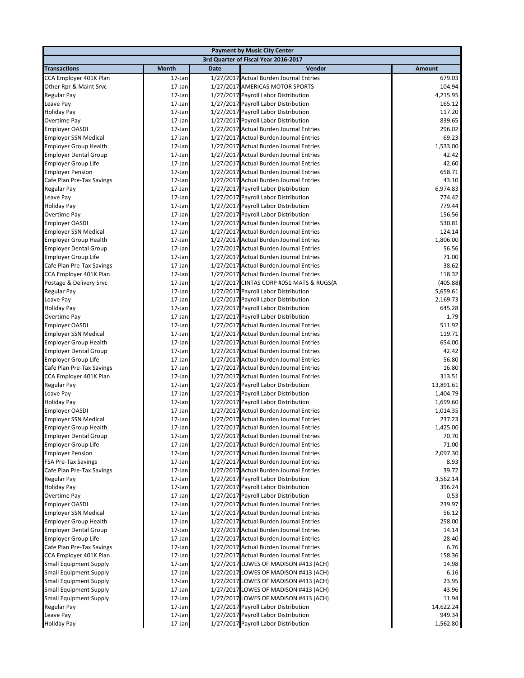|                                    |                                      |             | <b>Payment by Music City Center</b>                                          |                      |  |  |
|------------------------------------|--------------------------------------|-------------|------------------------------------------------------------------------------|----------------------|--|--|
|                                    | 3rd Quarter of Fiscal Year 2016-2017 |             |                                                                              |                      |  |  |
| <b>Transactions</b>                | Month                                | <b>Date</b> | Vendor                                                                       | <b>Amount</b>        |  |  |
| CCA Employer 401K Plan             | 17-Jan                               |             | 1/27/2017 Actual Burden Journal Entries                                      | 679.03               |  |  |
| Other Rpr & Maint Srvc             | 17-Jan                               |             | 1/27/2017 AMERICAS MOTOR SPORTS                                              | 104.94               |  |  |
| Regular Pay                        | 17-Jan                               |             | 1/27/2017 Payroll Labor Distribution                                         | 4,215.95             |  |  |
| Leave Pay                          | 17-Jan                               |             | 1/27/2017 Payroll Labor Distribution                                         | 165.12               |  |  |
| <b>Holiday Pay</b>                 | 17-Jan                               |             | 1/27/2017 Payroll Labor Distribution                                         | 117.20               |  |  |
| Overtime Pay                       | 17-Jan                               |             | 1/27/2017 Payroll Labor Distribution                                         | 839.65               |  |  |
| <b>Employer OASDI</b>              | 17-Jan                               |             | 1/27/2017 Actual Burden Journal Entries                                      | 296.02               |  |  |
| <b>Employer SSN Medical</b>        | 17-Jan                               |             | 1/27/2017 Actual Burden Journal Entries                                      | 69.23                |  |  |
| <b>Employer Group Health</b>       | 17-Jan                               |             | 1/27/2017 Actual Burden Journal Entries                                      | 1,533.00             |  |  |
| <b>Employer Dental Group</b>       | 17-Jan                               |             | 1/27/2017 Actual Burden Journal Entries                                      | 42.42                |  |  |
| <b>Employer Group Life</b>         | 17-Jan                               |             | 1/27/2017 Actual Burden Journal Entries                                      | 42.60                |  |  |
| <b>Employer Pension</b>            | 17-Jan                               |             | 1/27/2017 Actual Burden Journal Entries                                      | 658.71               |  |  |
| Cafe Plan Pre-Tax Savings          | 17-Jan                               |             | 1/27/2017 Actual Burden Journal Entries                                      | 43.10                |  |  |
| Regular Pay                        | 17-Jan                               |             | 1/27/2017 Payroll Labor Distribution                                         | 6,974.83             |  |  |
| Leave Pay                          | 17-Jan                               |             | 1/27/2017 Payroll Labor Distribution                                         | 774.42               |  |  |
| <b>Holiday Pay</b>                 | 17-Jan                               |             | 1/27/2017 Payroll Labor Distribution                                         | 779.44               |  |  |
| Overtime Pay                       | 17-Jan                               |             | 1/27/2017 Payroll Labor Distribution                                         | 156.56               |  |  |
| <b>Employer OASDI</b>              | 17-Jan                               |             | 1/27/2017 Actual Burden Journal Entries                                      | 530.81               |  |  |
| <b>Employer SSN Medical</b>        | 17-Jan                               |             | 1/27/2017 Actual Burden Journal Entries                                      | 124.14               |  |  |
| <b>Employer Group Health</b>       | 17-Jan                               |             | 1/27/2017 Actual Burden Journal Entries                                      | 1,806.00             |  |  |
| <b>Employer Dental Group</b>       | 17-Jan                               |             | 1/27/2017 Actual Burden Journal Entries                                      | 56.56                |  |  |
| <b>Employer Group Life</b>         | 17-Jan                               |             | 1/27/2017 Actual Burden Journal Entries                                      | 71.00                |  |  |
| Cafe Plan Pre-Tax Savings          | 17-Jan                               |             | 1/27/2017 Actual Burden Journal Entries                                      | 38.62                |  |  |
| CCA Employer 401K Plan             | 17-Jan                               |             | 1/27/2017 Actual Burden Journal Entries                                      | 118.32               |  |  |
| Postage & Delivery Srvc            | 17-Jan                               |             | 1/27/2017 CINTAS CORP #051 MATS & RUGS(A                                     | (405.88)<br>5,659.61 |  |  |
| Regular Pay                        | 17-Jan<br>17-Jan                     |             | 1/27/2017 Payroll Labor Distribution                                         |                      |  |  |
| Leave Pay                          |                                      |             | 1/27/2017 Payroll Labor Distribution                                         | 2,169.73             |  |  |
| <b>Holiday Pay</b><br>Overtime Pay | 17-Jan<br>17-Jan                     |             | 1/27/2017 Payroll Labor Distribution<br>1/27/2017 Payroll Labor Distribution | 645.28<br>1.79       |  |  |
| <b>Employer OASDI</b>              | 17-Jan                               |             | 1/27/2017 Actual Burden Journal Entries                                      | 511.92               |  |  |
| <b>Employer SSN Medical</b>        | 17-Jan                               |             | 1/27/2017 Actual Burden Journal Entries                                      | 119.71               |  |  |
| <b>Employer Group Health</b>       | 17-Jan                               |             | 1/27/2017 Actual Burden Journal Entries                                      | 654.00               |  |  |
| <b>Employer Dental Group</b>       | 17-Jan                               |             | 1/27/2017 Actual Burden Journal Entries                                      | 42.42                |  |  |
| <b>Employer Group Life</b>         | 17-Jan                               |             | 1/27/2017 Actual Burden Journal Entries                                      | 56.80                |  |  |
| Cafe Plan Pre-Tax Savings          | 17-Jan                               |             | 1/27/2017 Actual Burden Journal Entries                                      | 16.80                |  |  |
| CCA Employer 401K Plan             | 17-Jan                               |             | 1/27/2017 Actual Burden Journal Entries                                      | 313.51               |  |  |
| Regular Pay                        | 17-Jan                               |             | 1/27/2017 Payroll Labor Distribution                                         | 13,891.61            |  |  |
| Leave Pay                          | 17-Jan                               |             | 1/27/2017 Payroll Labor Distribution                                         | 1,404.79             |  |  |
| <b>Holiday Pay</b>                 | 17-Jan                               |             | 1/27/2017 Payroll Labor Distribution                                         | 1,699.60             |  |  |
| <b>Employer OASDI</b>              | 17-Jan                               |             | 1/27/2017 Actual Burden Journal Entries                                      | 1,014.35             |  |  |
| <b>Employer SSN Medical</b>        | 17-Jan                               |             | 1/27/2017 Actual Burden Journal Entries                                      | 237.23               |  |  |
| <b>Employer Group Health</b>       | 17-Jan                               |             | 1/27/2017 Actual Burden Journal Entries                                      | 1,425.00             |  |  |
| <b>Employer Dental Group</b>       | 17-Jan                               |             | 1/27/2017 Actual Burden Journal Entries                                      | 70.70                |  |  |
| <b>Employer Group Life</b>         | 17-Jan                               |             | 1/27/2017 Actual Burden Journal Entries                                      | 71.00                |  |  |
| <b>Employer Pension</b>            | 17-Jan                               |             | 1/27/2017 Actual Burden Journal Entries                                      | 2,097.30             |  |  |
| <b>FSA Pre-Tax Savings</b>         | 17-Jan                               |             | 1/27/2017 Actual Burden Journal Entries                                      | 8.93                 |  |  |
| Cafe Plan Pre-Tax Savings          | 17-Jan                               |             | 1/27/2017 Actual Burden Journal Entries                                      | 39.72                |  |  |
| Regular Pay                        | 17-Jan                               |             | 1/27/2017 Payroll Labor Distribution                                         | 3,562.14             |  |  |
| <b>Holiday Pay</b>                 | 17-Jan                               |             | 1/27/2017 Payroll Labor Distribution                                         | 396.24               |  |  |
| Overtime Pay                       | 17-Jan                               |             | 1/27/2017 Payroll Labor Distribution                                         | 0.53                 |  |  |
| <b>Employer OASDI</b>              | 17-Jan                               |             | 1/27/2017 Actual Burden Journal Entries                                      | 239.97               |  |  |
| <b>Employer SSN Medical</b>        | 17-Jan                               |             | 1/27/2017 Actual Burden Journal Entries                                      | 56.12                |  |  |
| <b>Employer Group Health</b>       | 17-Jan                               |             | 1/27/2017 Actual Burden Journal Entries                                      | 258.00               |  |  |
| <b>Employer Dental Group</b>       | 17-Jan                               |             | 1/27/2017 Actual Burden Journal Entries                                      | 14.14                |  |  |
| <b>Employer Group Life</b>         | 17-Jan                               |             | 1/27/2017 Actual Burden Journal Entries                                      | 28.40                |  |  |
| Cafe Plan Pre-Tax Savings          | 17-Jan                               |             | 1/27/2017 Actual Burden Journal Entries                                      | 6.76                 |  |  |
| CCA Employer 401K Plan             | 17-Jan                               |             | 1/27/2017 Actual Burden Journal Entries                                      | 158.36               |  |  |
| <b>Small Equipment Supply</b>      | 17-Jan                               |             | 1/27/2017 LOWES OF MADISON #413 (ACH)                                        | 14.98                |  |  |
| <b>Small Equipment Supply</b>      | 17-Jan                               |             | 1/27/2017 LOWES OF MADISON #413 (ACH)                                        | 6.16                 |  |  |
| <b>Small Equipment Supply</b>      | 17-Jan                               |             | 1/27/2017 LOWES OF MADISON #413 (ACH)                                        | 23.95                |  |  |
| <b>Small Equipment Supply</b>      | 17-Jan                               |             | 1/27/2017 LOWES OF MADISON #413 (ACH)                                        | 43.96                |  |  |
| <b>Small Equipment Supply</b>      | 17-Jan                               |             | 1/27/2017 LOWES OF MADISON #413 (ACH)                                        | 11.94                |  |  |
| Regular Pay                        | 17-Jan                               |             | 1/27/2017 Payroll Labor Distribution                                         | 14,622.24            |  |  |
| Leave Pay                          | 17-Jan                               |             | 1/27/2017 Payroll Labor Distribution                                         | 949.34               |  |  |
| <b>Holiday Pay</b>                 | 17-Jan                               |             | 1/27/2017 Payroll Labor Distribution                                         | 1,562.80             |  |  |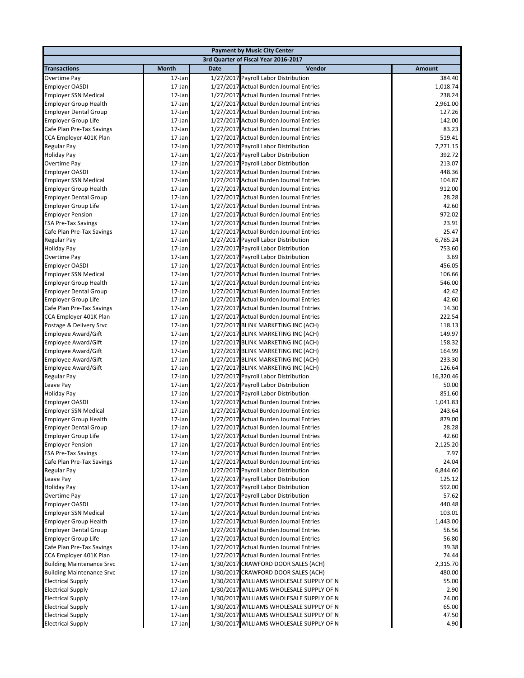|                                  |              |             | <b>Payment by Music City Center</b>      |               |
|----------------------------------|--------------|-------------|------------------------------------------|---------------|
|                                  |              |             | 3rd Quarter of Fiscal Year 2016-2017     |               |
| <b>Transactions</b>              | <b>Month</b> | <b>Date</b> | Vendor                                   | <b>Amount</b> |
| <b>Overtime Pay</b>              | 17-Jan       |             | 1/27/2017 Payroll Labor Distribution     | 384.40        |
| <b>Employer OASDI</b>            | 17-Jan       |             | 1/27/2017 Actual Burden Journal Entries  | 1,018.74      |
| <b>Employer SSN Medical</b>      | 17-Jan       |             | 1/27/2017 Actual Burden Journal Entries  | 238.24        |
| <b>Employer Group Health</b>     | 17-Jan       |             | 1/27/2017 Actual Burden Journal Entries  | 2,961.00      |
| <b>Employer Dental Group</b>     | 17-Jan       |             | 1/27/2017 Actual Burden Journal Entries  | 127.26        |
| <b>Employer Group Life</b>       | 17-Jan       |             | 1/27/2017 Actual Burden Journal Entries  | 142.00        |
| Cafe Plan Pre-Tax Savings        | 17-Jan       |             | 1/27/2017 Actual Burden Journal Entries  | 83.23         |
| CCA Employer 401K Plan           | 17-Jan       |             | 1/27/2017 Actual Burden Journal Entries  | 519.41        |
| Regular Pay                      | 17-Jan       |             | 1/27/2017 Payroll Labor Distribution     | 7,271.15      |
| <b>Holiday Pay</b>               | 17-Jan       |             | 1/27/2017 Payroll Labor Distribution     | 392.72        |
| Overtime Pay                     | 17-Jan       |             | 1/27/2017 Payroll Labor Distribution     | 213.07        |
| <b>Employer OASDI</b>            | 17-Jan       |             | 1/27/2017 Actual Burden Journal Entries  | 448.36        |
| <b>Employer SSN Medical</b>      | 17-Jan       |             | 1/27/2017 Actual Burden Journal Entries  | 104.87        |
| <b>Employer Group Health</b>     | 17-Jan       |             | 1/27/2017 Actual Burden Journal Entries  | 912.00        |
| <b>Employer Dental Group</b>     | 17-Jan       |             | 1/27/2017 Actual Burden Journal Entries  | 28.28         |
| <b>Employer Group Life</b>       | 17-Jan       |             | 1/27/2017 Actual Burden Journal Entries  | 42.60         |
| <b>Employer Pension</b>          | 17-Jan       |             | 1/27/2017 Actual Burden Journal Entries  | 972.02        |
| <b>FSA Pre-Tax Savings</b>       | 17-Jan       |             | 1/27/2017 Actual Burden Journal Entries  | 23.91         |
| Cafe Plan Pre-Tax Savings        | 17-Jan       |             | 1/27/2017 Actual Burden Journal Entries  | 25.47         |
| <b>Regular Pay</b>               | 17-Jan       |             | 1/27/2017 Payroll Labor Distribution     | 6,785.24      |
| <b>Holiday Pay</b>               | 17-Jan       |             | 1/27/2017 Payroll Labor Distribution     | 753.60        |
| Overtime Pay                     | 17-Jan       |             | 1/27/2017 Payroll Labor Distribution     | 3.69          |
| <b>Employer OASDI</b>            | 17-Jan       |             | 1/27/2017 Actual Burden Journal Entries  | 456.05        |
| <b>Employer SSN Medical</b>      | 17-Jan       |             | 1/27/2017 Actual Burden Journal Entries  | 106.66        |
| <b>Employer Group Health</b>     | 17-Jan       |             | 1/27/2017 Actual Burden Journal Entries  | 546.00        |
| <b>Employer Dental Group</b>     | 17-Jan       |             | 1/27/2017 Actual Burden Journal Entries  | 42.42         |
| <b>Employer Group Life</b>       | 17-Jan       |             | 1/27/2017 Actual Burden Journal Entries  | 42.60         |
| Cafe Plan Pre-Tax Savings        | 17-Jan       |             | 1/27/2017 Actual Burden Journal Entries  | 14.30         |
| CCA Employer 401K Plan           | 17-Jan       |             | 1/27/2017 Actual Burden Journal Entries  | 222.54        |
| Postage & Delivery Srvc          | 17-Jan       |             | 1/27/2017 BLINK MARKETING INC (ACH)      | 118.13        |
| <b>Employee Award/Gift</b>       | 17-Jan       |             | 1/27/2017 BLINK MARKETING INC (ACH)      | 149.97        |
| Employee Award/Gift              | 17-Jan       |             | 1/27/2017 BLINK MARKETING INC (ACH)      | 158.32        |
| Employee Award/Gift              | 17-Jan       |             | 1/27/2017 BLINK MARKETING INC (ACH)      | 164.99        |
| Employee Award/Gift              | 17-Jan       |             | 1/27/2017 BLINK MARKETING INC (ACH)      | 233.30        |
| <b>Employee Award/Gift</b>       | 17-Jan       |             | 1/27/2017 BLINK MARKETING INC (ACH)      | 126.64        |
| <b>Regular Pay</b>               | 17-Jan       |             | 1/27/2017 Payroll Labor Distribution     | 16,320.46     |
| Leave Pay                        | 17-Jan       |             | 1/27/2017 Payroll Labor Distribution     | 50.00         |
| <b>Holiday Pay</b>               | 17-Jan       |             | 1/27/2017 Payroll Labor Distribution     | 851.60        |
| <b>Employer OASDI</b>            | 17-Jan       |             | 1/27/2017 Actual Burden Journal Entries  | 1,041.83      |
| <b>Employer SSN Medical</b>      | 17-Jan       |             | 1/27/2017 Actual Burden Journal Entries  | 243.64        |
| <b>Employer Group Health</b>     | 17-Jan       |             | 1/27/2017 Actual Burden Journal Entries  | 879.00        |
| <b>Employer Dental Group</b>     | 17-Jan       |             | 1/27/2017 Actual Burden Journal Entries  | 28.28         |
| <b>Employer Group Life</b>       | 17-Jan       |             | 1/27/2017 Actual Burden Journal Entries  | 42.60         |
| <b>Employer Pension</b>          | 17-Jan       |             | 1/27/2017 Actual Burden Journal Entries  | 2,125.20      |
| <b>FSA Pre-Tax Savings</b>       | 17-Jan       |             | 1/27/2017 Actual Burden Journal Entries  | 7.97          |
| Cafe Plan Pre-Tax Savings        | 17-Jan       |             | 1/27/2017 Actual Burden Journal Entries  | 24.04         |
| Regular Pay                      | 17-Jan       |             | 1/27/2017 Payroll Labor Distribution     | 6,844.60      |
| Leave Pay                        | 17-Jan       |             | 1/27/2017 Payroll Labor Distribution     | 125.12        |
| <b>Holiday Pay</b>               | 17-Jan       |             | 1/27/2017 Payroll Labor Distribution     | 592.00        |
| Overtime Pay                     | 17-Jan       |             | 1/27/2017 Payroll Labor Distribution     | 57.62         |
| <b>Employer OASDI</b>            | 17-Jan       |             | 1/27/2017 Actual Burden Journal Entries  | 440.48        |
| <b>Employer SSN Medical</b>      | 17-Jan       |             | 1/27/2017 Actual Burden Journal Entries  | 103.01        |
| <b>Employer Group Health</b>     | 17-Jan       |             | 1/27/2017 Actual Burden Journal Entries  | 1,443.00      |
| <b>Employer Dental Group</b>     | 17-Jan       |             | 1/27/2017 Actual Burden Journal Entries  | 56.56         |
| <b>Employer Group Life</b>       | 17-Jan       |             | 1/27/2017 Actual Burden Journal Entries  | 56.80         |
| Cafe Plan Pre-Tax Savings        | 17-Jan       |             | 1/27/2017 Actual Burden Journal Entries  | 39.38         |
| CCA Employer 401K Plan           | 17-Jan       |             | 1/27/2017 Actual Burden Journal Entries  | 74.44         |
| <b>Building Maintenance Srvc</b> | 17-Jan       |             | 1/30/2017 CRAWFORD DOOR SALES (ACH)      | 2,315.70      |
| <b>Building Maintenance Srvc</b> | 17-Jan       |             | 1/30/2017 CRAWFORD DOOR SALES (ACH)      | 480.00        |
| <b>Electrical Supply</b>         | 17-Jan       |             | 1/30/2017 WILLIAMS WHOLESALE SUPPLY OF N | 55.00         |
| <b>Electrical Supply</b>         | 17-Jan       |             | 1/30/2017 WILLIAMS WHOLESALE SUPPLY OF N | 2.90          |
| <b>Electrical Supply</b>         | 17-Jan       |             | 1/30/2017 WILLIAMS WHOLESALE SUPPLY OF N | 24.00         |
| <b>Electrical Supply</b>         | 17-Jan       |             | 1/30/2017 WILLIAMS WHOLESALE SUPPLY OF N | 65.00         |
| <b>Electrical Supply</b>         | 17-Jan       |             | 1/30/2017 WILLIAMS WHOLESALE SUPPLY OF N | 47.50         |
| <b>Electrical Supply</b>         | 17-Jan       |             | 1/30/2017 WILLIAMS WHOLESALE SUPPLY OF N | 4.90          |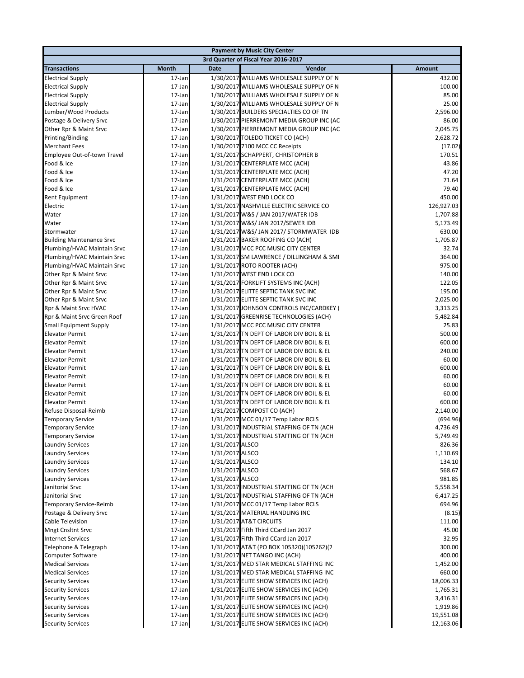|                                  |                                      |                 | <b>Payment by Music City Center</b>      |               |  |  |  |
|----------------------------------|--------------------------------------|-----------------|------------------------------------------|---------------|--|--|--|
|                                  | 3rd Quarter of Fiscal Year 2016-2017 |                 |                                          |               |  |  |  |
| <b>Transactions</b>              | Month                                | <b>Date</b>     | Vendor                                   | <b>Amount</b> |  |  |  |
| <b>Electrical Supply</b>         | 17-Jan                               |                 | 1/30/2017 WILLIAMS WHOLESALE SUPPLY OF N | 432.00        |  |  |  |
| <b>Electrical Supply</b>         | 17-Jan                               |                 | 1/30/2017 WILLIAMS WHOLESALE SUPPLY OF N | 100.00        |  |  |  |
| <b>Electrical Supply</b>         | 17-Jan                               |                 | 1/30/2017 WILLIAMS WHOLESALE SUPPLY OF N | 85.00         |  |  |  |
| <b>Electrical Supply</b>         | 17-Jan                               |                 | 1/30/2017 WILLIAMS WHOLESALE SUPPLY OF N | 25.00         |  |  |  |
| Lumber/Wood Products             | 17-Jan                               |                 | 1/30/2017 BUILDERS SPECIALTIES CO OF TN  | 2,596.00      |  |  |  |
| Postage & Delivery Srvc          | 17-Jan                               |                 | 1/30/2017 PIERREMONT MEDIA GROUP INC (AC | 86.00         |  |  |  |
| Other Rpr & Maint Srvc           | 17-Jan                               |                 | 1/30/2017 PIERREMONT MEDIA GROUP INC (AC | 2,045.75      |  |  |  |
| Printing/Binding                 | 17-Jan                               |                 | 1/30/2017 TOLEDO TICKET CO (ACH)         | 2,628.72      |  |  |  |
| <b>Merchant Fees</b>             | 17-Jan                               |                 | 1/30/2017 7100 MCC CC Receipts           | (17.02)       |  |  |  |
| Employee Out-of-town Travel      | 17-Jan                               |                 | 1/31/2017 SCHAPPERT, CHRISTOPHER B       | 170.51        |  |  |  |
| Food & Ice                       | 17-Jan                               |                 | 1/31/2017 CENTERPLATE MCC (ACH)          | 43.86         |  |  |  |
| Food & Ice                       | 17-Jan                               |                 | 1/31/2017 CENTERPLATE MCC (ACH)          | 47.20         |  |  |  |
| Food & Ice                       | 17-Jan                               |                 | 1/31/2017 CENTERPLATE MCC (ACH)          | 71.64         |  |  |  |
| Food & Ice                       | 17-Jan                               |                 | 1/31/2017 CENTERPLATE MCC (ACH)          | 79.40         |  |  |  |
| Rent Equipment                   | 17-Jan                               |                 | 1/31/2017 WEST END LOCK CO               | 450.00        |  |  |  |
| Electric                         | 17-Jan                               |                 | 1/31/2017 NASHVILLE ELECTRIC SERVICE CO  | 126,927.03    |  |  |  |
| Water                            | 17-Jan                               |                 | 1/31/2017 W&S / JAN 2017/WATER IDB       | 1,707.88      |  |  |  |
| Water                            | 17-Jan                               |                 | 1/31/2017 W&S/ JAN 2017/SEWER IDB        | 5,173.49      |  |  |  |
| Stormwater                       | 17-Jan                               |                 | 1/31/2017 W&S/ JAN 2017/ STORMWATER IDB  | 630.00        |  |  |  |
| <b>Building Maintenance Srvc</b> | 17-Jan                               |                 | 1/31/2017 BAKER ROOFING CO (ACH)         | 1,705.87      |  |  |  |
| Plumbing/HVAC Maintain Srvc      | 17-Jan                               |                 | 1/31/2017 MCC PCC MUSIC CITY CENTER      | 32.74         |  |  |  |
| Plumbing/HVAC Maintain Srvc      | 17-Jan                               |                 | 1/31/2017 SM LAWRENCE / DILLINGHAM & SMI | 364.00        |  |  |  |
| Plumbing/HVAC Maintain Srvc      | 17-Jan                               |                 | 1/31/2017 ROTO ROOTER (ACH)              | 975.00        |  |  |  |
| Other Rpr & Maint Srvc           | 17-Jan                               |                 | 1/31/2017 WEST END LOCK CO               | 140.00        |  |  |  |
| Other Rpr & Maint Srvc           | 17-Jan                               |                 | 1/31/2017 FORKLIFT SYSTEMS INC (ACH)     | 122.05        |  |  |  |
| Other Rpr & Maint Srvc           | 17-Jan                               |                 | 1/31/2017 ELITTE SEPTIC TANK SVC INC     | 195.00        |  |  |  |
| Other Rpr & Maint Srvc           | 17-Jan                               |                 | 1/31/2017 ELITTE SEPTIC TANK SVC INC     | 2,025.00      |  |  |  |
| Rpr & Maint Srvc HVAC            | 17-Jan                               |                 | 1/31/2017 JOHNSON CONTROLS INC/CARDKEY ( | 3,313.25      |  |  |  |
| Rpr & Maint Srvc Green Roof      | 17-Jan                               |                 | 1/31/2017 GREENRISE TECHNOLOGIES (ACH)   | 5,482.84      |  |  |  |
| <b>Small Equipment Supply</b>    | 17-Jan                               |                 | 1/31/2017 MCC PCC MUSIC CITY CENTER      | 25.83         |  |  |  |
| <b>Elevator Permit</b>           | 17-Jan                               |                 | 1/31/2017 TN DEPT OF LABOR DIV BOIL & EL | 500.00        |  |  |  |
| <b>Elevator Permit</b>           | 17-Jan                               |                 | 1/31/2017 TN DEPT OF LABOR DIV BOIL & EL | 600.00        |  |  |  |
| <b>Elevator Permit</b>           | 17-Jan                               |                 | 1/31/2017 TN DEPT OF LABOR DIV BOIL & EL | 240.00        |  |  |  |
| <b>Elevator Permit</b>           | 17-Jan                               |                 | 1/31/2017 TN DEPT OF LABOR DIV BOIL & EL | 60.00         |  |  |  |
| <b>Elevator Permit</b>           | 17-Jan                               |                 | 1/31/2017 TN DEPT OF LABOR DIV BOIL & EL | 600.00        |  |  |  |
| <b>Elevator Permit</b>           | 17-Jan                               |                 | 1/31/2017 TN DEPT OF LABOR DIV BOIL & EL | 60.00         |  |  |  |
| <b>Elevator Permit</b>           | 17-Jan                               |                 | 1/31/2017 TN DEPT OF LABOR DIV BOIL & EL | 60.00         |  |  |  |
| <b>Elevator Permit</b>           | 17-Jan                               |                 | 1/31/2017 TN DEPT OF LABOR DIV BOIL & EL | 60.00         |  |  |  |
| <b>Elevator Permit</b>           | 17-Jan                               |                 | 1/31/2017 TN DEPT OF LABOR DIV BOIL & EL | 600.00        |  |  |  |
| Refuse Disposal-Reimb            | 17-Jan                               |                 | 1/31/2017 COMPOST CO (ACH)               | 2,140.00      |  |  |  |
| <b>Temporary Service</b>         | 17-Jan                               |                 | 1/31/2017 MCC 01/17 Temp Labor RCLS      | (694.96)      |  |  |  |
| <b>Temporary Service</b>         | 17-Jan                               |                 | 1/31/2017 INDUSTRIAL STAFFING OF TN (ACH | 4,736.49      |  |  |  |
| <b>Temporary Service</b>         | 17-Jan                               |                 | 1/31/2017 INDUSTRIAL STAFFING OF TN (ACH | 5,749.49      |  |  |  |
| <b>Laundry Services</b>          | 17-Jan                               | 1/31/2017 ALSCO |                                          | 826.36        |  |  |  |
| <b>Laundry Services</b>          | 17-Jan                               | 1/31/2017 ALSCO |                                          | 1,110.69      |  |  |  |
| <b>Laundry Services</b>          | 17-Jan                               | 1/31/2017 ALSCO |                                          | 134.10        |  |  |  |
| <b>Laundry Services</b>          | 17-Jan                               | 1/31/2017 ALSCO |                                          | 568.67        |  |  |  |
| Laundry Services                 | 17-Jan                               | 1/31/2017 ALSCO |                                          | 981.85        |  |  |  |
| Janitorial Srvc                  | 17-Jan                               |                 | 1/31/2017 INDUSTRIAL STAFFING OF TN (ACH | 5,558.34      |  |  |  |
| Janitorial Srvc                  | 17-Jan                               |                 | 1/31/2017 INDUSTRIAL STAFFING OF TN (ACH | 6,417.25      |  |  |  |
| Temporary Service-Reimb          | 17-Jan                               |                 | 1/31/2017 MCC 01/17 Temp Labor RCLS      | 694.96        |  |  |  |
| Postage & Delivery Srvc          | 17-Jan                               |                 | 1/31/2017 MATERIAL HANDLING INC          | (8.15)        |  |  |  |
| Cable Television                 | 17-Jan                               |                 | 1/31/2017 AT&T CIRCUITS                  | 111.00        |  |  |  |
| <b>Mngt Cnsltnt Srvc</b>         | 17-Jan                               |                 | 1/31/2017 Fifth Third CCard Jan 2017     | 45.00         |  |  |  |
| <b>Internet Services</b>         | 17-Jan                               |                 | 1/31/2017 Fifth Third CCard Jan 2017     | 32.95         |  |  |  |
| Telephone & Telegraph            | 17-Jan                               |                 | 1/31/2017 AT&T (PO BOX 105320)(105262)(7 | 300.00        |  |  |  |
| Computer Software                | 17-Jan                               |                 | 1/31/2017 NET TANGO INC (ACH)            | 400.00        |  |  |  |
| <b>Medical Services</b>          | 17-Jan                               |                 | 1/31/2017 MED STAR MEDICAL STAFFING INC  | 1,452.00      |  |  |  |
| <b>Medical Services</b>          | 17-Jan                               |                 | 1/31/2017 MED STAR MEDICAL STAFFING INC  | 660.00        |  |  |  |
| <b>Security Services</b>         | 17-Jan                               |                 | 1/31/2017 ELITE SHOW SERVICES INC (ACH)  | 18,006.33     |  |  |  |
| <b>Security Services</b>         | 17-Jan                               |                 | 1/31/2017 ELITE SHOW SERVICES INC (ACH)  | 1,765.31      |  |  |  |
| <b>Security Services</b>         | 17-Jan                               |                 | 1/31/2017 ELITE SHOW SERVICES INC (ACH)  | 3,416.31      |  |  |  |
| <b>Security Services</b>         | 17-Jan                               |                 | 1/31/2017 ELITE SHOW SERVICES INC (ACH)  | 1,919.86      |  |  |  |
| <b>Security Services</b>         | 17-Jan                               |                 | 1/31/2017 ELITE SHOW SERVICES INC (ACH)  | 19,551.08     |  |  |  |
| <b>Security Services</b>         | 17-Jan                               |                 | 1/31/2017 ELITE SHOW SERVICES INC (ACH)  | 12,163.06     |  |  |  |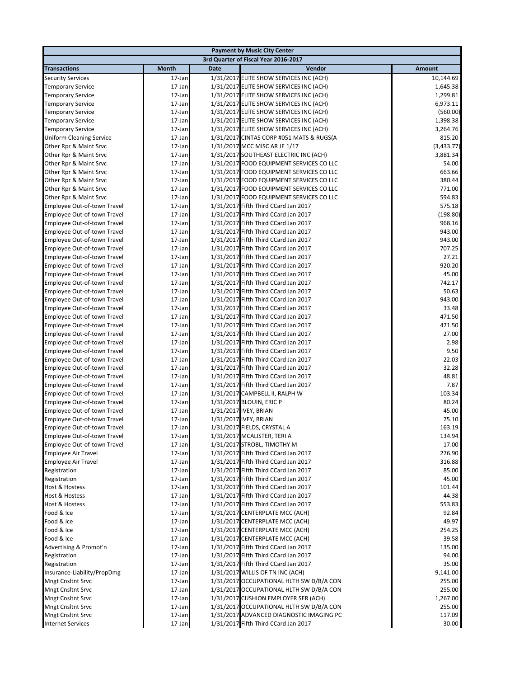|                                 |                                      |             | <b>Payment by Music City Center</b>      |               |  |  |  |
|---------------------------------|--------------------------------------|-------------|------------------------------------------|---------------|--|--|--|
|                                 | 3rd Quarter of Fiscal Year 2016-2017 |             |                                          |               |  |  |  |
| <b>Transactions</b>             | Month                                | <b>Date</b> | Vendor                                   | <b>Amount</b> |  |  |  |
| <b>Security Services</b>        | 17-Jan                               |             | 1/31/2017 ELITE SHOW SERVICES INC (ACH)  | 10,144.69     |  |  |  |
| <b>Temporary Service</b>        | 17-Jan                               |             | 1/31/2017 ELITE SHOW SERVICES INC (ACH)  | 1,645.38      |  |  |  |
| <b>Temporary Service</b>        | 17-Jan                               |             | 1/31/2017 ELITE SHOW SERVICES INC (ACH)  | 1,299.81      |  |  |  |
| <b>Temporary Service</b>        | 17-Jan                               |             | 1/31/2017 ELITE SHOW SERVICES INC (ACH)  | 6,973.11      |  |  |  |
| <b>Temporary Service</b>        | 17-Jan                               |             | 1/31/2017 ELITE SHOW SERVICES INC (ACH)  | (560.00)      |  |  |  |
| <b>Temporary Service</b>        | 17-Jan                               |             | 1/31/2017 ELITE SHOW SERVICES INC (ACH)  | 1,398.38      |  |  |  |
| <b>Temporary Service</b>        | 17-Jan                               |             | 1/31/2017 ELITE SHOW SERVICES INC (ACH)  | 3,264.76      |  |  |  |
| <b>Uniform Cleaning Service</b> | 17-Jan                               |             | 1/31/2017 CINTAS CORP #051 MATS & RUGS(A | 815.20        |  |  |  |
| Other Rpr & Maint Srvc          | 17-Jan                               |             | 1/31/2017 MCC MISC AR JE 1/17            | (3,433.77)    |  |  |  |
| Other Rpr & Maint Srvc          | 17-Jan                               |             | 1/31/2017 SOUTHEAST ELECTRIC INC (ACH)   | 3,881.34      |  |  |  |
| Other Rpr & Maint Srvc          | 17-Jan                               |             | 1/31/2017 FOOD EQUIPMENT SERVICES CO LLC | 54.00         |  |  |  |
| Other Rpr & Maint Srvc          | 17-Jan                               |             | 1/31/2017 FOOD EQUIPMENT SERVICES CO LLC | 663.66        |  |  |  |
| Other Rpr & Maint Srvc          | 17-Jan                               |             | 1/31/2017 FOOD EQUIPMENT SERVICES CO LLC | 380.44        |  |  |  |
| Other Rpr & Maint Srvc          | 17-Jan                               |             | 1/31/2017 FOOD EQUIPMENT SERVICES CO LLC | 771.00        |  |  |  |
| Other Rpr & Maint Srvc          | 17-Jan                               |             | 1/31/2017 FOOD EQUIPMENT SERVICES CO LLC | 594.83        |  |  |  |
| Employee Out-of-town Travel     | 17-Jan                               |             | 1/31/2017 Fifth Third CCard Jan 2017     | 575.18        |  |  |  |
| Employee Out-of-town Travel     | 17-Jan                               |             | 1/31/2017 Fifth Third CCard Jan 2017     | (198.80)      |  |  |  |
| Employee Out-of-town Travel     | 17-Jan                               |             | 1/31/2017 Fifth Third CCard Jan 2017     | 968.16        |  |  |  |
| Employee Out-of-town Travel     | 17-Jan                               |             | 1/31/2017 Fifth Third CCard Jan 2017     | 943.00        |  |  |  |
|                                 |                                      |             |                                          |               |  |  |  |
| Employee Out-of-town Travel     | 17-Jan                               |             | 1/31/2017 Fifth Third CCard Jan 2017     | 943.00        |  |  |  |
| Employee Out-of-town Travel     | 17-Jan                               |             | 1/31/2017 Fifth Third CCard Jan 2017     | 707.25        |  |  |  |
| Employee Out-of-town Travel     | 17-Jan                               |             | 1/31/2017 Fifth Third CCard Jan 2017     | 27.21         |  |  |  |
| Employee Out-of-town Travel     | 17-Jan                               |             | 1/31/2017 Fifth Third CCard Jan 2017     | 920.20        |  |  |  |
| Employee Out-of-town Travel     | 17-Jan                               |             | 1/31/2017 Fifth Third CCard Jan 2017     | 45.00         |  |  |  |
| Employee Out-of-town Travel     | 17-Jan                               |             | 1/31/2017 Fifth Third CCard Jan 2017     | 742.17        |  |  |  |
| Employee Out-of-town Travel     | 17-Jan                               |             | 1/31/2017 Fifth Third CCard Jan 2017     | 50.63         |  |  |  |
| Employee Out-of-town Travel     | 17-Jan                               |             | 1/31/2017 Fifth Third CCard Jan 2017     | 943.00        |  |  |  |
| Employee Out-of-town Travel     | 17-Jan                               |             | 1/31/2017 Fifth Third CCard Jan 2017     | 33.48         |  |  |  |
| Employee Out-of-town Travel     | 17-Jan                               |             | 1/31/2017 Fifth Third CCard Jan 2017     | 471.50        |  |  |  |
| Employee Out-of-town Travel     | 17-Jan                               |             | 1/31/2017 Fifth Third CCard Jan 2017     | 471.50        |  |  |  |
| Employee Out-of-town Travel     | 17-Jan                               |             | 1/31/2017 Fifth Third CCard Jan 2017     | 27.00         |  |  |  |
| Employee Out-of-town Travel     | 17-Jan                               |             | 1/31/2017 Fifth Third CCard Jan 2017     | 2.98          |  |  |  |
| Employee Out-of-town Travel     | 17-Jan                               |             | 1/31/2017 Fifth Third CCard Jan 2017     | 9.50          |  |  |  |
| Employee Out-of-town Travel     | 17-Jan                               |             | 1/31/2017 Fifth Third CCard Jan 2017     | 22.03         |  |  |  |
| Employee Out-of-town Travel     | 17-Jan                               |             | 1/31/2017 Fifth Third CCard Jan 2017     | 32.28         |  |  |  |
| Employee Out-of-town Travel     | 17-Jan                               |             | 1/31/2017 Fifth Third CCard Jan 2017     | 48.81         |  |  |  |
| Employee Out-of-town Travel     | 17-Jan                               |             | 1/31/2017 Fifth Third CCard Jan 2017     | 7.87          |  |  |  |
| Employee Out-of-town Travel     | 17-Jan                               |             | 1/31/2017 CAMPBELL II, RALPH W           | 103.34        |  |  |  |
| Employee Out-of-town Travel     | 17-Jan                               |             | 1/31/2017 BLOUIN, ERIC P                 | 80.24         |  |  |  |
| Employee Out-of-town Travel     | 17-Jan                               |             | 1/31/2017 IVEY, BRIAN                    | 45.00         |  |  |  |
| Employee Out-of-town Travel     | 17-Jan                               |             | 1/31/2017 IVEY, BRIAN                    | 75.10         |  |  |  |
| Employee Out-of-town Travel     | 17-Jan                               |             | 1/31/2017 FIELDS, CRYSTAL A              | 163.19        |  |  |  |
| Employee Out-of-town Travel     | 17-Jan                               |             | 1/31/2017 MCALISTER, TERI A              | 134.94        |  |  |  |
| Employee Out-of-town Travel     | 17-Jan                               |             | 1/31/2017 STROBL, TIMOTHY M              | 17.00         |  |  |  |
| <b>Employee Air Travel</b>      | 17-Jan                               |             | 1/31/2017 Fifth Third CCard Jan 2017     | 276.90        |  |  |  |
| Employee Air Travel             | 17-Jan                               |             | 1/31/2017 Fifth Third CCard Jan 2017     | 316.88        |  |  |  |
| Registration                    | 17-Jan                               |             | 1/31/2017 Fifth Third CCard Jan 2017     | 85.00         |  |  |  |
| Registration                    | 17-Jan                               |             | 1/31/2017 Fifth Third CCard Jan 2017     | 45.00         |  |  |  |
| <b>Host &amp; Hostess</b>       | 17-Jan                               |             | 1/31/2017 Fifth Third CCard Jan 2017     | 101.44        |  |  |  |
| Host & Hostess                  | 17-Jan                               |             | 1/31/2017 Fifth Third CCard Jan 2017     | 44.38         |  |  |  |
| Host & Hostess                  | 17-Jan                               |             | 1/31/2017 Fifth Third CCard Jan 2017     | 553.83        |  |  |  |
| Food & Ice                      | 17-Jan                               |             | 1/31/2017 CENTERPLATE MCC (ACH)          | 92.84         |  |  |  |
| Food & Ice                      | 17-Jan                               |             | 1/31/2017 CENTERPLATE MCC (ACH)          | 49.97         |  |  |  |
| Food & Ice                      | 17-Jan                               |             | 1/31/2017 CENTERPLATE MCC (ACH)          | 254.25        |  |  |  |
| Food & Ice                      | 17-Jan                               |             | 1/31/2017 CENTERPLATE MCC (ACH)          | 39.58         |  |  |  |
| Advertising & Promot'n          | 17-Jan                               |             | 1/31/2017 Fifth Third CCard Jan 2017     | 135.00        |  |  |  |
| Registration                    | 17-Jan                               |             | 1/31/2017 Fifth Third CCard Jan 2017     | 94.00         |  |  |  |
| Registration                    | 17-Jan                               |             | 1/31/2017 Fifth Third CCard Jan 2017     | 35.00         |  |  |  |
| Insurance-Liability/PropDmg     | 17-Jan                               |             | 1/31/2017 WILLIS OF TN INC (ACH)         | 9,141.00      |  |  |  |
| <b>Mngt Cnsltnt Srvc</b>        | 17-Jan                               |             | 1/31/2017 OCCUPATIONAL HLTH SW D/B/A CON | 255.00        |  |  |  |
| <b>Mngt Cnsltnt Srvc</b>        | 17-Jan                               |             | 1/31/2017 OCCUPATIONAL HLTH SW D/B/A CON | 255.00        |  |  |  |
| <b>Mngt Cnsltnt Srvc</b>        | 17-Jan                               |             | 1/31/2017 CUSHION EMPLOYER SER (ACH)     | 1,267.00      |  |  |  |
| <b>Mngt Cnsltnt Srvc</b>        | 17-Jan                               |             | 1/31/2017 OCCUPATIONAL HLTH SW D/B/A CON | 255.00        |  |  |  |
| <b>Mngt Cnsltnt Srvc</b>        | 17-Jan                               |             | 1/31/2017 ADVANCED DIAGNOSTIC IMAGING PC | 117.09        |  |  |  |
| <b>Internet Services</b>        | 17-Jan                               |             | 1/31/2017 Fifth Third CCard Jan 2017     | 30.00         |  |  |  |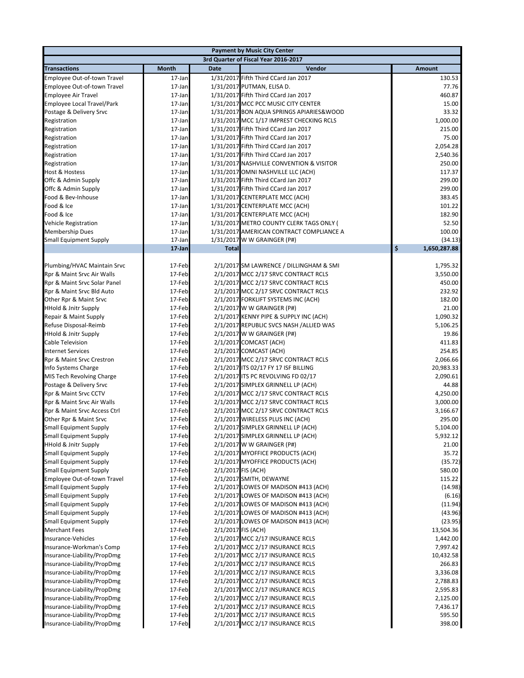|                                                            |                                      |              | <b>Payment by Music City Center</b>                                  |                      |  |  |  |
|------------------------------------------------------------|--------------------------------------|--------------|----------------------------------------------------------------------|----------------------|--|--|--|
|                                                            | 3rd Quarter of Fiscal Year 2016-2017 |              |                                                                      |                      |  |  |  |
| <b>Transactions</b>                                        | Month                                | <b>Date</b>  | Vendor                                                               | <b>Amount</b>        |  |  |  |
| Employee Out-of-town Travel                                | 17-Jan                               |              | 1/31/2017 Fifth Third CCard Jan 2017                                 | 130.53               |  |  |  |
| Employee Out-of-town Travel                                | 17-Jan                               |              | 1/31/2017 PUTMAN, ELISA D.                                           | 77.76                |  |  |  |
| <b>Employee Air Travel</b>                                 | 17-Jan                               |              | 1/31/2017 Fifth Third CCard Jan 2017                                 | 460.87               |  |  |  |
| Employee Local Travel/Park                                 | 17-Jan                               |              | 1/31/2017 MCC PCC MUSIC CITY CENTER                                  | 15.00                |  |  |  |
| Postage & Delivery Srvc                                    | 17-Jan                               |              | 1/31/2017 BON AQUA SPRINGS APIARIES& WOOD                            | 33.32                |  |  |  |
| Registration                                               | 17-Jan                               |              | 1/31/2017 MCC 1/17 IMPREST CHECKING RCLS                             | 1,000.00             |  |  |  |
| Registration                                               | 17-Jan                               |              | 1/31/2017 Fifth Third CCard Jan 2017                                 | 215.00               |  |  |  |
| Registration                                               | 17-Jan                               |              | 1/31/2017 Fifth Third CCard Jan 2017                                 | 75.00                |  |  |  |
| Registration                                               | 17-Jan                               |              | 1/31/2017 Fifth Third CCard Jan 2017                                 | 2,054.28             |  |  |  |
| Registration                                               | 17-Jan                               |              | 1/31/2017 Fifth Third CCard Jan 2017                                 | 2,540.36             |  |  |  |
| Registration                                               | 17-Jan                               |              | 1/31/2017 NASHVILLE CONVENTION & VISITOR                             | 250.00               |  |  |  |
| Host & Hostess                                             | 17-Jan                               |              | 1/31/2017 OMNI NASHVILLE LLC (ACH)                                   | 117.37               |  |  |  |
| Offc & Admin Supply                                        | 17-Jan                               |              | 1/31/2017 Fifth Third CCard Jan 2017                                 | 299.00               |  |  |  |
| Offc & Admin Supply                                        | 17-Jan                               |              | 1/31/2017 Fifth Third CCard Jan 2017                                 | 299.00               |  |  |  |
| Food & Bev-Inhouse                                         | 17-Jan                               |              | 1/31/2017 CENTERPLATE MCC (ACH)                                      | 383.45               |  |  |  |
| Food & Ice                                                 | 17-Jan                               |              | 1/31/2017 CENTERPLATE MCC (ACH)                                      | 101.22               |  |  |  |
| Food & Ice                                                 | 17-Jan                               |              | 1/31/2017 CENTERPLATE MCC (ACH)                                      | 182.90               |  |  |  |
| <b>Vehicle Registration</b>                                | 17-Jan                               |              | 1/31/2017 METRO COUNTY CLERK TAGS ONLY (                             | 52.50                |  |  |  |
| <b>Membership Dues</b>                                     | 17-Jan                               |              | 1/31/2017 AMERICAN CONTRACT COMPLIANCE A                             | 100.00               |  |  |  |
| <b>Small Equipment Supply</b>                              | 17-Jan                               |              | 1/31/2017 W W GRAINGER (P#)                                          | (34.13)              |  |  |  |
|                                                            | 17-Jan                               | <b>Total</b> |                                                                      | \$<br>1,650,287.88   |  |  |  |
|                                                            |                                      |              |                                                                      |                      |  |  |  |
| Plumbing/HVAC Maintain Srvc                                | 17-Feb                               |              | 2/1/2017 SM LAWRENCE / DILLINGHAM & SMI                              | 1,795.32             |  |  |  |
| Rpr & Maint Srvc Air Walls                                 | 17-Feb                               |              | 2/1/2017 MCC 2/17 SRVC CONTRACT RCLS                                 | 3,550.00             |  |  |  |
| Rpr & Maint Srvc Solar Panel                               | 17-Feb                               |              | 2/1/2017 MCC 2/17 SRVC CONTRACT RCLS                                 | 450.00               |  |  |  |
| Rpr & Maint Srvc Bld Auto                                  | 17-Feb                               |              | 2/1/2017 MCC 2/17 SRVC CONTRACT RCLS                                 | 232.92               |  |  |  |
| Other Rpr & Maint Srvc                                     | 17-Feb                               |              | 2/1/2017 FORKLIFT SYSTEMS INC (ACH)                                  | 182.00               |  |  |  |
| <b>HHold &amp; Jnitr Supply</b>                            | 17-Feb                               |              | 2/1/2017 W W GRAINGER (P#)                                           | 21.00                |  |  |  |
| Repair & Maint Supply                                      | 17-Feb                               |              | 2/1/2017 KENNY PIPE & SUPPLY INC (ACH)                               | 1,090.32             |  |  |  |
| Refuse Disposal-Reimb                                      | 17-Feb                               |              | 2/1/2017 REPUBLIC SVCS NASH /ALLIED WAS                              | 5,106.25             |  |  |  |
| <b>HHold &amp; Jnitr Supply</b>                            | 17-Feb                               |              | 2/1/2017 W W GRAINGER (P#)                                           | 19.86                |  |  |  |
| <b>Cable Television</b>                                    | 17-Feb                               |              | 2/1/2017 COMCAST (ACH)                                               | 411.83               |  |  |  |
| <b>Internet Services</b>                                   | 17-Feb                               |              | 2/1/2017 COMCAST (ACH)                                               | 254.85               |  |  |  |
| Rpr & Maint Srvc Crestron                                  | 17-Feb                               |              | 2/1/2017 MCC 2/17 SRVC CONTRACT RCLS                                 | 2,066.66             |  |  |  |
| Info Systems Charge                                        | 17-Feb                               |              | 2/1/2017 ITS 02/17 FY 17 ISF BILLING                                 | 20,983.33            |  |  |  |
| MIS Tech Revolving Charge                                  | 17-Feb                               |              | 2/1/2017 ITS PC REVOLVING FD 02/17                                   | 2,090.61             |  |  |  |
| Postage & Delivery Srvc                                    | 17-Feb                               |              | 2/1/2017 SIMPLEX GRINNELL LP (ACH)                                   | 44.88                |  |  |  |
| Rpr & Maint Srvc CCTV                                      | 17-Feb                               |              | 2/1/2017 MCC 2/17 SRVC CONTRACT RCLS                                 | 4,250.00             |  |  |  |
| Rpr & Maint Srvc Air Walls                                 | 17-Feb                               |              | 2/1/2017 MCC 2/17 SRVC CONTRACT RCLS                                 | 3,000.00             |  |  |  |
| Rpr & Maint Srvc Access Ctrl                               | 17-Feb                               |              | 2/1/2017 MCC 2/17 SRVC CONTRACT RCLS                                 | 3,166.67             |  |  |  |
| Other Rpr & Maint Srvc                                     | 17-Feb                               |              | 2/1/2017 WIRELESS PLUS INC (ACH)                                     | 295.00               |  |  |  |
| <b>Small Equipment Supply</b>                              | 17-Feb                               |              | 2/1/2017 SIMPLEX GRINNELL LP (ACH)                                   | 5,104.00             |  |  |  |
| <b>Small Equipment Supply</b>                              | 17-Feb                               |              | 2/1/2017 SIMPLEX GRINNELL LP (ACH)                                   | 5,932.12             |  |  |  |
| <b>HHold &amp; Jnitr Supply</b>                            | 17-Feb                               |              | 2/1/2017 W W GRAINGER (P#)                                           | 21.00                |  |  |  |
| <b>Small Equipment Supply</b>                              | 17-Feb                               |              | 2/1/2017 MYOFFICE PRODUCTS (ACH)                                     | 35.72                |  |  |  |
| <b>Small Equipment Supply</b>                              | 17-Feb                               |              | 2/1/2017 MYOFFICE PRODUCTS (ACH)                                     | (35.72)              |  |  |  |
| <b>Small Equipment Supply</b>                              | 17-Feb                               |              | 2/1/2017 FIS (ACH)                                                   | 580.00               |  |  |  |
| Employee Out-of-town Travel                                | 17-Feb                               |              | 2/1/2017 SMITH, DEWAYNE                                              | 115.22               |  |  |  |
| <b>Small Equipment Supply</b>                              | 17-Feb                               |              | 2/1/2017 LOWES OF MADISON #413 (ACH)                                 | (14.98)              |  |  |  |
| <b>Small Equipment Supply</b>                              | 17-Feb                               |              | 2/1/2017 LOWES OF MADISON #413 (ACH)                                 | (6.16)               |  |  |  |
| <b>Small Equipment Supply</b>                              | 17-Feb                               |              | 2/1/2017 LOWES OF MADISON #413 (ACH)                                 | (11.94)              |  |  |  |
| <b>Small Equipment Supply</b>                              | 17-Feb                               |              | 2/1/2017 LOWES OF MADISON #413 (ACH)                                 | (43.96)              |  |  |  |
| <b>Small Equipment Supply</b>                              | 17-Feb                               |              | 2/1/2017 LOWES OF MADISON #413 (ACH)                                 | (23.95)              |  |  |  |
| <b>Merchant Fees</b>                                       | 17-Feb                               |              | 2/1/2017 FIS (ACH)<br>2/1/2017 MCC 2/17 INSURANCE RCLS               | 13,504.36            |  |  |  |
| Insurance-Vehicles                                         | 17-Feb                               |              |                                                                      | 1,442.00             |  |  |  |
| Insurance-Workman's Comp                                   | 17-Feb                               |              | 2/1/2017 MCC 2/17 INSURANCE RCLS                                     | 7,997.42             |  |  |  |
| Insurance-Liability/PropDmg                                | 17-Feb                               |              | 2/1/2017 MCC 2/17 INSURANCE RCLS                                     | 10,432.58            |  |  |  |
| Insurance-Liability/PropDmg                                | 17-Feb                               |              | 2/1/2017 MCC 2/17 INSURANCE RCLS                                     | 266.83               |  |  |  |
| Insurance-Liability/PropDmg                                | 17-Feb                               |              | 2/1/2017 MCC 2/17 INSURANCE RCLS<br>2/1/2017 MCC 2/17 INSURANCE RCLS | 3,336.08             |  |  |  |
| Insurance-Liability/PropDmg                                | 17-Feb                               |              |                                                                      | 2,788.83             |  |  |  |
| Insurance-Liability/PropDmg                                | 17-Feb                               |              | 2/1/2017 MCC 2/17 INSURANCE RCLS<br>2/1/2017 MCC 2/17 INSURANCE RCLS | 2,595.83             |  |  |  |
| Insurance-Liability/PropDmg<br>Insurance-Liability/PropDmg | 17-Feb<br>17-Feb                     |              | 2/1/2017 MCC 2/17 INSURANCE RCLS                                     | 2,125.00<br>7,436.17 |  |  |  |
| Insurance-Liability/PropDmg                                | 17-Feb                               |              | 2/1/2017 MCC 2/17 INSURANCE RCLS                                     | 595.50               |  |  |  |
| Insurance-Liability/PropDmg                                | 17-Feb                               |              | 2/1/2017 MCC 2/17 INSURANCE RCLS                                     | 398.00               |  |  |  |
|                                                            |                                      |              |                                                                      |                      |  |  |  |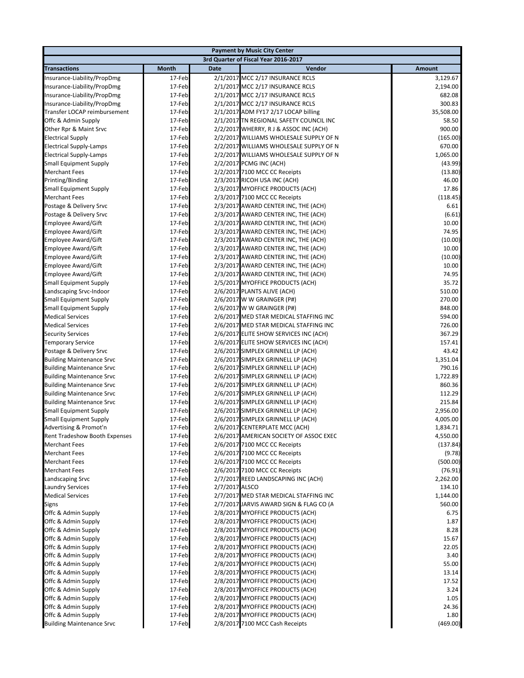| <b>Payment by Music City Center</b>                            |                                      |                |                                                                          |                      |  |  |
|----------------------------------------------------------------|--------------------------------------|----------------|--------------------------------------------------------------------------|----------------------|--|--|
|                                                                | 3rd Quarter of Fiscal Year 2016-2017 |                |                                                                          |                      |  |  |
| <b>Transactions</b>                                            | Month                                | <b>Date</b>    | Vendor                                                                   | <b>Amount</b>        |  |  |
| Insurance-Liability/PropDmg                                    | 17-Feb                               |                | 2/1/2017 MCC 2/17 INSURANCE RCLS                                         | 3,129.67             |  |  |
| Insurance-Liability/PropDmg                                    | 17-Feb                               |                | 2/1/2017 MCC 2/17 INSURANCE RCLS                                         | 2,194.00             |  |  |
| Insurance-Liability/PropDmg                                    | 17-Feb                               |                | 2/1/2017 MCC 2/17 INSURANCE RCLS                                         | 682.08               |  |  |
| Insurance-Liability/PropDmg                                    | 17-Feb                               |                | 2/1/2017 MCC 2/17 INSURANCE RCLS                                         | 300.83               |  |  |
| Transfer LOCAP reimbursement                                   | 17-Feb                               |                | 2/1/2017 ADM FY17 2/17 LOCAP billing                                     | 35,508.00            |  |  |
| Offc & Admin Supply                                            | 17-Feb                               |                | 2/1/2017 TN REGIONAL SAFETY COUNCIL INC                                  | 58.50                |  |  |
| Other Rpr & Maint Srvc                                         | 17-Feb                               |                | 2/2/2017 WHERRY, R J & ASSOC INC (ACH)                                   | 900.00               |  |  |
| <b>Electrical Supply</b>                                       | 17-Feb                               |                | 2/2/2017 WILLIAMS WHOLESALE SUPPLY OF N                                  | (165.00)             |  |  |
| <b>Electrical Supply-Lamps</b>                                 | 17-Feb                               |                | 2/2/2017 WILLIAMS WHOLESALE SUPPLY OF N                                  | 670.00               |  |  |
| <b>Electrical Supply-Lamps</b>                                 | 17-Feb                               |                | 2/2/2017 WILLIAMS WHOLESALE SUPPLY OF N                                  | 1,065.00             |  |  |
| <b>Small Equipment Supply</b>                                  | 17-Feb<br>17-Feb                     |                | 2/2/2017 PCMG INC (ACH)                                                  | (43.99)              |  |  |
| <b>Merchant Fees</b>                                           | 17-Feb                               |                | 2/2/2017 7100 MCC CC Receipts                                            | (13.80)<br>46.00     |  |  |
| Printing/Binding<br><b>Small Equipment Supply</b>              | 17-Feb                               |                | 2/3/2017 RICOH USA INC (ACH)<br>2/3/2017 MYOFFICE PRODUCTS (ACH)         | 17.86                |  |  |
| <b>Merchant Fees</b>                                           | 17-Feb                               |                | 2/3/2017 7100 MCC CC Receipts                                            | (118.45)             |  |  |
| Postage & Delivery Srvc                                        | 17-Feb                               |                | 2/3/2017 AWARD CENTER INC, THE (ACH)                                     | 6.61                 |  |  |
| Postage & Delivery Srvc                                        | 17-Feb                               |                | 2/3/2017 AWARD CENTER INC, THE (ACH)                                     | (6.61)               |  |  |
| <b>Employee Award/Gift</b>                                     | 17-Feb                               |                | 2/3/2017 AWARD CENTER INC, THE (ACH)                                     | 10.00                |  |  |
| <b>Employee Award/Gift</b>                                     | 17-Feb                               |                | 2/3/2017 AWARD CENTER INC, THE (ACH)                                     | 74.95                |  |  |
| <b>Employee Award/Gift</b>                                     | 17-Feb                               |                | 2/3/2017 AWARD CENTER INC, THE (ACH)                                     | (10.00)              |  |  |
| <b>Employee Award/Gift</b>                                     | 17-Feb                               |                | 2/3/2017 AWARD CENTER INC, THE (ACH)                                     | 10.00                |  |  |
| <b>Employee Award/Gift</b>                                     | 17-Feb                               |                | 2/3/2017 AWARD CENTER INC, THE (ACH)                                     | (10.00)              |  |  |
| Employee Award/Gift                                            | 17-Feb                               |                | 2/3/2017 AWARD CENTER INC, THE (ACH)                                     | 10.00                |  |  |
| <b>Employee Award/Gift</b>                                     | 17-Feb                               |                | 2/3/2017 AWARD CENTER INC, THE (ACH)                                     | 74.95                |  |  |
| <b>Small Equipment Supply</b>                                  | 17-Feb                               |                | 2/5/2017 MYOFFICE PRODUCTS (ACH)                                         | 35.72                |  |  |
| Landscaping Srvc-Indoor                                        | 17-Feb                               |                | 2/6/2017 PLANTS ALIVE (ACH)                                              | 510.00               |  |  |
| <b>Small Equipment Supply</b>                                  | 17-Feb                               |                | 2/6/2017 W W GRAINGER (P#)                                               | 270.00               |  |  |
| <b>Small Equipment Supply</b>                                  | 17-Feb                               |                | 2/6/2017 W W GRAINGER (P#)                                               | 848.00               |  |  |
| <b>Medical Services</b>                                        | 17-Feb                               |                | 2/6/2017 MED STAR MEDICAL STAFFING INC                                   | 594.00               |  |  |
| <b>Medical Services</b>                                        | 17-Feb                               |                | 2/6/2017 MED STAR MEDICAL STAFFING INC                                   | 726.00               |  |  |
| <b>Security Services</b>                                       | 17-Feb                               |                | 2/6/2017 ELITE SHOW SERVICES INC (ACH)                                   | 367.29               |  |  |
| <b>Temporary Service</b>                                       | 17-Feb                               |                | 2/6/2017 ELITE SHOW SERVICES INC (ACH)                                   | 157.41               |  |  |
| Postage & Delivery Srvc                                        | 17-Feb                               |                | 2/6/2017 SIMPLEX GRINNELL LP (ACH)                                       | 43.42                |  |  |
| <b>Building Maintenance Srvc</b>                               | 17-Feb                               |                | 2/6/2017 SIMPLEX GRINNELL LP (ACH)                                       | 1,351.04             |  |  |
| <b>Building Maintenance Srvc</b>                               | 17-Feb                               |                | 2/6/2017 SIMPLEX GRINNELL LP (ACH)                                       | 790.16               |  |  |
| <b>Building Maintenance Srvc</b>                               | 17-Feb                               |                | 2/6/2017 SIMPLEX GRINNELL LP (ACH)                                       | 1,722.89             |  |  |
| <b>Building Maintenance Srvc</b>                               | 17-Feb                               |                | 2/6/2017 SIMPLEX GRINNELL LP (ACH)                                       | 860.36               |  |  |
| <b>Building Maintenance Srvc</b>                               | 17-Feb                               |                | 2/6/2017 SIMPLEX GRINNELL LP (ACH)                                       | 112.29               |  |  |
| <b>Building Maintenance Srvc</b>                               | 17-Feb                               |                | 2/6/2017 SIMPLEX GRINNELL LP (ACH)<br>2/6/2017 SIMPLEX GRINNELL LP (ACH) | 215.84               |  |  |
| <b>Small Equipment Supply</b><br><b>Small Equipment Supply</b> | 17-Feb<br>17-Feb                     |                | 2/6/2017 SIMPLEX GRINNELL LP (ACH)                                       | 2,956.00<br>4,005.00 |  |  |
| Advertising & Promot'n                                         | 17-Feb                               |                | 2/6/2017 CENTERPLATE MCC (ACH)                                           | 1,834.71             |  |  |
| Rent Tradeshow Booth Expenses                                  | 17-Feb                               |                | 2/6/2017 AMERICAN SOCIETY OF ASSOC EXEC                                  | 4,550.00             |  |  |
| <b>Merchant Fees</b>                                           | 17-Feb                               |                | 2/6/2017 7100 MCC CC Receipts                                            | (137.84)             |  |  |
| <b>Merchant Fees</b>                                           | 17-Feb                               |                | 2/6/2017 7100 MCC CC Receipts                                            | (9.78)               |  |  |
| <b>Merchant Fees</b>                                           | 17-Feb                               |                | 2/6/2017 7100 MCC CC Receipts                                            | (500.00)             |  |  |
| <b>Merchant Fees</b>                                           | 17-Feb                               |                | 2/6/2017 7100 MCC CC Receipts                                            | (76.91)              |  |  |
| Landscaping Srvc                                               | 17-Feb                               |                | 2/7/2017 REED LANDSCAPING INC (ACH)                                      | 2,262.00             |  |  |
| <b>Laundry Services</b>                                        | 17-Feb                               | 2/7/2017 ALSCO |                                                                          | 134.10               |  |  |
| <b>Medical Services</b>                                        | 17-Feb                               |                | 2/7/2017 MED STAR MEDICAL STAFFING INC                                   | 1,144.00             |  |  |
| Signs                                                          | 17-Feb                               |                | 2/7/2017 JARVIS AWARD SIGN & FLAG CO (A                                  | 560.00               |  |  |
| Offc & Admin Supply                                            | 17-Feb                               |                | 2/8/2017 MYOFFICE PRODUCTS (ACH)                                         | 6.75                 |  |  |
| Offc & Admin Supply                                            | 17-Feb                               |                | 2/8/2017 MYOFFICE PRODUCTS (ACH)                                         | 1.87                 |  |  |
| Offc & Admin Supply                                            | 17-Feb                               |                | 2/8/2017 MYOFFICE PRODUCTS (ACH)                                         | 8.28                 |  |  |
| Offc & Admin Supply                                            | 17-Feb                               |                | 2/8/2017 MYOFFICE PRODUCTS (ACH)                                         | 15.67                |  |  |
| Offc & Admin Supply                                            | 17-Feb                               |                | 2/8/2017 MYOFFICE PRODUCTS (ACH)                                         | 22.05                |  |  |
| Offc & Admin Supply                                            | 17-Feb                               |                | 2/8/2017 MYOFFICE PRODUCTS (ACH)                                         | 3.40                 |  |  |
| Offc & Admin Supply                                            | 17-Feb                               |                | 2/8/2017 MYOFFICE PRODUCTS (ACH)                                         | 55.00                |  |  |
| Offc & Admin Supply                                            | 17-Feb                               |                | 2/8/2017 MYOFFICE PRODUCTS (ACH)                                         | 13.14                |  |  |
| Offc & Admin Supply                                            | 17-Feb                               |                | 2/8/2017 MYOFFICE PRODUCTS (ACH)                                         | 17.52                |  |  |
| Offc & Admin Supply                                            | 17-Feb                               |                | 2/8/2017 MYOFFICE PRODUCTS (ACH)                                         | 3.24                 |  |  |
| Offc & Admin Supply                                            | 17-Feb                               |                | 2/8/2017 MYOFFICE PRODUCTS (ACH)                                         | 1.05                 |  |  |
| Offc & Admin Supply                                            | 17-Feb                               |                | 2/8/2017 MYOFFICE PRODUCTS (ACH)                                         | 24.36                |  |  |
| Offc & Admin Supply                                            | 17-Feb<br>17-Feb                     |                | 2/8/2017 MYOFFICE PRODUCTS (ACH)<br>2/8/2017 7100 MCC Cash Receipts      | 1.80<br>(469.00)     |  |  |
| <b>Building Maintenance Srvc</b>                               |                                      |                |                                                                          |                      |  |  |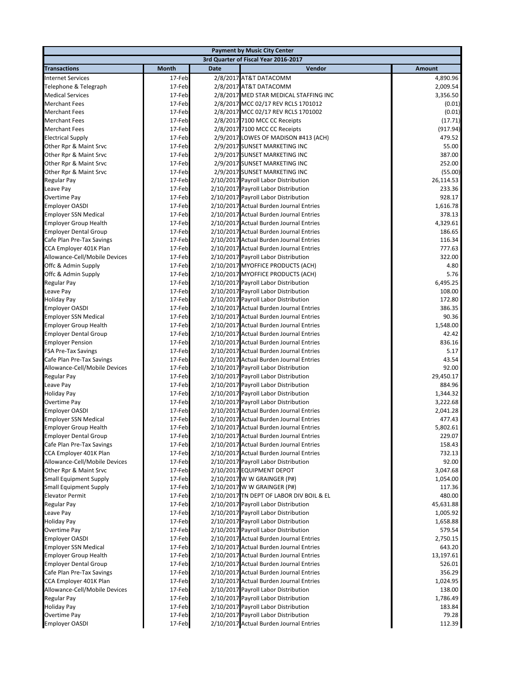|                                                              |                  |             | <b>Payment by Music City Center</b>                                                |                    |
|--------------------------------------------------------------|------------------|-------------|------------------------------------------------------------------------------------|--------------------|
|                                                              |                  |             | 3rd Quarter of Fiscal Year 2016-2017                                               |                    |
| <b>Transactions</b>                                          | <b>Month</b>     | <b>Date</b> | Vendor                                                                             | Amount             |
| <b>Internet Services</b>                                     | 17-Feb           |             | 2/8/2017 AT&T DATACOMM                                                             | 4,890.96           |
| Telephone & Telegraph                                        | 17-Feb           |             | 2/8/2017 AT&T DATACOMM                                                             | 2,009.54           |
| <b>Medical Services</b>                                      | 17-Feb           |             | 2/8/2017 MED STAR MEDICAL STAFFING INC                                             | 3,356.50           |
| <b>Merchant Fees</b>                                         | 17-Feb           |             | 2/8/2017 MCC 02/17 REV RCLS 1701012                                                | (0.01)             |
| <b>Merchant Fees</b>                                         | 17-Feb           |             | 2/8/2017 MCC 02/17 REV RCLS 1701002                                                | (0.01)             |
| <b>Merchant Fees</b>                                         | 17-Feb           |             | 2/8/2017 7100 MCC CC Receipts                                                      | (17.71)            |
| <b>Merchant Fees</b>                                         | 17-Feb           |             | 2/8/2017 7100 MCC CC Receipts                                                      | (917.94)           |
| <b>Electrical Supply</b>                                     | 17-Feb           |             | 2/9/2017 LOWES OF MADISON #413 (ACH)                                               | 479.52             |
| Other Rpr & Maint Srvc                                       | 17-Feb           |             | 2/9/2017 SUNSET MARKETING INC                                                      | 55.00              |
| Other Rpr & Maint Srvc                                       | 17-Feb           |             | 2/9/2017 SUNSET MARKETING INC                                                      | 387.00             |
| Other Rpr & Maint Srvc                                       | 17-Feb           |             | 2/9/2017 SUNSET MARKETING INC                                                      | 252.00             |
| Other Rpr & Maint Srvc                                       | 17-Feb           |             | 2/9/2017 SUNSET MARKETING INC                                                      | (55.00)            |
| Regular Pay                                                  | 17-Feb           |             | 2/10/2017 Payroll Labor Distribution                                               | 26,114.53          |
| Leave Pay                                                    | 17-Feb           |             | 2/10/2017 Payroll Labor Distribution                                               | 233.36             |
| Overtime Pay                                                 | 17-Feb           |             | 2/10/2017 Payroll Labor Distribution                                               | 928.17             |
| <b>Employer OASDI</b>                                        | 17-Feb           |             | 2/10/2017 Actual Burden Journal Entries                                            | 1,616.78           |
| <b>Employer SSN Medical</b>                                  | 17-Feb<br>17-Feb |             | 2/10/2017 Actual Burden Journal Entries<br>2/10/2017 Actual Burden Journal Entries | 378.13<br>4,329.61 |
| <b>Employer Group Health</b><br><b>Employer Dental Group</b> | 17-Feb           |             | 2/10/2017 Actual Burden Journal Entries                                            | 186.65             |
| Cafe Plan Pre-Tax Savings                                    | 17-Feb           |             | 2/10/2017 Actual Burden Journal Entries                                            | 116.34             |
| CCA Employer 401K Plan                                       | 17-Feb           |             | 2/10/2017 Actual Burden Journal Entries                                            | 777.63             |
| Allowance-Cell/Mobile Devices                                | 17-Feb           |             | 2/10/2017 Payroll Labor Distribution                                               | 322.00             |
| Offc & Admin Supply                                          | 17-Feb           |             | 2/10/2017 MYOFFICE PRODUCTS (ACH)                                                  | 4.80               |
| Offc & Admin Supply                                          | 17-Feb           |             | 2/10/2017 MYOFFICE PRODUCTS (ACH)                                                  | 5.76               |
| Regular Pay                                                  | 17-Feb           |             | 2/10/2017 Payroll Labor Distribution                                               | 6,495.25           |
| Leave Pay                                                    | 17-Feb           |             | 2/10/2017 Payroll Labor Distribution                                               | 108.00             |
| <b>Holiday Pay</b>                                           | 17-Feb           |             | 2/10/2017 Payroll Labor Distribution                                               | 172.80             |
| Employer OASDI                                               | 17-Feb           |             | 2/10/2017 Actual Burden Journal Entries                                            | 386.35             |
| <b>Employer SSN Medical</b>                                  | 17-Feb           |             | 2/10/2017 Actual Burden Journal Entries                                            | 90.36              |
| <b>Employer Group Health</b>                                 | 17-Feb           |             | 2/10/2017 Actual Burden Journal Entries                                            | 1,548.00           |
| <b>Employer Dental Group</b>                                 | 17-Feb           |             | 2/10/2017 Actual Burden Journal Entries                                            | 42.42              |
| <b>Employer Pension</b>                                      | 17-Feb           |             | 2/10/2017 Actual Burden Journal Entries                                            | 836.16             |
| <b>FSA Pre-Tax Savings</b>                                   | 17-Feb           |             | 2/10/2017 Actual Burden Journal Entries                                            | 5.17               |
| Cafe Plan Pre-Tax Savings                                    | 17-Feb           |             | 2/10/2017 Actual Burden Journal Entries                                            | 43.54              |
| Allowance-Cell/Mobile Devices                                | 17-Feb           |             | 2/10/2017 Payroll Labor Distribution                                               | 92.00              |
| Regular Pay                                                  | 17-Feb           |             | 2/10/2017 Payroll Labor Distribution                                               | 29,450.17          |
| Leave Pay                                                    | 17-Feb           |             | 2/10/2017 Payroll Labor Distribution                                               | 884.96             |
| <b>Holiday Pay</b>                                           | 17-Feb           |             | 2/10/2017 Payroll Labor Distribution                                               | 1,344.32           |
| Overtime Pay                                                 | 17-Feb           |             | 2/10/2017 Payroll Labor Distribution                                               | 3,222.68           |
| <b>Employer OASDI</b>                                        | 17-Feb           |             | 2/10/2017 Actual Burden Journal Entries                                            | 2,041.28           |
| <b>Employer SSN Medical</b>                                  | 17-Feb           |             | 2/10/2017 Actual Burden Journal Entries                                            | 477.43             |
| <b>Employer Group Health</b>                                 | 17-Feb           |             | 2/10/2017 Actual Burden Journal Entries                                            | 5,802.61           |
| <b>Employer Dental Group</b>                                 | 17-Feb           |             | 2/10/2017 Actual Burden Journal Entries                                            | 229.07             |
| Cafe Plan Pre-Tax Savings<br>CCA Employer 401K Plan          | 17-Feb<br>17-Feb |             | 2/10/2017 Actual Burden Journal Entries<br>2/10/2017 Actual Burden Journal Entries | 158.43<br>732.13   |
| Allowance-Cell/Mobile Devices                                | 17-Feb           |             | 2/10/2017 Payroll Labor Distribution                                               | 92.00              |
| Other Rpr & Maint Srvc                                       | 17-Feb           |             | 2/10/2017 EQUIPMENT DEPOT                                                          | 3,047.68           |
| <b>Small Equipment Supply</b>                                | 17-Feb           |             | 2/10/2017 W W GRAINGER (P#)                                                        | 1,054.00           |
| <b>Small Equipment Supply</b>                                | 17-Feb           |             | 2/10/2017 W W GRAINGER (P#)                                                        | 117.36             |
| <b>Elevator Permit</b>                                       | 17-Feb           |             | 2/10/2017 TN DEPT OF LABOR DIV BOIL & EL                                           | 480.00             |
| Regular Pay                                                  | 17-Feb           |             | 2/10/2017 Payroll Labor Distribution                                               | 45,631.88          |
| Leave Pay                                                    | 17-Feb           |             | 2/10/2017 Payroll Labor Distribution                                               | 1,005.92           |
| <b>Holiday Pay</b>                                           | 17-Feb           |             | 2/10/2017 Payroll Labor Distribution                                               | 1,658.88           |
| Overtime Pay                                                 | 17-Feb           |             | 2/10/2017 Payroll Labor Distribution                                               | 579.54             |
| <b>Employer OASDI</b>                                        | 17-Feb           |             | 2/10/2017 Actual Burden Journal Entries                                            | 2,750.15           |
| <b>Employer SSN Medical</b>                                  | 17-Feb           |             | 2/10/2017 Actual Burden Journal Entries                                            | 643.20             |
| <b>Employer Group Health</b>                                 | 17-Feb           |             | 2/10/2017 Actual Burden Journal Entries                                            | 13,197.61          |
| <b>Employer Dental Group</b>                                 | 17-Feb           |             | 2/10/2017 Actual Burden Journal Entries                                            | 526.01             |
| Cafe Plan Pre-Tax Savings                                    | 17-Feb           |             | 2/10/2017 Actual Burden Journal Entries                                            | 356.29             |
| CCA Employer 401K Plan                                       | 17-Feb           |             | 2/10/2017 Actual Burden Journal Entries                                            | 1,024.95           |
| Allowance-Cell/Mobile Devices                                | 17-Feb           |             | 2/10/2017 Payroll Labor Distribution                                               | 138.00             |
| Regular Pay                                                  | 17-Feb           |             | 2/10/2017 Payroll Labor Distribution                                               | 1,786.49           |
| <b>Holiday Pay</b>                                           | 17-Feb           |             | 2/10/2017 Payroll Labor Distribution                                               | 183.84             |
| Overtime Pay                                                 | 17-Feb           |             | 2/10/2017 Payroll Labor Distribution                                               | 79.28              |
| <b>Employer OASDI</b>                                        | 17-Feb           |             | 2/10/2017 Actual Burden Journal Entries                                            | 112.39             |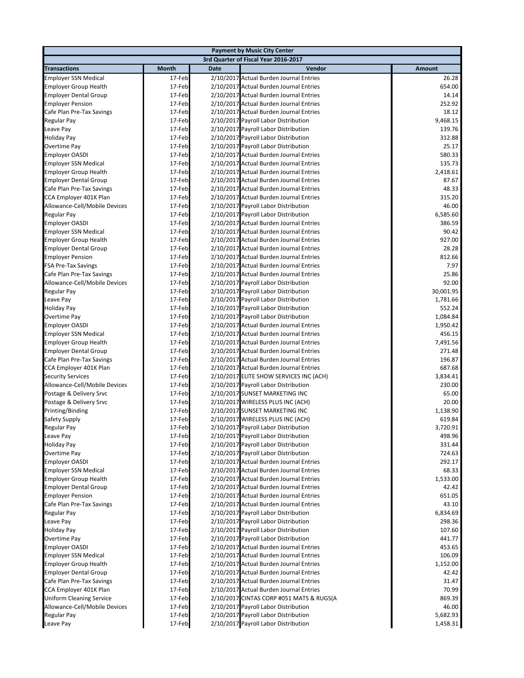|                                                                  |                  |             | <b>Payment by Music City Center</b>                                              |                       |
|------------------------------------------------------------------|------------------|-------------|----------------------------------------------------------------------------------|-----------------------|
|                                                                  |                  |             | 3rd Quarter of Fiscal Year 2016-2017                                             |                       |
| <b>Transactions</b>                                              | <b>Month</b>     | <b>Date</b> | Vendor                                                                           | <b>Amount</b>         |
| <b>Employer SSN Medical</b>                                      | 17-Feb           |             | 2/10/2017 Actual Burden Journal Entries                                          | 26.28                 |
| <b>Employer Group Health</b>                                     | 17-Feb           |             | 2/10/2017 Actual Burden Journal Entries                                          | 654.00                |
| <b>Employer Dental Group</b>                                     | 17-Feb           |             | 2/10/2017 Actual Burden Journal Entries                                          | 14.14                 |
| <b>Employer Pension</b>                                          | 17-Feb           |             | 2/10/2017 Actual Burden Journal Entries                                          | 252.92                |
| Cafe Plan Pre-Tax Savings                                        | 17-Feb           |             | 2/10/2017 Actual Burden Journal Entries                                          | 18.12                 |
| Regular Pay                                                      | 17-Feb           |             | 2/10/2017 Payroll Labor Distribution                                             | 9,468.15              |
| Leave Pay                                                        | 17-Feb           |             | 2/10/2017 Payroll Labor Distribution                                             | 139.76                |
| <b>Holiday Pay</b>                                               | 17-Feb           |             | 2/10/2017 Payroll Labor Distribution                                             | 312.88                |
| Overtime Pay                                                     | 17-Feb           |             | 2/10/2017 Payroll Labor Distribution                                             | 25.17                 |
| <b>Employer OASDI</b>                                            | 17-Feb           |             | 2/10/2017 Actual Burden Journal Entries                                          | 580.33                |
| <b>Employer SSN Medical</b>                                      | 17-Feb           |             | 2/10/2017 Actual Burden Journal Entries                                          | 135.73                |
| <b>Employer Group Health</b>                                     | 17-Feb           |             | 2/10/2017 Actual Burden Journal Entries                                          | 2,418.61              |
| <b>Employer Dental Group</b>                                     | 17-Feb           |             | 2/10/2017 Actual Burden Journal Entries                                          | 87.67                 |
| Cafe Plan Pre-Tax Savings                                        | 17-Feb           |             | 2/10/2017 Actual Burden Journal Entries                                          | 48.33                 |
| CCA Employer 401K Plan                                           | 17-Feb           |             | 2/10/2017 Actual Burden Journal Entries                                          | 315.20                |
| Allowance-Cell/Mobile Devices                                    | 17-Feb           |             | 2/10/2017 Payroll Labor Distribution                                             | 46.00                 |
| <b>Regular Pay</b>                                               | 17-Feb           |             | 2/10/2017 Payroll Labor Distribution                                             | 6,585.60              |
| <b>Employer OASDI</b>                                            | 17-Feb           |             | 2/10/2017 Actual Burden Journal Entries                                          | 386.59                |
| <b>Employer SSN Medical</b>                                      | 17-Feb           |             | 2/10/2017 Actual Burden Journal Entries                                          | 90.42                 |
| <b>Employer Group Health</b>                                     | 17-Feb           |             | 2/10/2017 Actual Burden Journal Entries                                          | 927.00                |
| <b>Employer Dental Group</b>                                     | 17-Feb           |             | 2/10/2017 Actual Burden Journal Entries                                          | 28.28                 |
| <b>Employer Pension</b>                                          | 17-Feb           |             | 2/10/2017 Actual Burden Journal Entries                                          | 812.66                |
| <b>FSA Pre-Tax Savings</b>                                       | 17-Feb           |             | 2/10/2017 Actual Burden Journal Entries                                          | 7.97                  |
| Cafe Plan Pre-Tax Savings                                        | 17-Feb           |             | 2/10/2017 Actual Burden Journal Entries                                          | 25.86                 |
| Allowance-Cell/Mobile Devices                                    | 17-Feb           |             | 2/10/2017 Payroll Labor Distribution                                             | 92.00                 |
| <b>Regular Pay</b>                                               | 17-Feb<br>17-Feb |             | 2/10/2017 Payroll Labor Distribution                                             | 30,001.95<br>1,781.66 |
| Leave Pay                                                        | 17-Feb           |             | 2/10/2017 Payroll Labor Distribution                                             | 552.24                |
| <b>Holiday Pay</b><br>Overtime Pay                               | 17-Feb           |             | 2/10/2017 Payroll Labor Distribution<br>2/10/2017 Payroll Labor Distribution     | 1,084.84              |
| <b>Employer OASDI</b>                                            | 17-Feb           |             | 2/10/2017 Actual Burden Journal Entries                                          | 1,950.42              |
| <b>Employer SSN Medical</b>                                      | 17-Feb           |             | 2/10/2017 Actual Burden Journal Entries                                          | 456.15                |
| <b>Employer Group Health</b>                                     | 17-Feb           |             | 2/10/2017 Actual Burden Journal Entries                                          | 7,491.56              |
| <b>Employer Dental Group</b>                                     | 17-Feb           |             | 2/10/2017 Actual Burden Journal Entries                                          | 271.48                |
| Cafe Plan Pre-Tax Savings                                        | 17-Feb           |             | 2/10/2017 Actual Burden Journal Entries                                          | 196.87                |
| CCA Employer 401K Plan                                           | 17-Feb           |             | 2/10/2017 Actual Burden Journal Entries                                          | 687.68                |
| <b>Security Services</b>                                         | 17-Feb           |             | 2/10/2017 ELITE SHOW SERVICES INC (ACH)                                          | 3,834.41              |
| Allowance-Cell/Mobile Devices                                    | 17-Feb           |             | 2/10/2017 Payroll Labor Distribution                                             | 230.00                |
| Postage & Delivery Srvc                                          | 17-Feb           |             | 2/10/2017 SUNSET MARKETING INC                                                   | 65.00                 |
| Postage & Delivery Srvc                                          | 17-Feb           |             | 2/10/2017 WIRELESS PLUS INC (ACH)                                                | 20.00                 |
| Printing/Binding                                                 | 17-Feb           |             | 2/10/2017 SUNSET MARKETING INC                                                   | 1,138.90              |
| Safety Supply                                                    | 17-Feb           |             | 2/10/2017 WIRELESS PLUS INC (ACH)                                                | 619.84                |
| <b>Regular Pay</b>                                               | 17-Feb           |             | 2/10/2017 Payroll Labor Distribution                                             | 3,720.91              |
| Leave Pay                                                        | 17-Feb           |             | 2/10/2017 Payroll Labor Distribution                                             | 498.96                |
| <b>Holiday Pay</b>                                               | 17-Feb           |             | 2/10/2017 Payroll Labor Distribution                                             | 331.44                |
| Overtime Pay                                                     | 17-Feb           |             | 2/10/2017 Payroll Labor Distribution                                             | 724.63                |
| <b>Employer OASDI</b>                                            | 17-Feb           |             | 2/10/2017 Actual Burden Journal Entries                                          | 292.17                |
| <b>Employer SSN Medical</b>                                      | 17-Feb           |             | 2/10/2017 Actual Burden Journal Entries                                          | 68.33                 |
| <b>Employer Group Health</b>                                     | 17-Feb           |             | 2/10/2017 Actual Burden Journal Entries                                          | 1,533.00              |
| <b>Employer Dental Group</b>                                     | 17-Feb           |             | 2/10/2017 Actual Burden Journal Entries                                          | 42.42                 |
| <b>Employer Pension</b>                                          | 17-Feb           |             | 2/10/2017 Actual Burden Journal Entries                                          | 651.05                |
| Cafe Plan Pre-Tax Savings                                        | 17-Feb           |             | 2/10/2017 Actual Burden Journal Entries                                          | 43.10                 |
| Regular Pay                                                      | 17-Feb           |             | 2/10/2017 Payroll Labor Distribution                                             | 6,834.69              |
| Leave Pay                                                        | 17-Feb           |             | 2/10/2017 Payroll Labor Distribution                                             | 298.36                |
| <b>Holiday Pay</b>                                               | 17-Feb           |             | 2/10/2017 Payroll Labor Distribution                                             | 107.60                |
| Overtime Pay                                                     | 17-Feb           |             | 2/10/2017 Payroll Labor Distribution                                             | 441.77                |
| <b>Employer OASDI</b>                                            | 17-Feb           |             | 2/10/2017 Actual Burden Journal Entries                                          | 453.65                |
| <b>Employer SSN Medical</b>                                      | 17-Feb           |             | 2/10/2017 Actual Burden Journal Entries                                          | 106.09                |
| <b>Employer Group Health</b>                                     | 17-Feb           |             | 2/10/2017 Actual Burden Journal Entries                                          | 1,152.00              |
| <b>Employer Dental Group</b>                                     | 17-Feb           |             | 2/10/2017 Actual Burden Journal Entries                                          | 42.42                 |
| Cafe Plan Pre-Tax Savings                                        | 17-Feb           |             | 2/10/2017 Actual Burden Journal Entries                                          | 31.47                 |
| CCA Employer 401K Plan                                           | 17-Feb<br>17-Feb |             | 2/10/2017 Actual Burden Journal Entries                                          | 70.99<br>869.39       |
| <b>Uniform Cleaning Service</b><br>Allowance-Cell/Mobile Devices | 17-Feb           |             | 2/10/2017 CINTAS CORP #051 MATS & RUGS(A<br>2/10/2017 Payroll Labor Distribution | 46.00                 |
| Regular Pay                                                      | 17-Feb           |             | 2/10/2017 Payroll Labor Distribution                                             | 5,682.93              |
| Leave Pay                                                        | 17-Feb           |             | 2/10/2017 Payroll Labor Distribution                                             | 1,458.31              |
|                                                                  |                  |             |                                                                                  |                       |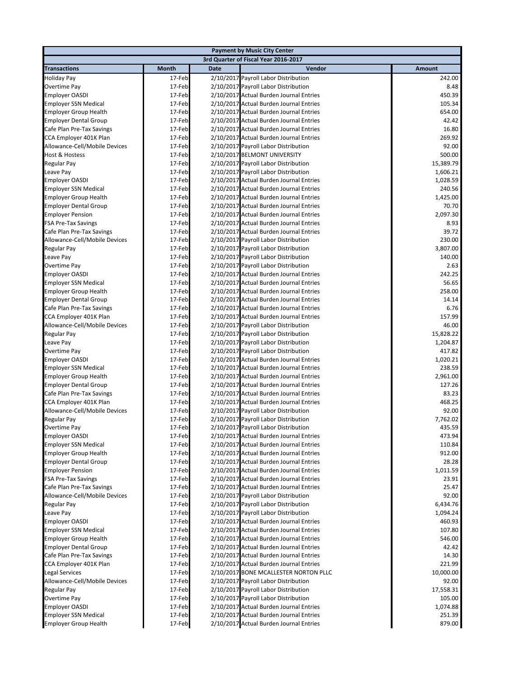|                               |              |      | <b>Payment by Music City Center</b>     |               |
|-------------------------------|--------------|------|-----------------------------------------|---------------|
|                               |              |      | 3rd Quarter of Fiscal Year 2016-2017    |               |
| <b>Transactions</b>           | <b>Month</b> | Date | Vendor                                  | <b>Amount</b> |
| Holiday Pay                   | 17-Feb       |      | 2/10/2017 Payroll Labor Distribution    | 242.00        |
| Overtime Pay                  | 17-Feb       |      | 2/10/2017 Payroll Labor Distribution    | 8.48          |
| <b>Employer OASDI</b>         | 17-Feb       |      | 2/10/2017 Actual Burden Journal Entries | 450.39        |
| <b>Employer SSN Medical</b>   | 17-Feb       |      | 2/10/2017 Actual Burden Journal Entries | 105.34        |
| <b>Employer Group Health</b>  | 17-Feb       |      | 2/10/2017 Actual Burden Journal Entries | 654.00        |
| <b>Employer Dental Group</b>  | 17-Feb       |      | 2/10/2017 Actual Burden Journal Entries | 42.42         |
| Cafe Plan Pre-Tax Savings     | 17-Feb       |      | 2/10/2017 Actual Burden Journal Entries | 16.80         |
| CCA Employer 401K Plan        | 17-Feb       |      | 2/10/2017 Actual Burden Journal Entries | 269.92        |
| Allowance-Cell/Mobile Devices | 17-Feb       |      | 2/10/2017 Payroll Labor Distribution    | 92.00         |
| <b>Host &amp; Hostess</b>     | 17-Feb       |      | 2/10/2017 BELMONT UNIVERSITY            | 500.00        |
| Regular Pay                   | 17-Feb       |      | 2/10/2017 Payroll Labor Distribution    | 15,389.79     |
| Leave Pay                     | 17-Feb       |      | 2/10/2017 Payroll Labor Distribution    | 1,606.21      |
| <b>Employer OASDI</b>         | 17-Feb       |      | 2/10/2017 Actual Burden Journal Entries | 1,028.59      |
| <b>Employer SSN Medical</b>   | 17-Feb       |      | 2/10/2017 Actual Burden Journal Entries | 240.56        |
| <b>Employer Group Health</b>  | 17-Feb       |      | 2/10/2017 Actual Burden Journal Entries | 1,425.00      |
| <b>Employer Dental Group</b>  | 17-Feb       |      | 2/10/2017 Actual Burden Journal Entries | 70.70         |
| <b>Employer Pension</b>       | 17-Feb       |      | 2/10/2017 Actual Burden Journal Entries | 2,097.30      |
| <b>FSA Pre-Tax Savings</b>    | 17-Feb       |      | 2/10/2017 Actual Burden Journal Entries | 8.93          |
| Cafe Plan Pre-Tax Savings     | 17-Feb       |      | 2/10/2017 Actual Burden Journal Entries | 39.72         |
| Allowance-Cell/Mobile Devices | 17-Feb       |      | 2/10/2017 Payroll Labor Distribution    | 230.00        |
| Regular Pay                   | 17-Feb       |      | 2/10/2017 Payroll Labor Distribution    | 3,807.00      |
| Leave Pay                     | 17-Feb       |      | 2/10/2017 Payroll Labor Distribution    | 140.00        |
| Overtime Pay                  | 17-Feb       |      | 2/10/2017 Payroll Labor Distribution    | 2.63          |
| <b>Employer OASDI</b>         | 17-Feb       |      | 2/10/2017 Actual Burden Journal Entries | 242.25        |
| <b>Employer SSN Medical</b>   | 17-Feb       |      | 2/10/2017 Actual Burden Journal Entries | 56.65         |
| <b>Employer Group Health</b>  | 17-Feb       |      | 2/10/2017 Actual Burden Journal Entries | 258.00        |
| <b>Employer Dental Group</b>  | 17-Feb       |      | 2/10/2017 Actual Burden Journal Entries | 14.14         |
| Cafe Plan Pre-Tax Savings     | 17-Feb       |      | 2/10/2017 Actual Burden Journal Entries | 6.76          |
| CCA Employer 401K Plan        | 17-Feb       |      | 2/10/2017 Actual Burden Journal Entries | 157.99        |
| Allowance-Cell/Mobile Devices | 17-Feb       |      | 2/10/2017 Payroll Labor Distribution    | 46.00         |
| Regular Pay                   | 17-Feb       |      | 2/10/2017 Payroll Labor Distribution    | 15,828.22     |
| Leave Pay                     | 17-Feb       |      | 2/10/2017 Payroll Labor Distribution    | 1,204.87      |
| Overtime Pay                  | 17-Feb       |      | 2/10/2017 Payroll Labor Distribution    | 417.82        |
| <b>Employer OASDI</b>         | 17-Feb       |      | 2/10/2017 Actual Burden Journal Entries | 1,020.21      |
| <b>Employer SSN Medical</b>   | 17-Feb       |      | 2/10/2017 Actual Burden Journal Entries | 238.59        |
| <b>Employer Group Health</b>  | 17-Feb       |      | 2/10/2017 Actual Burden Journal Entries | 2,961.00      |
| <b>Employer Dental Group</b>  | 17-Feb       |      | 2/10/2017 Actual Burden Journal Entries | 127.26        |
| Cafe Plan Pre-Tax Savings     | 17-Feb       |      | 2/10/2017 Actual Burden Journal Entries | 83.23         |
| CCA Employer 401K Plan        | 17-Feb       |      | 2/10/2017 Actual Burden Journal Entries | 468.25        |
| Allowance-Cell/Mobile Devices | 17-Feb       |      | 2/10/2017 Payroll Labor Distribution    | 92.00         |
| Regular Pay                   | 17-Feb       |      | 2/10/2017 Payroll Labor Distribution    | 7,762.02      |
| Overtime Pay                  | 17-Feb       |      | 2/10/2017 Payroll Labor Distribution    | 435.59        |
| <b>Employer OASDI</b>         | 17-Feb       |      | 2/10/2017 Actual Burden Journal Entries | 473.94        |
| <b>Employer SSN Medical</b>   | 17-Feb       |      | 2/10/2017 Actual Burden Journal Entries | 110.84        |
| <b>Employer Group Health</b>  | 17-Feb       |      | 2/10/2017 Actual Burden Journal Entries | 912.00        |
| <b>Employer Dental Group</b>  | 17-Feb       |      | 2/10/2017 Actual Burden Journal Entries | 28.28         |
| <b>Employer Pension</b>       | 17-Feb       |      | 2/10/2017 Actual Burden Journal Entries | 1,011.59      |
| <b>FSA Pre-Tax Savings</b>    | 17-Feb       |      | 2/10/2017 Actual Burden Journal Entries | 23.91         |
| Cafe Plan Pre-Tax Savings     | 17-Feb       |      | 2/10/2017 Actual Burden Journal Entries | 25.47         |
| Allowance-Cell/Mobile Devices | 17-Feb       |      | 2/10/2017 Payroll Labor Distribution    | 92.00         |
| Regular Pay                   | 17-Feb       |      | 2/10/2017 Payroll Labor Distribution    | 6,434.76      |
| Leave Pay                     | 17-Feb       |      | 2/10/2017 Payroll Labor Distribution    | 1,094.24      |
| <b>Employer OASDI</b>         | 17-Feb       |      | 2/10/2017 Actual Burden Journal Entries | 460.93        |
| <b>Employer SSN Medical</b>   | 17-Feb       |      | 2/10/2017 Actual Burden Journal Entries | 107.80        |
| <b>Employer Group Health</b>  | 17-Feb       |      | 2/10/2017 Actual Burden Journal Entries | 546.00        |
| <b>Employer Dental Group</b>  | 17-Feb       |      | 2/10/2017 Actual Burden Journal Entries | 42.42         |
| Cafe Plan Pre-Tax Savings     | 17-Feb       |      | 2/10/2017 Actual Burden Journal Entries | 14.30         |
| CCA Employer 401K Plan        | 17-Feb       |      | 2/10/2017 Actual Burden Journal Entries | 221.99        |
| Legal Services                | 17-Feb       |      | 2/10/2017 BONE MCALLESTER NORTON PLLC   | 10,000.00     |
| Allowance-Cell/Mobile Devices | 17-Feb       |      | 2/10/2017 Payroll Labor Distribution    | 92.00         |
| Regular Pay                   | 17-Feb       |      | 2/10/2017 Payroll Labor Distribution    | 17,558.31     |
| Overtime Pay                  | 17-Feb       |      | 2/10/2017 Payroll Labor Distribution    | 105.00        |
| <b>Employer OASDI</b>         | 17-Feb       |      | 2/10/2017 Actual Burden Journal Entries | 1,074.88      |
| <b>Employer SSN Medical</b>   | 17-Feb       |      | 2/10/2017 Actual Burden Journal Entries | 251.39        |
| <b>Employer Group Health</b>  | 17-Feb       |      | 2/10/2017 Actual Burden Journal Entries | 879.00        |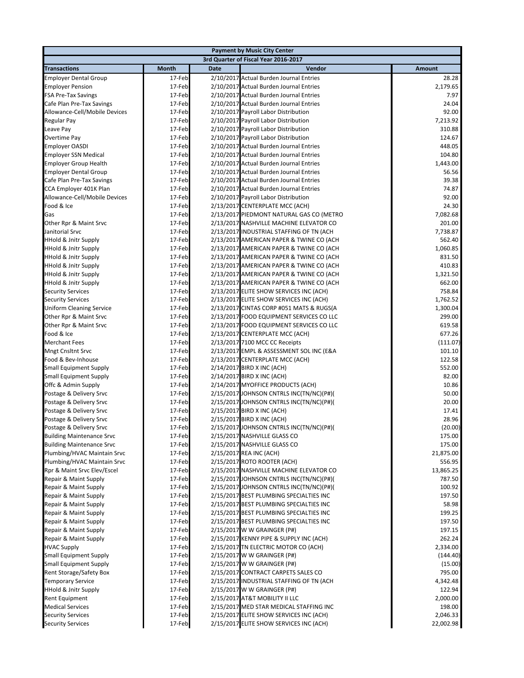|                                                          |                  |             | <b>Payment by Music City Center</b>                                                |                    |
|----------------------------------------------------------|------------------|-------------|------------------------------------------------------------------------------------|--------------------|
|                                                          |                  |             | 3rd Quarter of Fiscal Year 2016-2017                                               |                    |
| <b>Transactions</b>                                      | Month            | <b>Date</b> | Vendor                                                                             | Amount             |
| <b>Employer Dental Group</b>                             | 17-Feb           |             | 2/10/2017 Actual Burden Journal Entries                                            | 28.28              |
| <b>Employer Pension</b>                                  | 17-Feb           |             | 2/10/2017 Actual Burden Journal Entries                                            | 2,179.65           |
| <b>FSA Pre-Tax Savings</b>                               | 17-Feb           |             | 2/10/2017 Actual Burden Journal Entries                                            | 7.97               |
| Cafe Plan Pre-Tax Savings                                | 17-Feb           |             | 2/10/2017 Actual Burden Journal Entries                                            | 24.04              |
| Allowance-Cell/Mobile Devices                            | 17-Feb           |             | 2/10/2017 Payroll Labor Distribution                                               | 92.00              |
| Regular Pay                                              | 17-Feb           |             | 2/10/2017 Payroll Labor Distribution                                               | 7,213.92           |
| Leave Pay                                                | 17-Feb           |             | 2/10/2017 Payroll Labor Distribution                                               | 310.88             |
| Overtime Pay                                             | 17-Feb           |             | 2/10/2017 Payroll Labor Distribution                                               | 124.67             |
| <b>Employer OASDI</b>                                    | 17-Feb           |             | 2/10/2017 Actual Burden Journal Entries                                            | 448.05             |
| <b>Employer SSN Medical</b>                              | 17-Feb           |             | 2/10/2017 Actual Burden Journal Entries                                            | 104.80             |
| <b>Employer Group Health</b>                             | 17-Feb<br>17-Feb |             | 2/10/2017 Actual Burden Journal Entries                                            | 1,443.00<br>56.56  |
| <b>Employer Dental Group</b>                             |                  |             | 2/10/2017 Actual Burden Journal Entries                                            | 39.38              |
| Cafe Plan Pre-Tax Savings<br>CCA Employer 401K Plan      | 17-Feb<br>17-Feb |             | 2/10/2017 Actual Burden Journal Entries<br>2/10/2017 Actual Burden Journal Entries | 74.87              |
| Allowance-Cell/Mobile Devices                            | 17-Feb           |             | 2/10/2017 Payroll Labor Distribution                                               | 92.00              |
| Food & Ice                                               | 17-Feb           |             | 2/13/2017 CENTERPLATE MCC (ACH)                                                    | 24.30              |
| Gas                                                      | 17-Feb           |             | 2/13/2017 PIEDMONT NATURAL GAS CO (METRO                                           | 7,082.68           |
| Other Rpr & Maint Srvc                                   | 17-Feb           |             | 2/13/2017 NASHVILLE MACHINE ELEVATOR CO                                            | 201.00             |
| Janitorial Srvc                                          | 17-Feb           |             | 2/13/2017 INDUSTRIAL STAFFING OF TN (ACH                                           | 7,738.87           |
| <b>HHold &amp; Jnitr Supply</b>                          | 17-Feb           |             | 2/13/2017 AMERICAN PAPER & TWINE CO (ACH                                           | 562.40             |
| <b>HHold &amp; Jnitr Supply</b>                          | 17-Feb           |             | 2/13/2017 AMERICAN PAPER & TWINE CO (ACH                                           | 1,060.85           |
| <b>HHold &amp; Jnitr Supply</b>                          | 17-Feb           |             | 2/13/2017 AMERICAN PAPER & TWINE CO (ACH                                           | 831.50             |
| <b>HHold &amp; Jnitr Supply</b>                          | 17-Feb           |             | 2/13/2017 AMERICAN PAPER & TWINE CO (ACH                                           | 410.83             |
| <b>HHold &amp; Jnitr Supply</b>                          | 17-Feb           |             | 2/13/2017 AMERICAN PAPER & TWINE CO (ACH                                           | 1,321.50           |
| <b>HHold &amp; Jnitr Supply</b>                          | 17-Feb           |             | 2/13/2017 AMERICAN PAPER & TWINE CO (ACH                                           | 662.00             |
| <b>Security Services</b>                                 | 17-Feb           |             | 2/13/2017 ELITE SHOW SERVICES INC (ACH)                                            | 758.84             |
| <b>Security Services</b>                                 | 17-Feb           |             | 2/13/2017 ELITE SHOW SERVICES INC (ACH)                                            | 1,762.52           |
| <b>Uniform Cleaning Service</b>                          | 17-Feb           |             | 2/13/2017 CINTAS CORP #051 MATS & RUGS(A                                           | 1,300.04           |
| Other Rpr & Maint Srvc                                   | 17-Feb           |             | 2/13/2017 FOOD EQUIPMENT SERVICES CO LLC                                           | 299.00             |
| Other Rpr & Maint Srvc                                   | 17-Feb           |             | 2/13/2017 FOOD EQUIPMENT SERVICES CO LLC                                           | 619.58             |
| Food & Ice                                               | 17-Feb           |             | 2/13/2017 CENTERPLATE MCC (ACH)                                                    | 677.26             |
| <b>Merchant Fees</b>                                     | 17-Feb           |             | 2/13/2017 7100 MCC CC Receipts                                                     | (111.07)           |
| <b>Mngt Cnsltnt Srvc</b>                                 | 17-Feb           |             | 2/13/2017 EMPL & ASSESSMENT SOL INC (E&A                                           | 101.10             |
| Food & Bev-Inhouse                                       | 17-Feb           |             | 2/13/2017 CENTERPLATE MCC (ACH)                                                    | 122.58             |
| <b>Small Equipment Supply</b>                            | 17-Feb           |             | 2/14/2017 BIRD X INC (ACH)                                                         | 552.00             |
| <b>Small Equipment Supply</b>                            | 17-Feb           |             | 2/14/2017 BIRD X INC (ACH)                                                         | 82.00              |
| Offc & Admin Supply                                      | 17-Feb<br>17-Feb |             | 2/14/2017 MYOFFICE PRODUCTS (ACH)<br>2/15/2017 JOHNSON CNTRLS INC(TN/NC)(P#)(      | 10.86<br>50.00     |
| Postage & Delivery Srvc<br>Postage & Delivery Srvc       | 17-Feb           |             | 2/15/2017 JOHNSON CNTRLS INC(TN/NC)(P#)(                                           | 20.00              |
| Postage & Delivery Srvc                                  | 17-Feb           |             | 2/15/2017 BIRD X INC (ACH)                                                         | 17.41              |
| Postage & Delivery Srvc                                  | 17-Feb           |             | 2/15/2017 BIRD X INC (ACH)                                                         | 28.96              |
| Postage & Delivery Srvc                                  | 17-Feb           |             | 2/15/2017 JOHNSON CNTRLS INC(TN/NC)(P#)(                                           | (20.00)            |
| <b>Building Maintenance Srvc</b>                         | 17-Feb           |             | 2/15/2017 NASHVILLE GLASS CO                                                       | 175.00             |
| <b>Building Maintenance Srvc</b>                         | 17-Feb           |             | 2/15/2017 NASHVILLE GLASS CO                                                       | 175.00             |
| Plumbing/HVAC Maintain Srvc                              | 17-Feb           |             | 2/15/2017 REA INC (ACH)                                                            | 21,875.00          |
| Plumbing/HVAC Maintain Srvc                              | 17-Feb           |             | 2/15/2017 ROTO ROOTER (ACH)                                                        | 556.95             |
| Rpr & Maint Srvc Elev/Escel                              | 17-Feb           |             | 2/15/2017 NASHVILLE MACHINE ELEVATOR CO                                            | 13,865.25          |
| Repair & Maint Supply                                    | 17-Feb           |             | 2/15/2017 JOHNSON CNTRLS INC(TN/NC)(P#)(                                           | 787.50             |
| Repair & Maint Supply                                    | 17-Feb           |             | 2/15/2017 JOHNSON CNTRLS INC(TN/NC)(P#)(                                           | 100.92             |
| Repair & Maint Supply                                    | 17-Feb           |             | 2/15/2017 BEST PLUMBING SPECIALTIES INC                                            | 197.50             |
| Repair & Maint Supply                                    | 17-Feb           |             | 2/15/2017 BEST PLUMBING SPECIALTIES INC                                            | 58.98              |
| Repair & Maint Supply                                    | 17-Feb           |             | 2/15/2017 BEST PLUMBING SPECIALTIES INC                                            | 199.25             |
| Repair & Maint Supply                                    | 17-Feb           |             | 2/15/2017 BEST PLUMBING SPECIALTIES INC                                            | 197.50             |
| Repair & Maint Supply                                    | 17-Feb           |             | 2/15/2017 W W GRAINGER (P#)                                                        | 197.15             |
| Repair & Maint Supply                                    | 17-Feb           |             | 2/15/2017 KENNY PIPE & SUPPLY INC (ACH)                                            | 262.24             |
| <b>HVAC Supply</b>                                       | 17-Feb           |             | 2/15/2017 TN ELECTRIC MOTOR CO (ACH)                                               | 2,334.00           |
| <b>Small Equipment Supply</b>                            | 17-Feb           |             | 2/15/2017 W W GRAINGER (P#)                                                        | (144.40)           |
| <b>Small Equipment Supply</b>                            | 17-Feb           |             | 2/15/2017 W W GRAINGER (P#)                                                        | (15.00)            |
| Rent Storage/Safety Box                                  | 17-Feb           |             | 2/15/2017 CONTRACT CARPETS SALES CO                                                | 795.00             |
| <b>Temporary Service</b>                                 | 17-Feb           |             | 2/15/2017 INDUSTRIAL STAFFING OF TN (ACH<br>2/15/2017 W W GRAINGER (P#)            | 4,342.48<br>122.94 |
| <b>HHold &amp; Jnitr Supply</b><br><b>Rent Equipment</b> | 17-Feb<br>17-Feb |             | 2/15/2017 AT&T MOBILITY II LLC                                                     | 2,000.00           |
| <b>Medical Services</b>                                  | 17-Feb           |             | 2/15/2017 MED STAR MEDICAL STAFFING INC                                            | 198.00             |
| <b>Security Services</b>                                 | 17-Feb           |             | 2/15/2017 ELITE SHOW SERVICES INC (ACH)                                            | 2,046.33           |
| <b>Security Services</b>                                 | 17-Feb           |             | 2/15/2017 ELITE SHOW SERVICES INC (ACH)                                            | 22,002.98          |
|                                                          |                  |             |                                                                                    |                    |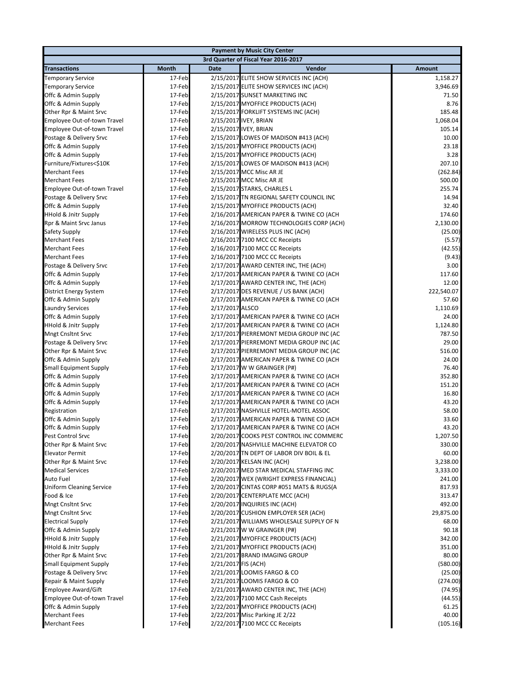| <b>Payment by Music City Center</b>              |                                      |                     |                                                                        |                   |  |  |
|--------------------------------------------------|--------------------------------------|---------------------|------------------------------------------------------------------------|-------------------|--|--|
|                                                  | 3rd Quarter of Fiscal Year 2016-2017 |                     |                                                                        |                   |  |  |
| <b>Transactions</b>                              | Month                                | <b>Date</b>         | Vendor                                                                 | Amount            |  |  |
| <b>Temporary Service</b>                         | 17-Feb                               |                     | 2/15/2017 ELITE SHOW SERVICES INC (ACH)                                | 1,158.27          |  |  |
| <b>Temporary Service</b>                         | 17-Feb                               |                     | 2/15/2017 ELITE SHOW SERVICES INC (ACH)                                | 3,946.69          |  |  |
| Offc & Admin Supply                              | 17-Feb                               |                     | 2/15/2017 SUNSET MARKETING INC                                         | 71.50             |  |  |
| Offc & Admin Supply                              | 17-Feb                               |                     | 2/15/2017 MYOFFICE PRODUCTS (ACH)                                      | 8.76              |  |  |
| Other Rpr & Maint Srvc                           | 17-Feb                               |                     | 2/15/2017 FORKLIFT SYSTEMS INC (ACH)                                   | 185.48            |  |  |
| Employee Out-of-town Travel                      | 17-Feb                               |                     | 2/15/2017 IVEY, BRIAN                                                  | 1,068.04          |  |  |
| Employee Out-of-town Travel                      | 17-Feb                               |                     | 2/15/2017 IVEY, BRIAN                                                  | 105.14            |  |  |
| Postage & Delivery Srvc                          | 17-Feb                               |                     | 2/15/2017 LOWES OF MADISON #413 (ACH)                                  | 10.00             |  |  |
| Offc & Admin Supply                              | 17-Feb                               |                     | 2/15/2017 MYOFFICE PRODUCTS (ACH)                                      | 23.18             |  |  |
| Offc & Admin Supply                              | 17-Feb                               |                     | 2/15/2017 MYOFFICE PRODUCTS (ACH)                                      | 3.28              |  |  |
| Furniture/Fixtures<\$10K                         | 17-Feb                               |                     | 2/15/2017 LOWES OF MADISON #413 (ACH)                                  | 207.10            |  |  |
| <b>Merchant Fees</b>                             | 17-Feb                               |                     | 2/15/2017 MCC Misc AR JE                                               | (262.84)          |  |  |
| <b>Merchant Fees</b>                             | 17-Feb                               |                     | 2/15/2017 MCC Misc AR JE                                               | 500.00            |  |  |
| Employee Out-of-town Travel                      | 17-Feb                               |                     | 2/15/2017 STARKS, CHARLES L                                            | 255.74            |  |  |
| Postage & Delivery Srvc                          | 17-Feb                               |                     | 2/15/2017 TN REGIONAL SAFETY COUNCIL INC                               | 14.94             |  |  |
| Offc & Admin Supply                              | 17-Feb                               |                     | 2/15/2017 MYOFFICE PRODUCTS (ACH)                                      | 32.40             |  |  |
| <b>HHold &amp; Jnitr Supply</b>                  | 17-Feb                               |                     | 2/16/2017 AMERICAN PAPER & TWINE CO (ACH                               | 174.60            |  |  |
| Rpr & Maint Srvc Janus                           | 17-Feb                               |                     | 2/16/2017 MORROW TECHNOLOGIES CORP (ACH)                               | 2,130.00          |  |  |
| Safety Supply                                    | 17-Feb                               |                     | 2/16/2017 WIRELESS PLUS INC (ACH)                                      | (25.00)           |  |  |
| <b>Merchant Fees</b>                             | 17-Feb                               |                     | 2/16/2017 7100 MCC CC Receipts                                         | (5.57)            |  |  |
| <b>Merchant Fees</b>                             | 17-Feb                               |                     | 2/16/2017 7100 MCC CC Receipts                                         | (42.55)           |  |  |
| <b>Merchant Fees</b>                             | 17-Feb                               |                     | 2/16/2017 7100 MCC CC Receipts                                         | (9.43)            |  |  |
| Postage & Delivery Srvc                          | 17-Feb                               |                     | 2/17/2017 AWARD CENTER INC, THE (ACH)                                  | 3.00              |  |  |
| Offc & Admin Supply                              | 17-Feb                               |                     | 2/17/2017 AMERICAN PAPER & TWINE CO (ACH                               | 117.60            |  |  |
| Offc & Admin Supply                              | 17-Feb                               |                     | 2/17/2017 AWARD CENTER INC, THE (ACH)                                  | 12.00             |  |  |
| District Energy System                           | 17-Feb                               |                     | 2/17/2017 DES REVENUE / US BANK (ACH)                                  | 222,540.07        |  |  |
| Offc & Admin Supply                              | 17-Feb                               |                     | 2/17/2017 AMERICAN PAPER & TWINE CO (ACH                               | 57.60             |  |  |
| <b>Laundry Services</b>                          | 17-Feb                               | 2/17/2017 ALSCO     |                                                                        | 1,110.69          |  |  |
| Offc & Admin Supply                              | 17-Feb                               |                     | 2/17/2017 AMERICAN PAPER & TWINE CO (ACH                               | 24.00             |  |  |
| <b>HHold &amp; Jnitr Supply</b>                  | 17-Feb                               |                     | 2/17/2017 AMERICAN PAPER & TWINE CO (ACH                               | 1,124.80          |  |  |
| <b>Mngt Cnsltnt Srvc</b>                         | 17-Feb                               |                     | 2/17/2017 PIERREMONT MEDIA GROUP INC (AC                               | 787.50            |  |  |
| Postage & Delivery Srvc                          | 17-Feb                               |                     | 2/17/2017 PIERREMONT MEDIA GROUP INC (AC                               | 29.00             |  |  |
| Other Rpr & Maint Srvc                           | 17-Feb                               |                     | 2/17/2017 PIERREMONT MEDIA GROUP INC (AC                               | 516.00            |  |  |
| Offc & Admin Supply                              | 17-Feb                               |                     | 2/17/2017 AMERICAN PAPER & TWINE CO (ACH                               | 24.00             |  |  |
| <b>Small Equipment Supply</b>                    | 17-Feb                               |                     | 2/17/2017 W W GRAINGER (P#)                                            | 76.40             |  |  |
| Offc & Admin Supply                              | 17-Feb                               |                     | 2/17/2017 AMERICAN PAPER & TWINE CO (ACH                               | 352.80            |  |  |
| Offc & Admin Supply                              | 17-Feb                               |                     | 2/17/2017 AMERICAN PAPER & TWINE CO (ACH                               | 151.20            |  |  |
| Offc & Admin Supply                              | 17-Feb                               |                     | 2/17/2017 AMERICAN PAPER & TWINE CO (ACH                               | 16.80             |  |  |
| Offc & Admin Supply                              | 17-Feb                               |                     | 2/17/2017 AMERICAN PAPER & TWINE CO (ACH                               | 43.20             |  |  |
| Registration                                     | 17-Feb                               |                     | 2/17/2017 NASHVILLE HOTEL-MOTEL ASSOC                                  | 58.00             |  |  |
| Offc & Admin Supply                              | 17-Feb                               |                     | 2/17/2017 AMERICAN PAPER & TWINE CO (ACH                               | 33.60             |  |  |
| Offc & Admin Supply<br>Pest Control Srvc         | 17-Feb                               |                     | 2/17/2017 AMERICAN PAPER & TWINE CO (ACH                               | 43.20             |  |  |
|                                                  | 17-Feb<br>17-Feb                     |                     | 2/20/2017 COOKS PEST CONTROL INC COMMERC                               | 1,207.50          |  |  |
| Other Rpr & Maint Srvc                           |                                      |                     | 2/20/2017 NASHVILLE MACHINE ELEVATOR CO                                | 330.00            |  |  |
| <b>Elevator Permit</b><br>Other Rpr & Maint Srvc | 17-Feb<br>17-Feb                     |                     | 2/20/2017 TN DEPT OF LABOR DIV BOIL & EL<br>2/20/2017 KELSAN INC (ACH) | 60.00<br>3,238.00 |  |  |
| <b>Medical Services</b>                          | 17-Feb                               |                     | 2/20/2017 MED STAR MEDICAL STAFFING INC                                | 3,333.00          |  |  |
| Auto Fuel                                        | 17-Feb                               |                     | 2/20/2017 WEX (WRIGHT EXPRESS FINANCIAL)                               | 241.00            |  |  |
| <b>Uniform Cleaning Service</b>                  | 17-Feb                               |                     | 2/20/2017 CINTAS CORP #051 MATS & RUGS(A                               | 817.93            |  |  |
| Food & Ice                                       | 17-Feb                               |                     | 2/20/2017 CENTERPLATE MCC (ACH)                                        | 313.47            |  |  |
| <b>Mngt Cnsltnt Srvc</b>                         | 17-Feb                               |                     | 2/20/2017 INQUIRIES INC (ACH)                                          | 492.00            |  |  |
| <b>Mngt Cnsltnt Srvc</b>                         | 17-Feb                               |                     | 2/20/2017 CUSHION EMPLOYER SER (ACH)                                   | 29,875.00         |  |  |
| <b>Electrical Supply</b>                         | 17-Feb                               |                     | 2/21/2017 WILLIAMS WHOLESALE SUPPLY OF N                               | 68.00             |  |  |
| Offc & Admin Supply                              | 17-Feb                               |                     | 2/21/2017 W W GRAINGER (P#)                                            | 90.18             |  |  |
| <b>HHold &amp; Jnitr Supply</b>                  | 17-Feb                               |                     | 2/21/2017 MYOFFICE PRODUCTS (ACH)                                      | 342.00            |  |  |
| <b>HHold &amp; Jnitr Supply</b>                  | 17-Feb                               |                     | 2/21/2017 MYOFFICE PRODUCTS (ACH)                                      | 351.00            |  |  |
| Other Rpr & Maint Srvc                           | 17-Feb                               |                     | 2/21/2017 BRAND IMAGING GROUP                                          | 80.00             |  |  |
| <b>Small Equipment Supply</b>                    | 17-Feb                               | 2/21/2017 FIS (ACH) |                                                                        | (580.00)          |  |  |
| Postage & Delivery Srvc                          | 17-Feb                               |                     | 2/21/2017 LOOMIS FARGO & CO                                            | (25.00)           |  |  |
| Repair & Maint Supply                            | 17-Feb                               |                     | 2/21/2017 LOOMIS FARGO & CO                                            | (274.00)          |  |  |
| <b>Employee Award/Gift</b>                       | 17-Feb                               |                     | 2/21/2017 AWARD CENTER INC, THE (ACH)                                  | (74.95)           |  |  |
| Employee Out-of-town Travel                      | 17-Feb                               |                     | 2/22/2017 7100 MCC Cash Receipts                                       | (44.55)           |  |  |
| Offc & Admin Supply                              | 17-Feb                               |                     | 2/22/2017 MYOFFICE PRODUCTS (ACH)                                      | 61.25             |  |  |
| <b>Merchant Fees</b>                             | 17-Feb                               |                     | 2/22/2017 Misc Parking JE 2/22                                         | 40.00             |  |  |
| <b>Merchant Fees</b>                             | 17-Feb                               |                     | 2/22/2017 7100 MCC CC Receipts                                         | (105.16)          |  |  |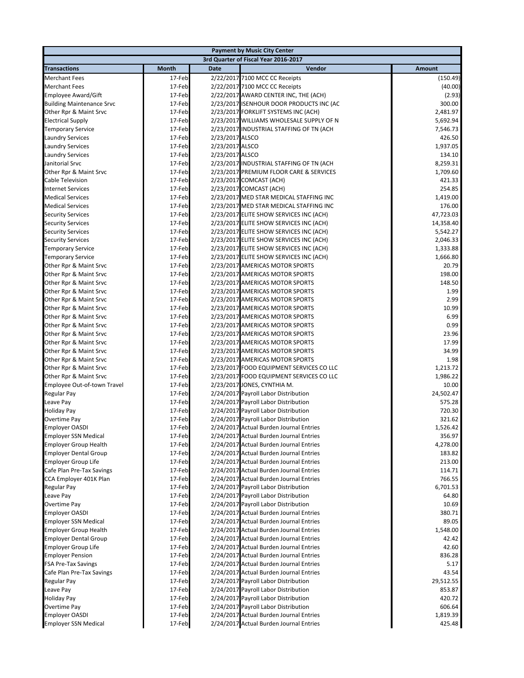|                                                     |                  |                 | <b>Payment by Music City Center</b>                                                |                     |
|-----------------------------------------------------|------------------|-----------------|------------------------------------------------------------------------------------|---------------------|
|                                                     |                  |                 | 3rd Quarter of Fiscal Year 2016-2017                                               |                     |
| <b>Transactions</b>                                 | <b>Month</b>     | <b>Date</b>     | Vendor                                                                             | <b>Amount</b>       |
| <b>Merchant Fees</b>                                | 17-Feb           |                 | 2/22/2017 7100 MCC CC Receipts                                                     | (150.49)            |
| <b>Merchant Fees</b>                                | 17-Feb           |                 | 2/22/2017 7100 MCC CC Receipts                                                     | (40.00)             |
| <b>Employee Award/Gift</b>                          | 17-Feb           |                 | 2/22/2017 AWARD CENTER INC, THE (ACH)                                              | (2.93)              |
| <b>Building Maintenance Srvc</b>                    | 17-Feb           |                 | 2/23/2017 ISENHOUR DOOR PRODUCTS INC (AC                                           | 300.00              |
| Other Rpr & Maint Srvc                              | 17-Feb           |                 | 2/23/2017 FORKLIFT SYSTEMS INC (ACH)                                               | 2,481.97            |
| <b>Electrical Supply</b>                            | 17-Feb           |                 | 2/23/2017 WILLIAMS WHOLESALE SUPPLY OF N                                           | 5,692.94            |
| <b>Temporary Service</b>                            | 17-Feb           |                 | 2/23/2017 INDUSTRIAL STAFFING OF TN (ACH                                           | 7,546.73            |
| <b>Laundry Services</b>                             | 17-Feb           | 2/23/2017 ALSCO |                                                                                    | 426.50              |
| <b>Laundry Services</b>                             | 17-Feb           | 2/23/2017 ALSCO |                                                                                    | 1,937.05            |
| <b>Laundry Services</b>                             | 17-Feb           | 2/23/2017 ALSCO |                                                                                    | 134.10              |
| Janitorial Srvc                                     | 17-Feb           |                 | 2/23/2017 INDUSTRIAL STAFFING OF TN (ACH                                           | 8,259.31            |
| Other Rpr & Maint Srvc                              | 17-Feb           |                 | 2/23/2017 PREMIUM FLOOR CARE & SERVICES                                            | 1,709.60            |
| Cable Television                                    | 17-Feb<br>17-Feb |                 | 2/23/2017 COMCAST (ACH)                                                            | 421.33              |
| <b>Internet Services</b><br><b>Medical Services</b> | 17-Feb           |                 | 2/23/2017 COMCAST (ACH)                                                            | 254.85<br>1,419.00  |
| <b>Medical Services</b>                             | 17-Feb           |                 | 2/23/2017 MED STAR MEDICAL STAFFING INC<br>2/23/2017 MED STAR MEDICAL STAFFING INC | 176.00              |
| <b>Security Services</b>                            | 17-Feb           |                 | 2/23/2017 ELITE SHOW SERVICES INC (ACH)                                            | 47,723.03           |
| <b>Security Services</b>                            | 17-Feb           |                 | 2/23/2017 ELITE SHOW SERVICES INC (ACH)                                            | 14,358.40           |
| <b>Security Services</b>                            | 17-Feb           |                 | 2/23/2017 ELITE SHOW SERVICES INC (ACH)                                            | 5,542.27            |
| <b>Security Services</b>                            | 17-Feb           |                 | 2/23/2017 ELITE SHOW SERVICES INC (ACH)                                            | 2,046.33            |
| <b>Temporary Service</b>                            | 17-Feb           |                 | 2/23/2017 ELITE SHOW SERVICES INC (ACH)                                            | 1,333.88            |
| <b>Temporary Service</b>                            | 17-Feb           |                 | 2/23/2017 ELITE SHOW SERVICES INC (ACH)                                            | 1,666.80            |
| Other Rpr & Maint Srvc                              | 17-Feb           |                 | 2/23/2017 AMERICAS MOTOR SPORTS                                                    | 20.79               |
| Other Rpr & Maint Srvc                              | 17-Feb           |                 | 2/23/2017 AMERICAS MOTOR SPORTS                                                    | 198.00              |
| Other Rpr & Maint Srvc                              | 17-Feb           |                 | 2/23/2017 AMERICAS MOTOR SPORTS                                                    | 148.50              |
| Other Rpr & Maint Srvc                              | 17-Feb           |                 | 2/23/2017 AMERICAS MOTOR SPORTS                                                    | 1.99                |
| Other Rpr & Maint Srvc                              | 17-Feb           |                 | 2/23/2017 AMERICAS MOTOR SPORTS                                                    | 2.99                |
| Other Rpr & Maint Srvc                              | 17-Feb           |                 | 2/23/2017 AMERICAS MOTOR SPORTS                                                    | 10.99               |
| Other Rpr & Maint Srvc                              | 17-Feb           |                 | 2/23/2017 AMERICAS MOTOR SPORTS                                                    | 6.99                |
| Other Rpr & Maint Srvc                              | 17-Feb           |                 | 2/23/2017 AMERICAS MOTOR SPORTS                                                    | 0.99                |
| Other Rpr & Maint Srvc                              | 17-Feb           |                 | 2/23/2017 AMERICAS MOTOR SPORTS                                                    | 23.96               |
| Other Rpr & Maint Srvc                              | 17-Feb           |                 | 2/23/2017 AMERICAS MOTOR SPORTS                                                    | 17.99               |
| Other Rpr & Maint Srvc                              | 17-Feb           |                 | 2/23/2017 AMERICAS MOTOR SPORTS                                                    | 34.99               |
| Other Rpr & Maint Srvc                              | 17-Feb           |                 | 2/23/2017 AMERICAS MOTOR SPORTS                                                    | 1.98                |
| Other Rpr & Maint Srvc                              | 17-Feb           |                 | 2/23/2017 FOOD EQUIPMENT SERVICES CO LLC                                           | 1,213.72            |
| Other Rpr & Maint Srvc                              | 17-Feb           |                 | 2/23/2017 FOOD EQUIPMENT SERVICES CO LLC                                           | 1,986.22            |
| Employee Out-of-town Travel                         | 17-Feb           |                 | 2/23/2017 JONES, CYNTHIA M.                                                        | 10.00               |
| <b>Regular Pay</b>                                  | 17-Feb<br>17-Feb |                 | 2/24/2017 Payroll Labor Distribution                                               | 24,502.47<br>575.28 |
| Leave Pay<br><b>Holiday Pay</b>                     | 17-Feb           |                 | 2/24/2017 Payroll Labor Distribution<br>2/24/2017 Payroll Labor Distribution       | 720.30              |
| Overtime Pay                                        | 17-Feb           |                 | 2/24/2017 Payroll Labor Distribution                                               | 321.62              |
| <b>Employer OASDI</b>                               | 17-Feb           |                 | 2/24/2017 Actual Burden Journal Entries                                            | 1,526.42            |
| <b>Employer SSN Medical</b>                         | 17-Feb           |                 | 2/24/2017 Actual Burden Journal Entries                                            | 356.97              |
| <b>Employer Group Health</b>                        | 17-Feb           |                 | 2/24/2017 Actual Burden Journal Entries                                            | 4,278.00            |
| <b>Employer Dental Group</b>                        | 17-Feb           |                 | 2/24/2017 Actual Burden Journal Entries                                            | 183.82              |
| <b>Employer Group Life</b>                          | 17-Feb           |                 | 2/24/2017 Actual Burden Journal Entries                                            | 213.00              |
| Cafe Plan Pre-Tax Savings                           | 17-Feb           |                 | 2/24/2017 Actual Burden Journal Entries                                            | 114.71              |
| CCA Employer 401K Plan                              | 17-Feb           |                 | 2/24/2017 Actual Burden Journal Entries                                            | 766.55              |
| Regular Pay                                         | 17-Feb           |                 | 2/24/2017 Payroll Labor Distribution                                               | 6,701.53            |
| Leave Pay                                           | 17-Feb           |                 | 2/24/2017 Payroll Labor Distribution                                               | 64.80               |
| Overtime Pay                                        | 17-Feb           |                 | 2/24/2017 Payroll Labor Distribution                                               | 10.69               |
| <b>Employer OASDI</b>                               | 17-Feb           |                 | 2/24/2017 Actual Burden Journal Entries                                            | 380.71              |
| <b>Employer SSN Medical</b>                         | 17-Feb           |                 | 2/24/2017 Actual Burden Journal Entries                                            | 89.05               |
| <b>Employer Group Health</b>                        | 17-Feb           |                 | 2/24/2017 Actual Burden Journal Entries                                            | 1,548.00            |
| <b>Employer Dental Group</b>                        | 17-Feb           |                 | 2/24/2017 Actual Burden Journal Entries                                            | 42.42               |
| <b>Employer Group Life</b>                          | 17-Feb           |                 | 2/24/2017 Actual Burden Journal Entries                                            | 42.60               |
| <b>Employer Pension</b>                             | 17-Feb           |                 | 2/24/2017 Actual Burden Journal Entries                                            | 836.28              |
| <b>FSA Pre-Tax Savings</b>                          | 17-Feb           |                 | 2/24/2017 Actual Burden Journal Entries                                            | 5.17                |
| Cafe Plan Pre-Tax Savings                           | 17-Feb           |                 | 2/24/2017 Actual Burden Journal Entries                                            | 43.54               |
| Regular Pay                                         | 17-Feb           |                 | 2/24/2017 Payroll Labor Distribution                                               | 29,512.55           |
| Leave Pay                                           | 17-Feb           |                 | 2/24/2017 Payroll Labor Distribution                                               | 853.87<br>420.72    |
| <b>Holiday Pay</b><br>Overtime Pay                  | 17-Feb<br>17-Feb |                 | 2/24/2017 Payroll Labor Distribution<br>2/24/2017 Payroll Labor Distribution       | 606.64              |
| <b>Employer OASDI</b>                               | 17-Feb           |                 | 2/24/2017 Actual Burden Journal Entries                                            | 1,819.39            |
| <b>Employer SSN Medical</b>                         | 17-Feb           |                 | 2/24/2017 Actual Burden Journal Entries                                            | 425.48              |
|                                                     |                  |                 |                                                                                    |                     |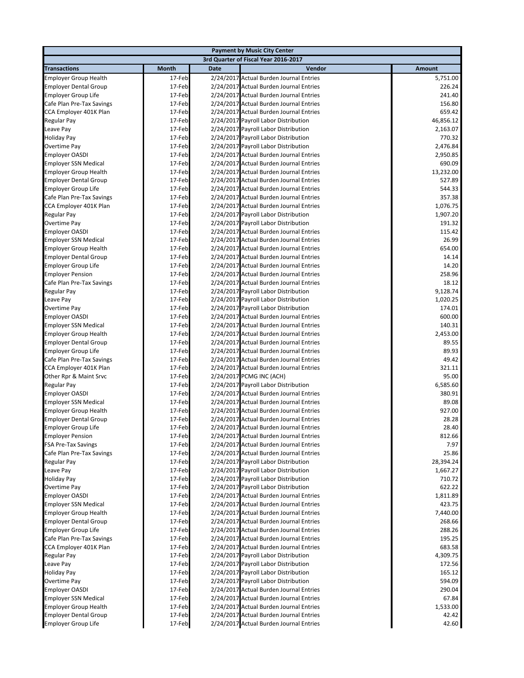|                              |        |             | <b>Payment by Music City Center</b>     |               |
|------------------------------|--------|-------------|-----------------------------------------|---------------|
|                              |        |             | 3rd Quarter of Fiscal Year 2016-2017    |               |
| <b>Transactions</b>          | Month  | <b>Date</b> | Vendor                                  | <b>Amount</b> |
| <b>Employer Group Health</b> | 17-Feb |             | 2/24/2017 Actual Burden Journal Entries | 5,751.00      |
| <b>Employer Dental Group</b> | 17-Feb |             | 2/24/2017 Actual Burden Journal Entries | 226.24        |
| <b>Employer Group Life</b>   | 17-Feb |             | 2/24/2017 Actual Burden Journal Entries | 241.40        |
| Cafe Plan Pre-Tax Savings    | 17-Feb |             | 2/24/2017 Actual Burden Journal Entries | 156.80        |
| CCA Employer 401K Plan       | 17-Feb |             | 2/24/2017 Actual Burden Journal Entries | 659.42        |
| Regular Pay                  | 17-Feb |             | 2/24/2017 Payroll Labor Distribution    | 46,856.12     |
| Leave Pay                    | 17-Feb |             | 2/24/2017 Payroll Labor Distribution    | 2,163.07      |
| <b>Holiday Pay</b>           | 17-Feb |             | 2/24/2017 Payroll Labor Distribution    | 770.32        |
| Overtime Pay                 | 17-Feb |             | 2/24/2017 Payroll Labor Distribution    | 2,476.84      |
| <b>Employer OASDI</b>        | 17-Feb |             | 2/24/2017 Actual Burden Journal Entries | 2,950.85      |
| <b>Employer SSN Medical</b>  | 17-Feb |             | 2/24/2017 Actual Burden Journal Entries | 690.09        |
| <b>Employer Group Health</b> | 17-Feb |             | 2/24/2017 Actual Burden Journal Entries | 13,232.00     |
| <b>Employer Dental Group</b> | 17-Feb |             | 2/24/2017 Actual Burden Journal Entries | 527.89        |
| <b>Employer Group Life</b>   | 17-Feb |             | 2/24/2017 Actual Burden Journal Entries | 544.33        |
| Cafe Plan Pre-Tax Savings    | 17-Feb |             | 2/24/2017 Actual Burden Journal Entries | 357.38        |
| CCA Employer 401K Plan       | 17-Feb |             | 2/24/2017 Actual Burden Journal Entries | 1,076.75      |
| Regular Pay                  | 17-Feb |             | 2/24/2017 Payroll Labor Distribution    | 1,907.20      |
| Overtime Pay                 | 17-Feb |             | 2/24/2017 Payroll Labor Distribution    | 191.32        |
| <b>Employer OASDI</b>        | 17-Feb |             | 2/24/2017 Actual Burden Journal Entries | 115.42        |
| <b>Employer SSN Medical</b>  | 17-Feb |             | 2/24/2017 Actual Burden Journal Entries | 26.99         |
| <b>Employer Group Health</b> | 17-Feb |             | 2/24/2017 Actual Burden Journal Entries | 654.00        |
| <b>Employer Dental Group</b> | 17-Feb |             | 2/24/2017 Actual Burden Journal Entries | 14.14         |
| <b>Employer Group Life</b>   | 17-Feb |             | 2/24/2017 Actual Burden Journal Entries | 14.20         |
| <b>Employer Pension</b>      | 17-Feb |             | 2/24/2017 Actual Burden Journal Entries | 258.96        |
| Cafe Plan Pre-Tax Savings    | 17-Feb |             | 2/24/2017 Actual Burden Journal Entries | 18.12         |
| <b>Regular Pay</b>           | 17-Feb |             | 2/24/2017 Payroll Labor Distribution    | 9,128.74      |
| Leave Pay                    | 17-Feb |             | 2/24/2017 Payroll Labor Distribution    | 1,020.25      |
| Overtime Pay                 | 17-Feb |             | 2/24/2017 Payroll Labor Distribution    | 174.01        |
| <b>Employer OASDI</b>        | 17-Feb |             | 2/24/2017 Actual Burden Journal Entries | 600.00        |
| <b>Employer SSN Medical</b>  | 17-Feb |             | 2/24/2017 Actual Burden Journal Entries | 140.31        |
| <b>Employer Group Health</b> | 17-Feb |             | 2/24/2017 Actual Burden Journal Entries | 2,453.00      |
| <b>Employer Dental Group</b> | 17-Feb |             | 2/24/2017 Actual Burden Journal Entries | 89.55         |
| <b>Employer Group Life</b>   | 17-Feb |             | 2/24/2017 Actual Burden Journal Entries | 89.93         |
| Cafe Plan Pre-Tax Savings    | 17-Feb |             | 2/24/2017 Actual Burden Journal Entries | 49.42         |
| CCA Employer 401K Plan       | 17-Feb |             | 2/24/2017 Actual Burden Journal Entries | 321.11        |
| Other Rpr & Maint Srvc       | 17-Feb |             | 2/24/2017 PCMG INC (ACH)                | 95.00         |
| Regular Pay                  | 17-Feb |             | 2/24/2017 Payroll Labor Distribution    | 6,585.60      |
| <b>Employer OASDI</b>        | 17-Feb |             | 2/24/2017 Actual Burden Journal Entries | 380.91        |
| <b>Employer SSN Medical</b>  | 17-Feb |             | 2/24/2017 Actual Burden Journal Entries | 89.08         |
| <b>Employer Group Health</b> | 17-Feb |             | 2/24/2017 Actual Burden Journal Entries | 927.00        |
| <b>Employer Dental Group</b> | 17-Feb |             | 2/24/2017 Actual Burden Journal Entries | 28.28         |
| <b>Employer Group Life</b>   | 17-Feb |             | 2/24/2017 Actual Burden Journal Entries | 28.40         |
| <b>Employer Pension</b>      | 17-Feb |             | 2/24/2017 Actual Burden Journal Entries | 812.66        |
| <b>FSA Pre-Tax Savings</b>   | 17-Feb |             | 2/24/2017 Actual Burden Journal Entries | 7.97          |
| Cafe Plan Pre-Tax Savings    | 17-Feb |             | 2/24/2017 Actual Burden Journal Entries | 25.86         |
| Regular Pay                  | 17-Feb |             | 2/24/2017 Payroll Labor Distribution    | 28,394.24     |
| Leave Pay                    | 17-Feb |             | 2/24/2017 Payroll Labor Distribution    | 1,667.27      |
| <b>Holiday Pay</b>           | 17-Feb |             | 2/24/2017 Payroll Labor Distribution    | 710.72        |
| Overtime Pay                 | 17-Feb |             | 2/24/2017 Payroll Labor Distribution    | 622.22        |
| <b>Employer OASDI</b>        | 17-Feb |             | 2/24/2017 Actual Burden Journal Entries | 1,811.89      |
| <b>Employer SSN Medical</b>  | 17-Feb |             | 2/24/2017 Actual Burden Journal Entries | 423.75        |
| <b>Employer Group Health</b> | 17-Feb |             | 2/24/2017 Actual Burden Journal Entries | 7,440.00      |
| <b>Employer Dental Group</b> | 17-Feb |             | 2/24/2017 Actual Burden Journal Entries | 268.66        |
| <b>Employer Group Life</b>   | 17-Feb |             | 2/24/2017 Actual Burden Journal Entries | 288.26        |
| Cafe Plan Pre-Tax Savings    | 17-Feb |             | 2/24/2017 Actual Burden Journal Entries | 195.25        |
| CCA Employer 401K Plan       | 17-Feb |             | 2/24/2017 Actual Burden Journal Entries | 683.58        |
| Regular Pay                  | 17-Feb |             | 2/24/2017 Payroll Labor Distribution    | 4,309.75      |
| Leave Pay                    | 17-Feb |             | 2/24/2017 Payroll Labor Distribution    | 172.56        |
| <b>Holiday Pay</b>           | 17-Feb |             | 2/24/2017 Payroll Labor Distribution    | 165.12        |
| Overtime Pay                 | 17-Feb |             | 2/24/2017 Payroll Labor Distribution    | 594.09        |
| <b>Employer OASDI</b>        | 17-Feb |             | 2/24/2017 Actual Burden Journal Entries | 290.04        |
| <b>Employer SSN Medical</b>  | 17-Feb |             | 2/24/2017 Actual Burden Journal Entries | 67.84         |
| <b>Employer Group Health</b> | 17-Feb |             | 2/24/2017 Actual Burden Journal Entries | 1,533.00      |
| <b>Employer Dental Group</b> | 17-Feb |             | 2/24/2017 Actual Burden Journal Entries | 42.42         |
| <b>Employer Group Life</b>   | 17-Feb |             | 2/24/2017 Actual Burden Journal Entries | 42.60         |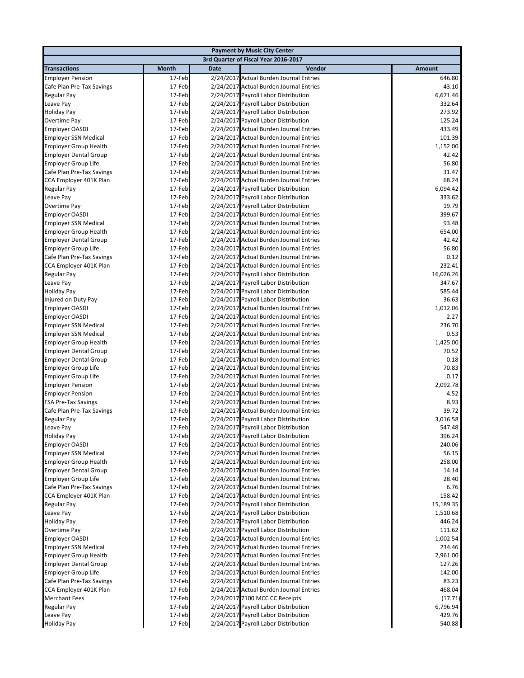|                                                              |                                      |             | <b>Payment by Music City Center</b>                                                |                   |  |  |  |
|--------------------------------------------------------------|--------------------------------------|-------------|------------------------------------------------------------------------------------|-------------------|--|--|--|
|                                                              | 3rd Quarter of Fiscal Year 2016-2017 |             |                                                                                    |                   |  |  |  |
| <b>Transactions</b>                                          | <b>Month</b>                         | <b>Date</b> | Vendor                                                                             | <b>Amount</b>     |  |  |  |
| <b>Employer Pension</b>                                      | 17-Feb                               |             | 2/24/2017 Actual Burden Journal Entries                                            | 646.80            |  |  |  |
| Cafe Plan Pre-Tax Savings                                    | 17-Feb                               |             | 2/24/2017 Actual Burden Journal Entries                                            | 43.10             |  |  |  |
| Regular Pay                                                  | 17-Feb                               |             | 2/24/2017 Payroll Labor Distribution                                               | 6,671.46          |  |  |  |
| Leave Pay                                                    | 17-Feb                               |             | 2/24/2017 Payroll Labor Distribution                                               | 332.64            |  |  |  |
| <b>Holiday Pay</b>                                           | 17-Feb                               |             | 2/24/2017 Payroll Labor Distribution                                               | 273.92            |  |  |  |
| Overtime Pay                                                 | 17-Feb                               |             | 2/24/2017 Payroll Labor Distribution                                               | 125.24            |  |  |  |
| <b>Employer OASDI</b>                                        | 17-Feb                               |             | 2/24/2017 Actual Burden Journal Entries                                            | 433.49            |  |  |  |
| <b>Employer SSN Medical</b>                                  | 17-Feb                               |             | 2/24/2017 Actual Burden Journal Entries                                            | 101.39            |  |  |  |
| <b>Employer Group Health</b>                                 | 17-Feb                               |             | 2/24/2017 Actual Burden Journal Entries                                            | 1,152.00          |  |  |  |
| <b>Employer Dental Group</b>                                 | 17-Feb                               |             | 2/24/2017 Actual Burden Journal Entries                                            | 42.42             |  |  |  |
| <b>Employer Group Life</b>                                   | 17-Feb                               |             | 2/24/2017 Actual Burden Journal Entries                                            | 56.80             |  |  |  |
| Cafe Plan Pre-Tax Savings                                    | 17-Feb                               |             | 2/24/2017 Actual Burden Journal Entries                                            | 31.47             |  |  |  |
| CCA Employer 401K Plan                                       | 17-Feb                               |             | 2/24/2017 Actual Burden Journal Entries                                            | 68.24             |  |  |  |
| Regular Pay                                                  | 17-Feb                               |             | 2/24/2017 Payroll Labor Distribution                                               | 6,094.42          |  |  |  |
| Leave Pay                                                    | 17-Feb                               |             | 2/24/2017 Payroll Labor Distribution                                               | 333.62            |  |  |  |
| Overtime Pay                                                 | 17-Feb                               |             | 2/24/2017 Payroll Labor Distribution                                               | 19.79             |  |  |  |
| <b>Employer OASDI</b>                                        | 17-Feb                               |             | 2/24/2017 Actual Burden Journal Entries                                            | 399.67            |  |  |  |
| <b>Employer SSN Medical</b>                                  | 17-Feb                               |             | 2/24/2017 Actual Burden Journal Entries                                            | 93.48             |  |  |  |
| <b>Employer Group Health</b>                                 | 17-Feb                               |             | 2/24/2017 Actual Burden Journal Entries                                            | 654.00            |  |  |  |
| <b>Employer Dental Group</b>                                 | 17-Feb                               |             | 2/24/2017 Actual Burden Journal Entries                                            | 42.42             |  |  |  |
| <b>Employer Group Life</b>                                   | 17-Feb                               |             | 2/24/2017 Actual Burden Journal Entries                                            | 56.80             |  |  |  |
| Cafe Plan Pre-Tax Savings                                    | 17-Feb                               |             | 2/24/2017 Actual Burden Journal Entries                                            | 0.12              |  |  |  |
| CCA Employer 401K Plan                                       | 17-Feb                               |             | 2/24/2017 Actual Burden Journal Entries                                            | 232.41            |  |  |  |
| Regular Pay                                                  | 17-Feb                               |             | 2/24/2017 Payroll Labor Distribution                                               | 16,026.26         |  |  |  |
| Leave Pay                                                    | 17-Feb                               |             | 2/24/2017 Payroll Labor Distribution                                               | 347.67            |  |  |  |
| <b>Holiday Pay</b>                                           | 17-Feb                               |             | 2/24/2017 Payroll Labor Distribution                                               | 585.44            |  |  |  |
| Injured on Duty Pay                                          | 17-Feb                               |             | 2/24/2017 Payroll Labor Distribution                                               | 36.63             |  |  |  |
| <b>Employer OASDI</b>                                        | 17-Feb                               |             | 2/24/2017 Actual Burden Journal Entries                                            | 1,012.06          |  |  |  |
| <b>Employer OASDI</b>                                        | 17-Feb                               |             | 2/24/2017 Actual Burden Journal Entries                                            | 2.27              |  |  |  |
| <b>Employer SSN Medical</b>                                  | 17-Feb                               |             | 2/24/2017 Actual Burden Journal Entries                                            | 236.70            |  |  |  |
| <b>Employer SSN Medical</b>                                  | 17-Feb                               |             | 2/24/2017 Actual Burden Journal Entries                                            | 0.53              |  |  |  |
| <b>Employer Group Health</b>                                 | 17-Feb<br>17-Feb                     |             | 2/24/2017 Actual Burden Journal Entries<br>2/24/2017 Actual Burden Journal Entries | 1,425.00<br>70.52 |  |  |  |
| <b>Employer Dental Group</b><br><b>Employer Dental Group</b> | 17-Feb                               |             | 2/24/2017 Actual Burden Journal Entries                                            | 0.18              |  |  |  |
| <b>Employer Group Life</b>                                   | 17-Feb                               |             | 2/24/2017 Actual Burden Journal Entries                                            | 70.83             |  |  |  |
| <b>Employer Group Life</b>                                   | 17-Feb                               |             | 2/24/2017 Actual Burden Journal Entries                                            | 0.17              |  |  |  |
| <b>Employer Pension</b>                                      | 17-Feb                               |             | 2/24/2017 Actual Burden Journal Entries                                            | 2,092.78          |  |  |  |
| <b>Employer Pension</b>                                      | 17-Feb                               |             | 2/24/2017 Actual Burden Journal Entries                                            | 4.52              |  |  |  |
| <b>FSA Pre-Tax Savings</b>                                   | 17-Feb                               |             | 2/24/2017 Actual Burden Journal Entries                                            | 8.93              |  |  |  |
| Cafe Plan Pre-Tax Savings                                    | 17-Feb                               |             | 2/24/2017 Actual Burden Journal Entries                                            | 39.72             |  |  |  |
| Regular Pay                                                  | 17-Feb                               |             | 2/24/2017 Payroll Labor Distribution                                               | 3,016.58          |  |  |  |
| Leave Pay                                                    | 17-Feb                               |             | 2/24/2017 Payroll Labor Distribution                                               | 547.48            |  |  |  |
| <b>Holiday Pay</b>                                           | 17-Feb                               |             | 2/24/2017 Payroll Labor Distribution                                               | 396.24            |  |  |  |
| <b>Employer OASDI</b>                                        | 17-Feb                               |             | 2/24/2017 Actual Burden Journal Entries                                            | 240.06            |  |  |  |
| <b>Employer SSN Medical</b>                                  | 17-Feb                               |             | 2/24/2017 Actual Burden Journal Entries                                            | 56.15             |  |  |  |
| <b>Employer Group Health</b>                                 | 17-Feb                               |             | 2/24/2017 Actual Burden Journal Entries                                            | 258.00            |  |  |  |
| <b>Employer Dental Group</b>                                 | 17-Feb                               |             | 2/24/2017 Actual Burden Journal Entries                                            | 14.14             |  |  |  |
| <b>Employer Group Life</b>                                   | 17-Feb                               |             | 2/24/2017 Actual Burden Journal Entries                                            | 28.40             |  |  |  |
| Cafe Plan Pre-Tax Savings                                    | 17-Feb                               |             | 2/24/2017 Actual Burden Journal Entries                                            | 6.76              |  |  |  |
| CCA Employer 401K Plan                                       | 17-Feb                               |             | 2/24/2017 Actual Burden Journal Entries                                            | 158.42            |  |  |  |
| Regular Pay                                                  | 17-Feb                               |             | 2/24/2017 Payroll Labor Distribution                                               | 15,189.35         |  |  |  |
| Leave Pay                                                    | 17-Feb                               |             | 2/24/2017 Payroll Labor Distribution                                               | 1,510.68          |  |  |  |
| <b>Holiday Pay</b>                                           | 17-Feb                               |             | 2/24/2017 Payroll Labor Distribution                                               | 446.24            |  |  |  |
| Overtime Pay                                                 | 17-Feb                               |             | 2/24/2017 Payroll Labor Distribution                                               | 111.62            |  |  |  |
| <b>Employer OASDI</b>                                        | 17-Feb                               |             | 2/24/2017 Actual Burden Journal Entries                                            | 1,002.54          |  |  |  |
| <b>Employer SSN Medical</b>                                  | 17-Feb                               |             | 2/24/2017 Actual Burden Journal Entries                                            | 234.46            |  |  |  |
| <b>Employer Group Health</b>                                 | 17-Feb                               |             | 2/24/2017 Actual Burden Journal Entries                                            | 2,961.00          |  |  |  |
| <b>Employer Dental Group</b>                                 | 17-Feb                               |             | 2/24/2017 Actual Burden Journal Entries                                            | 127.26            |  |  |  |
| Employer Group Life                                          | 17-Feb                               |             | 2/24/2017 Actual Burden Journal Entries                                            | 142.00            |  |  |  |
| Cafe Plan Pre-Tax Savings                                    | 17-Feb                               |             | 2/24/2017 Actual Burden Journal Entries                                            | 83.23             |  |  |  |
| CCA Employer 401K Plan                                       | 17-Feb                               |             | 2/24/2017 Actual Burden Journal Entries                                            | 468.04            |  |  |  |
| <b>Merchant Fees</b>                                         | 17-Feb                               |             | 2/24/2017 7100 MCC CC Receipts                                                     | (17.71)           |  |  |  |
| Regular Pay                                                  | 17-Feb                               |             | 2/24/2017 Payroll Labor Distribution                                               | 6,796.94          |  |  |  |
| Leave Pay                                                    | 17-Feb                               |             | 2/24/2017 Payroll Labor Distribution                                               | 429.76            |  |  |  |
| <b>Holiday Pay</b>                                           | 17-Feb                               |             | 2/24/2017 Payroll Labor Distribution                                               | 540.88            |  |  |  |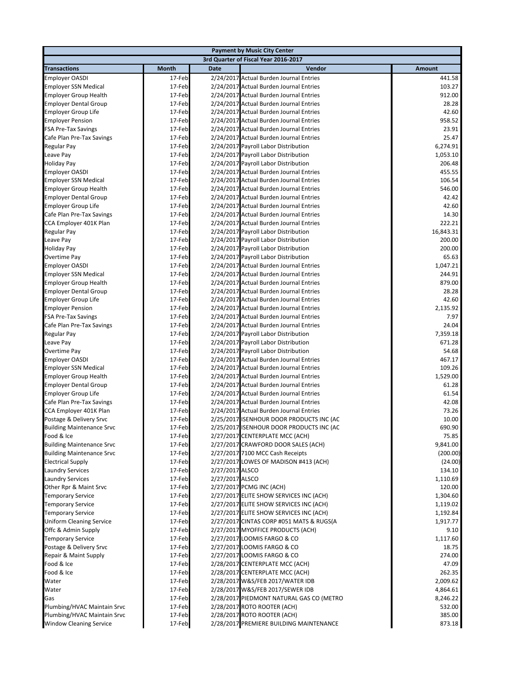|                                                     |                                      |                                    | <b>Payment by Music City Center</b>                                                |                    |  |  |  |
|-----------------------------------------------------|--------------------------------------|------------------------------------|------------------------------------------------------------------------------------|--------------------|--|--|--|
|                                                     | 3rd Quarter of Fiscal Year 2016-2017 |                                    |                                                                                    |                    |  |  |  |
| <b>Transactions</b>                                 | <b>Month</b>                         | <b>Date</b>                        | Vendor                                                                             | <b>Amount</b>      |  |  |  |
| <b>Employer OASDI</b>                               | 17-Feb                               |                                    | 2/24/2017 Actual Burden Journal Entries                                            | 441.58             |  |  |  |
| <b>Employer SSN Medical</b>                         | 17-Feb                               |                                    | 2/24/2017 Actual Burden Journal Entries                                            | 103.27             |  |  |  |
| <b>Employer Group Health</b>                        | 17-Feb                               |                                    | 2/24/2017 Actual Burden Journal Entries                                            | 912.00             |  |  |  |
| <b>Employer Dental Group</b>                        | 17-Feb                               |                                    | 2/24/2017 Actual Burden Journal Entries                                            | 28.28              |  |  |  |
| <b>Employer Group Life</b>                          | 17-Feb                               |                                    | 2/24/2017 Actual Burden Journal Entries                                            | 42.60              |  |  |  |
| <b>Employer Pension</b>                             | 17-Feb                               |                                    | 2/24/2017 Actual Burden Journal Entries                                            | 958.52             |  |  |  |
| <b>FSA Pre-Tax Savings</b>                          | 17-Feb                               |                                    | 2/24/2017 Actual Burden Journal Entries                                            | 23.91              |  |  |  |
| Cafe Plan Pre-Tax Savings                           | 17-Feb                               |                                    | 2/24/2017 Actual Burden Journal Entries                                            | 25.47              |  |  |  |
| Regular Pay                                         | 17-Feb                               |                                    | 2/24/2017 Payroll Labor Distribution                                               | 6,274.91           |  |  |  |
| Leave Pay                                           | 17-Feb                               |                                    | 2/24/2017 Payroll Labor Distribution                                               | 1,053.10           |  |  |  |
| <b>Holiday Pay</b>                                  | 17-Feb                               |                                    | 2/24/2017 Payroll Labor Distribution                                               | 206.48             |  |  |  |
| <b>Employer OASDI</b>                               | 17-Feb                               |                                    | 2/24/2017 Actual Burden Journal Entries                                            | 455.55             |  |  |  |
| <b>Employer SSN Medical</b>                         | 17-Feb                               |                                    | 2/24/2017 Actual Burden Journal Entries                                            | 106.54             |  |  |  |
| <b>Employer Group Health</b>                        | 17-Feb                               |                                    | 2/24/2017 Actual Burden Journal Entries                                            | 546.00             |  |  |  |
| <b>Employer Dental Group</b>                        | 17-Feb                               |                                    | 2/24/2017 Actual Burden Journal Entries                                            | 42.42<br>42.60     |  |  |  |
| <b>Employer Group Life</b>                          | 17-Feb                               |                                    | 2/24/2017 Actual Burden Journal Entries<br>2/24/2017 Actual Burden Journal Entries |                    |  |  |  |
| Cafe Plan Pre-Tax Savings<br>CCA Employer 401K Plan | 17-Feb<br>17-Feb                     |                                    | 2/24/2017 Actual Burden Journal Entries                                            | 14.30<br>222.21    |  |  |  |
| Regular Pay                                         | 17-Feb                               |                                    | 2/24/2017 Payroll Labor Distribution                                               | 16,843.31          |  |  |  |
| Leave Pay                                           | 17-Feb                               |                                    | 2/24/2017 Payroll Labor Distribution                                               | 200.00             |  |  |  |
| <b>Holiday Pay</b>                                  | 17-Feb                               |                                    | 2/24/2017 Payroll Labor Distribution                                               | 200.00             |  |  |  |
| Overtime Pay                                        | 17-Feb                               |                                    | 2/24/2017 Payroll Labor Distribution                                               | 65.63              |  |  |  |
| <b>Employer OASDI</b>                               | 17-Feb                               |                                    | 2/24/2017 Actual Burden Journal Entries                                            | 1,047.21           |  |  |  |
| <b>Employer SSN Medical</b>                         | 17-Feb                               |                                    | 2/24/2017 Actual Burden Journal Entries                                            | 244.91             |  |  |  |
| <b>Employer Group Health</b>                        | 17-Feb                               |                                    | 2/24/2017 Actual Burden Journal Entries                                            | 879.00             |  |  |  |
| <b>Employer Dental Group</b>                        | 17-Feb                               |                                    | 2/24/2017 Actual Burden Journal Entries                                            | 28.28              |  |  |  |
| <b>Employer Group Life</b>                          | 17-Feb                               |                                    | 2/24/2017 Actual Burden Journal Entries                                            | 42.60              |  |  |  |
| <b>Employer Pension</b>                             | 17-Feb                               |                                    | 2/24/2017 Actual Burden Journal Entries                                            | 2,135.92           |  |  |  |
| <b>FSA Pre-Tax Savings</b>                          | 17-Feb                               |                                    | 2/24/2017 Actual Burden Journal Entries                                            | 7.97               |  |  |  |
| Cafe Plan Pre-Tax Savings                           | 17-Feb                               |                                    | 2/24/2017 Actual Burden Journal Entries                                            | 24.04              |  |  |  |
| Regular Pay                                         | 17-Feb                               |                                    | 2/24/2017 Payroll Labor Distribution                                               | 7,359.18           |  |  |  |
| Leave Pay                                           | 17-Feb                               |                                    | 2/24/2017 Payroll Labor Distribution                                               | 671.28             |  |  |  |
| Overtime Pay                                        | 17-Feb                               |                                    | 2/24/2017 Payroll Labor Distribution                                               | 54.68              |  |  |  |
| Employer OASDI                                      | 17-Feb                               |                                    | 2/24/2017 Actual Burden Journal Entries                                            | 467.17             |  |  |  |
| <b>Employer SSN Medical</b>                         | 17-Feb                               |                                    | 2/24/2017 Actual Burden Journal Entries                                            | 109.26             |  |  |  |
| <b>Employer Group Health</b>                        | 17-Feb                               |                                    | 2/24/2017 Actual Burden Journal Entries                                            | 1,529.00           |  |  |  |
| <b>Employer Dental Group</b>                        | 17-Feb                               |                                    | 2/24/2017 Actual Burden Journal Entries                                            | 61.28              |  |  |  |
| <b>Employer Group Life</b>                          | 17-Feb                               |                                    | 2/24/2017 Actual Burden Journal Entries                                            | 61.54              |  |  |  |
| Cafe Plan Pre-Tax Savings                           | 17-Feb                               |                                    | 2/24/2017 Actual Burden Journal Entries                                            | 42.08              |  |  |  |
| CCA Employer 401K Plan                              | 17-Feb                               |                                    | 2/24/2017 Actual Burden Journal Entries                                            | 73.26              |  |  |  |
| Postage & Delivery Srvc                             | 17-Feb                               |                                    | 2/25/2017 ISENHOUR DOOR PRODUCTS INC (AC                                           | 10.00              |  |  |  |
| <b>Building Maintenance Srvc</b>                    | 17-Feb                               |                                    | 2/25/2017 ISENHOUR DOOR PRODUCTS INC (AC                                           | 690.90             |  |  |  |
| Food & Ice                                          | 17-Feb                               |                                    | 2/27/2017 CENTERPLATE MCC (ACH)                                                    | 75.85              |  |  |  |
| <b>Building Maintenance Srvc</b>                    | 17-Feb                               |                                    | 2/27/2017 CRAWFORD DOOR SALES (ACH)                                                | 9,841.00           |  |  |  |
| <b>Building Maintenance Srvc</b>                    | 17-Feb                               |                                    | 2/27/2017 7100 MCC Cash Receipts                                                   | (200.00)           |  |  |  |
| <b>Electrical Supply</b>                            | 17-Feb                               |                                    | 2/27/2017 LOWES OF MADISON #413 (ACH)                                              | (24.00)            |  |  |  |
| <b>Laundry Services</b><br><b>Laundry Services</b>  | 17-Feb<br>17-Feb                     | 2/27/2017 ALSCO<br>2/27/2017 ALSCO |                                                                                    | 134.10<br>1,110.69 |  |  |  |
| Other Rpr & Maint Srvc                              |                                      |                                    | 2/27/2017 PCMG INC (ACH)                                                           | 120.00             |  |  |  |
| <b>Temporary Service</b>                            | 17-Feb<br>17-Feb                     |                                    | 2/27/2017 ELITE SHOW SERVICES INC (ACH)                                            | 1,304.60           |  |  |  |
| <b>Temporary Service</b>                            | 17-Feb                               |                                    | 2/27/2017 ELITE SHOW SERVICES INC (ACH)                                            | 1,119.02           |  |  |  |
| <b>Temporary Service</b>                            | 17-Feb                               |                                    | 2/27/2017 ELITE SHOW SERVICES INC (ACH)                                            | 1,192.84           |  |  |  |
| <b>Uniform Cleaning Service</b>                     | 17-Feb                               |                                    | 2/27/2017 CINTAS CORP #051 MATS & RUGS(A                                           | 1,917.77           |  |  |  |
| Offc & Admin Supply                                 | 17-Feb                               |                                    | 2/27/2017 MYOFFICE PRODUCTS (ACH)                                                  | 9.10               |  |  |  |
| <b>Temporary Service</b>                            | 17-Feb                               |                                    | 2/27/2017 LOOMIS FARGO & CO                                                        | 1,117.60           |  |  |  |
| Postage & Delivery Srvc                             | 17-Feb                               |                                    | 2/27/2017 LOOMIS FARGO & CO                                                        | 18.75              |  |  |  |
| Repair & Maint Supply                               | 17-Feb                               |                                    | 2/27/2017 LOOMIS FARGO & CO                                                        | 274.00             |  |  |  |
| Food & Ice                                          | 17-Feb                               |                                    | 2/28/2017 CENTERPLATE MCC (ACH)                                                    | 47.09              |  |  |  |
| Food & Ice                                          | 17-Feb                               |                                    | 2/28/2017 CENTERPLATE MCC (ACH)                                                    | 262.35             |  |  |  |
| Water                                               | 17-Feb                               |                                    | 2/28/2017 W&S/FEB 2017/WATER IDB                                                   | 2,009.62           |  |  |  |
| Water                                               | 17-Feb                               |                                    | 2/28/2017 W&S/FEB 2017/SEWER IDB                                                   | 4,864.61           |  |  |  |
| Gas                                                 | 17-Feb                               |                                    | 2/28/2017 PIEDMONT NATURAL GAS CO (METRO                                           | 8,246.22           |  |  |  |
| Plumbing/HVAC Maintain Srvc                         | 17-Feb                               |                                    | 2/28/2017 ROTO ROOTER (ACH)                                                        | 532.00             |  |  |  |
| Plumbing/HVAC Maintain Srvc                         | 17-Feb                               |                                    | 2/28/2017 ROTO ROOTER (ACH)                                                        | 385.00             |  |  |  |
| <b>Window Cleaning Service</b>                      | 17-Feb                               |                                    | 2/28/2017 PREMIERE BUILDING MAINTENANCE                                            | 873.18             |  |  |  |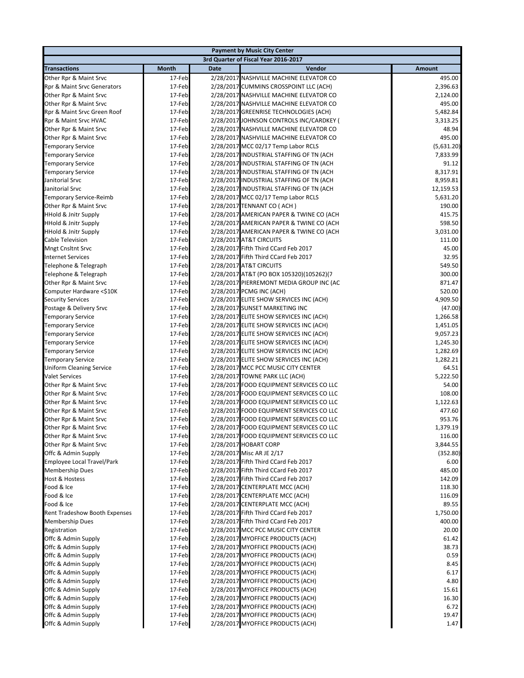|                                 |              |             | <b>Payment by Music City Center</b>                                    |                |
|---------------------------------|--------------|-------------|------------------------------------------------------------------------|----------------|
|                                 |              |             | 3rd Quarter of Fiscal Year 2016-2017                                   |                |
| <b>Transactions</b>             | <b>Month</b> | <b>Date</b> | Vendor                                                                 | Amount         |
| Other Rpr & Maint Srvc          | 17-Feb       |             | 2/28/2017 NASHVILLE MACHINE ELEVATOR CO                                | 495.00         |
| Rpr & Maint Srvc Generators     | 17-Feb       |             | 2/28/2017 CUMMINS CROSSPOINT LLC (ACH)                                 | 2,396.63       |
| Other Rpr & Maint Srvc          | 17-Feb       |             | 2/28/2017 NASHVILLE MACHINE ELEVATOR CO                                | 2,124.00       |
| Other Rpr & Maint Srvc          | 17-Feb       |             | 2/28/2017 NASHVILLE MACHINE ELEVATOR CO                                | 495.00         |
| Rpr & Maint Srvc Green Roof     | 17-Feb       |             | 2/28/2017 GREENRISE TECHNOLOGIES (ACH)                                 | 5,482.84       |
| Rpr & Maint Srvc HVAC           | 17-Feb       |             | 2/28/2017 JOHNSON CONTROLS INC/CARDKEY (                               | 3,313.25       |
| Other Rpr & Maint Srvc          | 17-Feb       |             | 2/28/2017 NASHVILLE MACHINE ELEVATOR CO                                | 48.94          |
| Other Rpr & Maint Srvc          | 17-Feb       |             | 2/28/2017 NASHVILLE MACHINE ELEVATOR CO                                | 495.00         |
| <b>Temporary Service</b>        | 17-Feb       |             | 2/28/2017 MCC 02/17 Temp Labor RCLS                                    | (5,631.20)     |
| <b>Temporary Service</b>        | 17-Feb       |             | 2/28/2017 INDUSTRIAL STAFFING OF TN (ACH                               | 7,833.99       |
| <b>Temporary Service</b>        | 17-Feb       |             | 2/28/2017 INDUSTRIAL STAFFING OF TN (ACH                               | 91.12          |
| <b>Temporary Service</b>        | 17-Feb       |             | 2/28/2017 INDUSTRIAL STAFFING OF TN (ACH                               | 8,317.91       |
| Janitorial Srvc                 | 17-Feb       |             | 2/28/2017 INDUSTRIAL STAFFING OF TN (ACH                               | 8,959.81       |
| Janitorial Srvc                 | 17-Feb       |             | 2/28/2017 INDUSTRIAL STAFFING OF TN (ACH                               | 12,159.53      |
| Temporary Service-Reimb         | 17-Feb       |             | 2/28/2017 MCC 02/17 Temp Labor RCLS                                    | 5,631.20       |
| Other Rpr & Maint Srvc          | 17-Feb       |             | 2/28/2017 TENNANT CO (ACH)                                             | 190.00         |
| <b>HHold &amp; Jnitr Supply</b> | 17-Feb       |             | 2/28/2017 AMERICAN PAPER & TWINE CO (ACH                               | 415.75         |
| <b>HHold &amp; Jnitr Supply</b> | 17-Feb       |             | 2/28/2017 AMERICAN PAPER & TWINE CO (ACH                               | 598.50         |
| <b>HHold &amp; Jnitr Supply</b> | 17-Feb       |             | 2/28/2017 AMERICAN PAPER & TWINE CO (ACH                               | 3,031.00       |
| Cable Television                | 17-Feb       |             | 2/28/2017 AT&T CIRCUITS                                                | 111.00         |
| <b>Mngt Cnsltnt Srvc</b>        | 17-Feb       |             | 2/28/2017 Fifth Third CCard Feb 2017                                   | 45.00          |
| <b>Internet Services</b>        | 17-Feb       |             | 2/28/2017 Fifth Third CCard Feb 2017                                   | 32.95          |
| Telephone & Telegraph           | 17-Feb       |             | 2/28/2017 AT&T CIRCUITS                                                | 549.50         |
| Telephone & Telegraph           | 17-Feb       |             | 2/28/2017 AT&T (PO BOX 105320)(105262)(7                               | 300.00         |
| Other Rpr & Maint Srvc          | 17-Feb       |             | 2/28/2017 PIERREMONT MEDIA GROUP INC (AC                               | 871.47         |
| Computer Hardware <\$10K        | 17-Feb       |             | 2/28/2017 PCMG INC (ACH)                                               | 520.00         |
| <b>Security Services</b>        | 17-Feb       |             | 2/28/2017 ELITE SHOW SERVICES INC (ACH)                                | 4,909.50       |
| Postage & Delivery Srvc         | 17-Feb       |             | 2/28/2017 SUNSET MARKETING INC                                         | (47.00)        |
| <b>Temporary Service</b>        | 17-Feb       |             | 2/28/2017 ELITE SHOW SERVICES INC (ACH)                                | 1,266.58       |
| <b>Temporary Service</b>        | 17-Feb       |             | 2/28/2017 ELITE SHOW SERVICES INC (ACH)                                | 1,451.05       |
| <b>Temporary Service</b>        | 17-Feb       |             | 2/28/2017 ELITE SHOW SERVICES INC (ACH)                                | 9,057.23       |
| <b>Temporary Service</b>        | 17-Feb       |             | 2/28/2017 ELITE SHOW SERVICES INC (ACH)                                | 1,245.30       |
| <b>Temporary Service</b>        | 17-Feb       |             | 2/28/2017 ELITE SHOW SERVICES INC (ACH)                                | 1,282.69       |
| <b>Temporary Service</b>        | 17-Feb       |             | 2/28/2017 ELITE SHOW SERVICES INC (ACH)                                | 1,282.21       |
| <b>Uniform Cleaning Service</b> | 17-Feb       |             | 2/28/2017 MCC PCC MUSIC CITY CENTER                                    | 64.51          |
| <b>Valet Services</b>           | 17-Feb       |             | 2/28/2017 TOWNE PARK LLC (ACH)                                         | 5,222.50       |
| Other Rpr & Maint Srvc          | 17-Feb       |             | 2/28/2017 FOOD EQUIPMENT SERVICES CO LLC                               | 54.00          |
| Other Rpr & Maint Srvc          | 17-Feb       |             | 2/28/2017 FOOD EQUIPMENT SERVICES CO LLC                               | 108.00         |
| Other Rpr & Maint Srvc          | 17-Feb       |             | 2/28/2017 FOOD EQUIPMENT SERVICES CO LLC                               | 1,122.63       |
| Other Rpr & Maint Srvc          | 17-Feb       |             | 2/28/2017 FOOD EQUIPMENT SERVICES CO LLC                               | 477.60         |
| Other Rpr & Maint Srvc          | 17-Feb       |             | 2/28/2017 FOOD EQUIPMENT SERVICES CO LLC                               | 953.76         |
| Other Rpr & Maint Srvc          | 17-Feb       |             | 2/28/2017 FOOD EQUIPMENT SERVICES CO LLC                               | 1,379.19       |
| Other Rpr & Maint Srvc          | 17-Feb       |             | 2/28/2017 FOOD EQUIPMENT SERVICES CO LLC                               | 116.00         |
| Other Rpr & Maint Srvc          | 17-Feb       |             | 2/28/2017 HOBART CORP                                                  | 3,844.55       |
| Offc & Admin Supply             | 17-Feb       |             | 2/28/2017 Misc AR JE 2/17                                              | (352.80)       |
| Employee Local Travel/Park      | 17-Feb       |             | 2/28/2017 Fifth Third CCard Feb 2017                                   | 6.00           |
| <b>Membership Dues</b>          | 17-Feb       |             | 2/28/2017 Fifth Third CCard Feb 2017                                   | 485.00         |
| <b>Host &amp; Hostess</b>       | 17-Feb       |             | 2/28/2017 Fifth Third CCard Feb 2017                                   | 142.09         |
| Food & Ice                      | 17-Feb       |             | 2/28/2017 CENTERPLATE MCC (ACH)                                        | 118.30         |
| Food & Ice                      | 17-Feb       |             | 2/28/2017 CENTERPLATE MCC (ACH)                                        | 116.09         |
| Food & Ice                      | 17-Feb       |             | 2/28/2017 CENTERPLATE MCC (ACH)                                        | 89.55          |
| Rent Tradeshow Booth Expenses   | 17-Feb       |             | 2/28/2017 Fifth Third CCard Feb 2017                                   | 1,750.00       |
| Membership Dues                 | 17-Feb       |             | 2/28/2017 Fifth Third CCard Feb 2017                                   | 400.00         |
| Registration                    | 17-Feb       |             | 2/28/2017 MCC PCC MUSIC CITY CENTER                                    | 20.00          |
| Offc & Admin Supply             | 17-Feb       |             | 2/28/2017 MYOFFICE PRODUCTS (ACH)                                      | 61.42          |
| Offc & Admin Supply             | 17-Feb       |             | 2/28/2017 MYOFFICE PRODUCTS (ACH)                                      | 38.73          |
| Offc & Admin Supply             | 17-Feb       |             | 2/28/2017 MYOFFICE PRODUCTS (ACH)                                      | 0.59           |
| Offc & Admin Supply             | 17-Feb       |             | 2/28/2017 MYOFFICE PRODUCTS (ACH)                                      | 8.45           |
| Offc & Admin Supply             | 17-Feb       |             | 2/28/2017 MYOFFICE PRODUCTS (ACH)                                      | 6.17           |
| Offc & Admin Supply             | 17-Feb       |             | 2/28/2017 MYOFFICE PRODUCTS (ACH)                                      | 4.80           |
| Offc & Admin Supply             | 17-Feb       |             | 2/28/2017 MYOFFICE PRODUCTS (ACH)<br>2/28/2017 MYOFFICE PRODUCTS (ACH) | 15.61<br>16.30 |
| Offc & Admin Supply             | 17-Feb       |             |                                                                        |                |
| Offc & Admin Supply             | 17-Feb       |             | 2/28/2017 MYOFFICE PRODUCTS (ACH)                                      | 6.72           |
| Offc & Admin Supply             | 17-Feb       |             | 2/28/2017 MYOFFICE PRODUCTS (ACH)                                      | 19.47          |
| Offc & Admin Supply             | 17-Feb       |             | 2/28/2017 MYOFFICE PRODUCTS (ACH)                                      | 1.47           |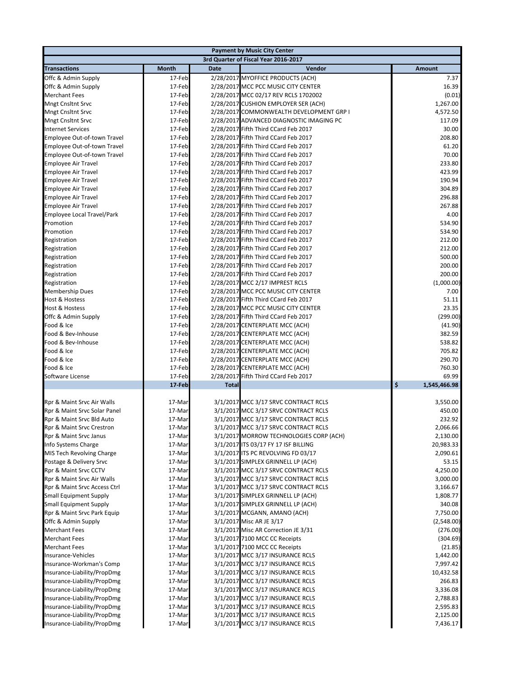|                                                           | <b>Payment by Music City Center</b> |              |                                                                              |                    |  |  |
|-----------------------------------------------------------|-------------------------------------|--------------|------------------------------------------------------------------------------|--------------------|--|--|
|                                                           |                                     |              | 3rd Quarter of Fiscal Year 2016-2017                                         |                    |  |  |
| <b>Transactions</b>                                       | <b>Month</b>                        | <b>Date</b>  | Vendor                                                                       | <b>Amount</b>      |  |  |
| Offc & Admin Supply                                       | 17-Feb                              |              | 2/28/2017 MYOFFICE PRODUCTS (ACH)                                            | 7.37               |  |  |
| Offc & Admin Supply                                       | 17-Feb                              |              | 2/28/2017 MCC PCC MUSIC CITY CENTER                                          | 16.39              |  |  |
| <b>Merchant Fees</b>                                      | 17-Feb                              |              | 2/28/2017 MCC 02/17 REV RCLS 1702002                                         | (0.01)             |  |  |
| <b>Mngt Cnsltnt Srvc</b>                                  | 17-Feb                              |              | 2/28/2017 CUSHION EMPLOYER SER (ACH)                                         | 1,267.00           |  |  |
| <b>Mngt Cnsltnt Srvc</b>                                  | 17-Feb                              |              | 2/28/2017 COMMONWEALTH DEVELOPMENT GRP I                                     | 4,572.50           |  |  |
| <b>Mngt Cnsltnt Srvc</b>                                  | 17-Feb                              |              | 2/28/2017 ADVANCED DIAGNOSTIC IMAGING PC                                     | 117.09             |  |  |
| <b>Internet Services</b>                                  | 17-Feb                              |              | 2/28/2017 Fifth Third CCard Feb 2017                                         | 30.00              |  |  |
| Employee Out-of-town Travel                               | 17-Feb                              |              | 2/28/2017 Fifth Third CCard Feb 2017                                         | 208.80             |  |  |
| Employee Out-of-town Travel                               | 17-Feb                              |              | 2/28/2017 Fifth Third CCard Feb 2017                                         | 61.20              |  |  |
| Employee Out-of-town Travel                               | 17-Feb                              |              | 2/28/2017 Fifth Third CCard Feb 2017                                         | 70.00              |  |  |
| <b>Employee Air Travel</b>                                | 17-Feb                              |              | 2/28/2017 Fifth Third CCard Feb 2017                                         | 233.80             |  |  |
| Employee Air Travel                                       | 17-Feb                              |              | 2/28/2017 Fifth Third CCard Feb 2017                                         | 423.99             |  |  |
| <b>Employee Air Travel</b>                                | 17-Feb                              |              | 2/28/2017 Fifth Third CCard Feb 2017                                         | 190.94             |  |  |
| <b>Employee Air Travel</b>                                | 17-Feb                              |              | 2/28/2017 Fifth Third CCard Feb 2017                                         | 304.89             |  |  |
| <b>Employee Air Travel</b>                                | 17-Feb                              |              | 2/28/2017 Fifth Third CCard Feb 2017                                         | 296.88             |  |  |
| <b>Employee Air Travel</b>                                | 17-Feb                              |              | 2/28/2017 Fifth Third CCard Feb 2017                                         | 267.88             |  |  |
| Employee Local Travel/Park                                | 17-Feb                              |              | 2/28/2017 Fifth Third CCard Feb 2017                                         | 4.00               |  |  |
| Promotion                                                 | 17-Feb                              |              | 2/28/2017 Fifth Third CCard Feb 2017                                         | 534.90             |  |  |
| Promotion                                                 | 17-Feb                              |              | 2/28/2017 Fifth Third CCard Feb 2017                                         | 534.90             |  |  |
| Registration                                              | 17-Feb                              |              | 2/28/2017 Fifth Third CCard Feb 2017                                         | 212.00             |  |  |
| Registration                                              | 17-Feb                              |              | 2/28/2017 Fifth Third CCard Feb 2017                                         | 212.00             |  |  |
| Registration                                              | 17-Feb                              |              | 2/28/2017 Fifth Third CCard Feb 2017                                         | 500.00             |  |  |
| Registration                                              | 17-Feb                              |              | 2/28/2017 Fifth Third CCard Feb 2017                                         | 200.00             |  |  |
| Registration                                              | 17-Feb                              |              | 2/28/2017 Fifth Third CCard Feb 2017                                         | 200.00             |  |  |
| Registration                                              | 17-Feb                              |              | 2/28/2017 MCC 2/17 IMPREST RCLS                                              | (1,000.00)         |  |  |
| <b>Membership Dues</b>                                    | 17-Feb                              |              | 2/28/2017 MCC PCC MUSIC CITY CENTER                                          | 7.00               |  |  |
| <b>Host &amp; Hostess</b>                                 | 17-Feb                              |              | 2/28/2017 Fifth Third CCard Feb 2017                                         | 51.11              |  |  |
| Host & Hostess                                            | 17-Feb                              |              | 2/28/2017 MCC PCC MUSIC CITY CENTER                                          | 23.35              |  |  |
| Offc & Admin Supply                                       | 17-Feb                              |              | 2/28/2017 Fifth Third CCard Feb 2017                                         | (299.00)           |  |  |
| Food & Ice                                                | 17-Feb                              |              | 2/28/2017 CENTERPLATE MCC (ACH)                                              | (41.90)            |  |  |
| Food & Bev-Inhouse                                        | 17-Feb                              |              | 2/28/2017 CENTERPLATE MCC (ACH)                                              | 382.59             |  |  |
| Food & Bev-Inhouse                                        | 17-Feb                              |              | 2/28/2017 CENTERPLATE MCC (ACH)                                              | 538.82             |  |  |
| Food & Ice                                                | 17-Feb                              |              | 2/28/2017 CENTERPLATE MCC (ACH)                                              | 705.82             |  |  |
| Food & Ice                                                | 17-Feb                              |              | 2/28/2017 CENTERPLATE MCC (ACH)                                              | 290.70             |  |  |
| Food & Ice                                                | 17-Feb                              |              | 2/28/2017 CENTERPLATE MCC (ACH)                                              | 760.30             |  |  |
| Software License                                          | 17-Feb                              |              | 2/28/2017 Fifth Third CCard Feb 2017                                         | 69.99              |  |  |
|                                                           | 17-Feb                              | <b>Total</b> |                                                                              | \$<br>1,545,466.98 |  |  |
|                                                           | 17-Mar                              |              |                                                                              |                    |  |  |
| Rpr & Maint Srvc Air Walls                                |                                     |              | 3/1/2017 MCC 3/17 SRVC CONTRACT RCLS<br>3/1/2017 MCC 3/17 SRVC CONTRACT RCLS | 3,550.00           |  |  |
| Rpr & Maint Srvc Solar Panel<br>Rpr & Maint Srvc Bld Auto | 17-Mar<br>17-Mar                    |              | 3/1/2017 MCC 3/17 SRVC CONTRACT RCLS                                         | 450.00<br>232.92   |  |  |
| <b>Rpr &amp; Maint Srvc Crestron</b>                      | 17-Mar                              |              | 3/1/2017 MCC 3/17 SRVC CONTRACT RCLS                                         | 2,066.66           |  |  |
|                                                           | 17-Mar                              |              | 3/1/2017 MORROW TECHNOLOGIES CORP (ACH)                                      | 2,130.00           |  |  |
| Rpr & Maint Srvc Janus                                    | 17-Mar                              |              | 3/1/2017 ITS 03/17 FY 17 ISF BILLING                                         | 20,983.33          |  |  |
| Info Systems Charge<br>MIS Tech Revolving Charge          | 17-Mar                              |              | 3/1/2017 ITS PC REVOLVING FD 03/17                                           | 2,090.61           |  |  |
| Postage & Delivery Srvc                                   | 17-Mar                              |              | 3/1/2017 SIMPLEX GRINNELL LP (ACH)                                           | 53.15              |  |  |
| Rpr & Maint Srvc CCTV                                     | 17-Mar                              |              | 3/1/2017 MCC 3/17 SRVC CONTRACT RCLS                                         | 4,250.00           |  |  |
| Rpr & Maint Srvc Air Walls                                | 17-Mar                              |              | 3/1/2017 MCC 3/17 SRVC CONTRACT RCLS                                         | 3,000.00           |  |  |
| Rpr & Maint Srvc Access Ctrl                              | 17-Mar                              |              | 3/1/2017 MCC 3/17 SRVC CONTRACT RCLS                                         | 3,166.67           |  |  |
| <b>Small Equipment Supply</b>                             | 17-Mar                              |              | 3/1/2017 SIMPLEX GRINNELL LP (ACH)                                           | 1,808.77           |  |  |
| <b>Small Equipment Supply</b>                             | 17-Mar                              |              | 3/1/2017 SIMPLEX GRINNELL LP (ACH)                                           | 340.08             |  |  |
| Rpr & Maint Srvc Park Equip                               | 17-Mar                              |              | 3/1/2017 MCGANN, AMANO (ACH)                                                 | 7,750.00           |  |  |
| Offc & Admin Supply                                       | 17-Mar                              |              | 3/1/2017 Misc AR JE 3/17                                                     | (2,548.00)         |  |  |
| <b>Merchant Fees</b>                                      | 17-Mar                              |              | 3/1/2017 Misc AR Correction JE 3/31                                          | (276.00)           |  |  |
| <b>Merchant Fees</b>                                      |                                     |              | 3/1/2017 7100 MCC CC Receipts                                                | (304.69)           |  |  |
| <b>Merchant Fees</b>                                      | 17-Mar<br>17-Mar                    |              | 3/1/2017 7100 MCC CC Receipts                                                | (21.85)            |  |  |
| Insurance-Vehicles                                        | 17-Mar                              |              | 3/1/2017 MCC 3/17 INSURANCE RCLS                                             | 1,442.00           |  |  |
| Insurance-Workman's Comp                                  | 17-Mar                              |              | 3/1/2017 MCC 3/17 INSURANCE RCLS                                             | 7,997.42           |  |  |
| Insurance-Liability/PropDmg                               | 17-Mar                              |              | 3/1/2017 MCC 3/17 INSURANCE RCLS                                             | 10,432.58          |  |  |
| Insurance-Liability/PropDmg                               | 17-Mar                              |              | 3/1/2017 MCC 3/17 INSURANCE RCLS                                             | 266.83             |  |  |
| Insurance-Liability/PropDmg                               | 17-Mar                              |              | 3/1/2017 MCC 3/17 INSURANCE RCLS                                             | 3,336.08           |  |  |
| Insurance-Liability/PropDmg                               | 17-Mar                              |              | 3/1/2017 MCC 3/17 INSURANCE RCLS                                             | 2,788.83           |  |  |
| Insurance-Liability/PropDmg                               | 17-Mar                              |              | 3/1/2017 MCC 3/17 INSURANCE RCLS                                             | 2,595.83           |  |  |
| Insurance-Liability/PropDmg                               | 17-Mar                              |              | 3/1/2017 MCC 3/17 INSURANCE RCLS                                             | 2,125.00           |  |  |
| Insurance-Liability/PropDmg                               | 17-Mar                              |              | 3/1/2017 MCC 3/17 INSURANCE RCLS                                             | 7,436.17           |  |  |
|                                                           |                                     |              |                                                                              |                    |  |  |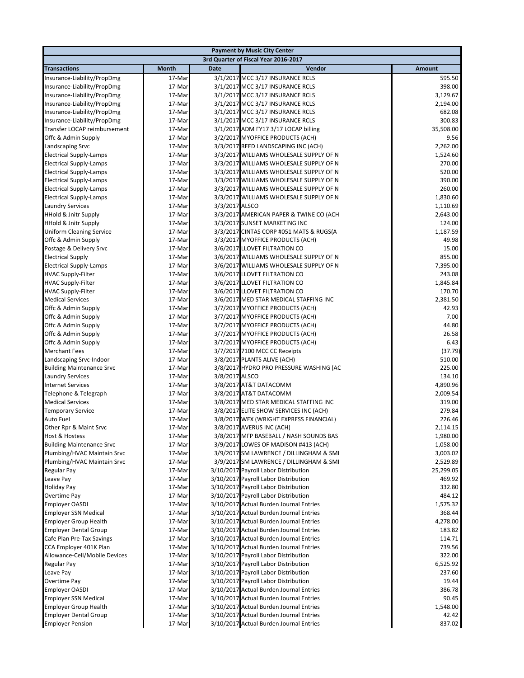|                                                           |                  |                | <b>Payment by Music City Center</b>                                               |                      |
|-----------------------------------------------------------|------------------|----------------|-----------------------------------------------------------------------------------|----------------------|
|                                                           |                  |                | 3rd Quarter of Fiscal Year 2016-2017                                              |                      |
| <b>Transactions</b>                                       | <b>Month</b>     | <b>Date</b>    | Vendor                                                                            | Amount               |
| Insurance-Liability/PropDmg                               | 17-Mar           |                | 3/1/2017 MCC 3/17 INSURANCE RCLS                                                  | 595.50               |
| Insurance-Liability/PropDmg                               | 17-Mar           |                | 3/1/2017 MCC 3/17 INSURANCE RCLS                                                  | 398.00               |
| Insurance-Liability/PropDmg                               | 17-Mar           |                | 3/1/2017 MCC 3/17 INSURANCE RCLS                                                  | 3,129.67             |
| Insurance-Liability/PropDmg                               | 17-Mar           |                | 3/1/2017 MCC 3/17 INSURANCE RCLS                                                  | 2,194.00             |
| Insurance-Liability/PropDmg                               | 17-Mar           |                | 3/1/2017 MCC 3/17 INSURANCE RCLS                                                  | 682.08               |
| Insurance-Liability/PropDmg                               | 17-Mar           |                | 3/1/2017 MCC 3/17 INSURANCE RCLS                                                  | 300.83               |
| Transfer LOCAP reimbursement                              | 17-Mar           |                | 3/1/2017 ADM FY17 3/17 LOCAP billing                                              | 35,508.00            |
| Offc & Admin Supply                                       | 17-Mar           |                | 3/2/2017 MYOFFICE PRODUCTS (ACH)                                                  | 9.56                 |
| Landscaping Srvc                                          | 17-Mar           |                | 3/3/2017 REED LANDSCAPING INC (ACH)                                               | 2,262.00             |
| <b>Electrical Supply-Lamps</b>                            | 17-Mar           |                | 3/3/2017 WILLIAMS WHOLESALE SUPPLY OF N                                           | 1,524.60             |
| <b>Electrical Supply-Lamps</b>                            | 17-Mar           |                | 3/3/2017 WILLIAMS WHOLESALE SUPPLY OF N                                           | 270.00               |
| <b>Electrical Supply-Lamps</b>                            | 17-Mar           |                | 3/3/2017 WILLIAMS WHOLESALE SUPPLY OF N                                           | 520.00               |
| <b>Electrical Supply-Lamps</b>                            | 17-Mar           |                | 3/3/2017 WILLIAMS WHOLESALE SUPPLY OF N                                           | 390.00               |
| <b>Electrical Supply-Lamps</b>                            | 17-Mar           |                | 3/3/2017 WILLIAMS WHOLESALE SUPPLY OF N                                           | 260.00               |
| <b>Electrical Supply-Lamps</b><br><b>Laundry Services</b> | 17-Mar<br>17-Mar | 3/3/2017 ALSCO | 3/3/2017 WILLIAMS WHOLESALE SUPPLY OF N                                           | 1,830.60             |
| <b>HHold &amp; Jnitr Supply</b>                           | 17-Mar           |                | 3/3/2017 AMERICAN PAPER & TWINE CO (ACH                                           | 1,110.69<br>2,643.00 |
| <b>HHold &amp; Jnitr Supply</b>                           | 17-Mar           |                | 3/3/2017 SUNSET MARKETING INC                                                     | 124.00               |
| <b>Uniform Cleaning Service</b>                           | 17-Mar           |                | 3/3/2017 CINTAS CORP #051 MATS & RUGS(A                                           | 1,187.59             |
| Offc & Admin Supply                                       | 17-Mar           |                | 3/3/2017 MYOFFICE PRODUCTS (ACH)                                                  | 49.98                |
| Postage & Delivery Srvc                                   | 17-Mar           |                | 3/6/2017 LLOVET FILTRATION CO                                                     | 15.00                |
| <b>Electrical Supply</b>                                  | 17-Mar           |                | 3/6/2017 WILLIAMS WHOLESALE SUPPLY OF N                                           | 855.00               |
| <b>Electrical Supply-Lamps</b>                            | 17-Mar           |                | 3/6/2017 WILLIAMS WHOLESALE SUPPLY OF N                                           | 7,395.00             |
| <b>HVAC Supply-Filter</b>                                 | 17-Mar           |                | 3/6/2017 LLOVET FILTRATION CO                                                     | 243.08               |
| <b>HVAC Supply-Filter</b>                                 | 17-Mar           |                | 3/6/2017 LLOVET FILTRATION CO                                                     | 1,845.84             |
| <b>HVAC Supply-Filter</b>                                 | 17-Mar           |                | 3/6/2017 LLOVET FILTRATION CO                                                     | 170.70               |
| <b>Medical Services</b>                                   | 17-Mar           |                | 3/6/2017 MED STAR MEDICAL STAFFING INC                                            | 2,381.50             |
| Offc & Admin Supply                                       | 17-Mar           |                | 3/7/2017 MYOFFICE PRODUCTS (ACH)                                                  | 42.93                |
| Offc & Admin Supply                                       | 17-Mar           |                | 3/7/2017 MYOFFICE PRODUCTS (ACH)                                                  | 7.00                 |
| Offc & Admin Supply                                       | 17-Mar           |                | 3/7/2017 MYOFFICE PRODUCTS (ACH)                                                  | 44.80                |
| Offc & Admin Supply                                       | 17-Mar           |                | 3/7/2017 MYOFFICE PRODUCTS (ACH)                                                  | 26.58                |
| Offc & Admin Supply                                       | 17-Mar           |                | 3/7/2017 MYOFFICE PRODUCTS (ACH)                                                  | 6.43                 |
| <b>Merchant Fees</b>                                      | 17-Mar           |                | 3/7/2017 7100 MCC CC Receipts                                                     | (37.79)              |
| Landscaping Srvc-Indoor                                   | 17-Mar           |                | 3/8/2017 PLANTS ALIVE (ACH)                                                       | 510.00               |
| <b>Building Maintenance Srvc</b>                          | 17-Mar           |                | 3/8/2017 HYDRO PRO PRESSURE WASHING (AC                                           | 225.00               |
| <b>Laundry Services</b>                                   | 17-Mar           | 3/8/2017 ALSCO |                                                                                   | 134.10               |
| <b>Internet Services</b>                                  | 17-Mar           |                | 3/8/2017 AT&T DATACOMM                                                            | 4,890.96             |
| Telephone & Telegraph                                     | 17-Mar           |                | 3/8/2017 AT&T DATACOMM                                                            | 2,009.54             |
| <b>Medical Services</b>                                   | 17-Mar           |                | 3/8/2017 MED STAR MEDICAL STAFFING INC                                            | 319.00               |
| <b>Temporary Service</b><br>Auto Fuel                     | 17-Mar<br>17-Mar |                | 3/8/2017 ELITE SHOW SERVICES INC (ACH)<br>3/8/2017 WEX (WRIGHT EXPRESS FINANCIAL) | 279.84<br>226.46     |
| Other Rpr & Maint Srvc                                    | 17-Mar           |                | 3/8/2017 AVERUS INC (ACH)                                                         | 2,114.15             |
| <b>Host &amp; Hostess</b>                                 | 17-Mar           |                | 3/8/2017 MFP BASEBALL / NASH SOUNDS BAS                                           | 1,980.00             |
| <b>Building Maintenance Srvc</b>                          | 17-Mar           |                | 3/9/2017 LOWES OF MADISON #413 (ACH)                                              | 1,058.00             |
| Plumbing/HVAC Maintain Srvc                               | 17-Mar           |                | 3/9/2017 SM LAWRENCE / DILLINGHAM & SMI                                           | 3,003.02             |
| Plumbing/HVAC Maintain Srvc                               | 17-Mar           |                | 3/9/2017 SM LAWRENCE / DILLINGHAM & SMI                                           | 2,529.89             |
| Regular Pay                                               | 17-Mar           |                | 3/10/2017 Payroll Labor Distribution                                              | 25,299.05            |
| Leave Pay                                                 | 17-Mar           |                | 3/10/2017 Payroll Labor Distribution                                              | 469.92               |
| <b>Holiday Pay</b>                                        | 17-Mar           |                | 3/10/2017 Payroll Labor Distribution                                              | 332.80               |
| Overtime Pay                                              | 17-Mar           |                | 3/10/2017 Payroll Labor Distribution                                              | 484.12               |
| <b>Employer OASDI</b>                                     | 17-Mar           |                | 3/10/2017 Actual Burden Journal Entries                                           | 1,575.32             |
| <b>Employer SSN Medical</b>                               | 17-Mar           |                | 3/10/2017 Actual Burden Journal Entries                                           | 368.44               |
| <b>Employer Group Health</b>                              | 17-Mar           |                | 3/10/2017 Actual Burden Journal Entries                                           | 4,278.00             |
| <b>Employer Dental Group</b>                              | 17-Mar           |                | 3/10/2017 Actual Burden Journal Entries                                           | 183.82               |
| Cafe Plan Pre-Tax Savings                                 | 17-Mar           |                | 3/10/2017 Actual Burden Journal Entries                                           | 114.71               |
| CCA Employer 401K Plan                                    | 17-Mar           |                | 3/10/2017 Actual Burden Journal Entries                                           | 739.56               |
| Allowance-Cell/Mobile Devices                             | 17-Mar           |                | 3/10/2017 Payroll Labor Distribution                                              | 322.00               |
| Regular Pay                                               | 17-Mar           |                | 3/10/2017 Payroll Labor Distribution                                              | 6,525.92             |
| Leave Pay                                                 | 17-Mar           |                | 3/10/2017 Payroll Labor Distribution                                              | 237.60               |
| Overtime Pay                                              | 17-Mar           |                | 3/10/2017 Payroll Labor Distribution                                              | 19.44                |
| <b>Employer OASDI</b>                                     | 17-Mar           |                | 3/10/2017 Actual Burden Journal Entries                                           | 386.78               |
| <b>Employer SSN Medical</b>                               | 17-Mar           |                | 3/10/2017 Actual Burden Journal Entries                                           | 90.45                |
| <b>Employer Group Health</b>                              | 17-Mar           |                | 3/10/2017 Actual Burden Journal Entries                                           | 1,548.00             |
| <b>Employer Dental Group</b>                              | 17-Mar           |                | 3/10/2017 Actual Burden Journal Entries                                           | 42.42                |
| <b>Employer Pension</b>                                   | 17-Mar           |                | 3/10/2017 Actual Burden Journal Entries                                           | 837.02               |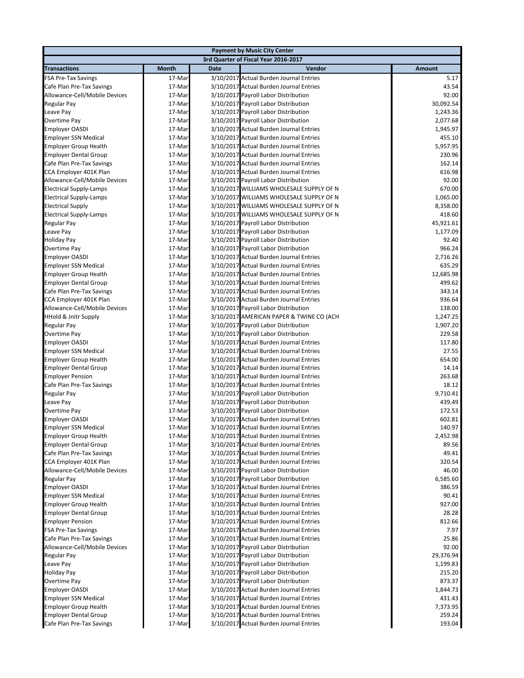|                                                                 |                  |             | <b>Payment by Music City Center</b>                                                |                    |
|-----------------------------------------------------------------|------------------|-------------|------------------------------------------------------------------------------------|--------------------|
|                                                                 |                  |             | 3rd Quarter of Fiscal Year 2016-2017                                               |                    |
| <b>Transactions</b>                                             | Month            | <b>Date</b> | Vendor                                                                             | <b>Amount</b>      |
| <b>FSA Pre-Tax Savings</b>                                      | 17-Mar           |             | 3/10/2017 Actual Burden Journal Entries                                            | 5.17               |
| Cafe Plan Pre-Tax Savings                                       | 17-Mar           |             | 3/10/2017 Actual Burden Journal Entries                                            | 43.54              |
| Allowance-Cell/Mobile Devices                                   | 17-Mar           |             | 3/10/2017 Payroll Labor Distribution                                               | 92.00              |
| <b>Regular Pay</b>                                              | 17-Mar           |             | 3/10/2017 Payroll Labor Distribution                                               | 30,092.54          |
| Leave Pay                                                       | 17-Mar           |             | 3/10/2017 Payroll Labor Distribution                                               | 1,243.36           |
| Overtime Pay                                                    | 17-Mar           |             | 3/10/2017 Payroll Labor Distribution                                               | 2,077.68           |
| <b>Employer OASDI</b>                                           | 17-Mar           |             | 3/10/2017 Actual Burden Journal Entries                                            | 1,945.97           |
| <b>Employer SSN Medical</b>                                     | 17-Mar           |             | 3/10/2017 Actual Burden Journal Entries                                            | 455.10             |
| <b>Employer Group Health</b>                                    | 17-Mar           |             | 3/10/2017 Actual Burden Journal Entries                                            | 5,957.95           |
| <b>Employer Dental Group</b>                                    | 17-Mar           |             | 3/10/2017 Actual Burden Journal Entries                                            | 230.96             |
| Cafe Plan Pre-Tax Savings                                       | 17-Mar           |             | 3/10/2017 Actual Burden Journal Entries                                            | 162.14             |
| CCA Employer 401K Plan                                          | 17-Mar           |             | 3/10/2017 Actual Burden Journal Entries                                            | 616.98             |
| Allowance-Cell/Mobile Devices<br><b>Electrical Supply-Lamps</b> | 17-Mar<br>17-Mar |             | 3/10/2017 Payroll Labor Distribution<br>3/10/2017 WILLIAMS WHOLESALE SUPPLY OF N   | 92.00<br>670.00    |
| <b>Electrical Supply-Lamps</b>                                  | 17-Mar           |             | 3/10/2017 WILLIAMS WHOLESALE SUPPLY OF N                                           | 1,065.00           |
| <b>Electrical Supply</b>                                        | 17-Mar           |             | 3/10/2017 WILLIAMS WHOLESALE SUPPLY OF N                                           | 8,358.00           |
| <b>Electrical Supply-Lamps</b>                                  | 17-Mar           |             | 3/10/2017 WILLIAMS WHOLESALE SUPPLY OF N                                           | 418.60             |
| Regular Pay                                                     | 17-Mar           |             | 3/10/2017 Payroll Labor Distribution                                               | 45,921.61          |
| Leave Pay                                                       | 17-Mar           |             | 3/10/2017 Payroll Labor Distribution                                               | 1,177.09           |
| <b>Holiday Pay</b>                                              | 17-Mar           |             | 3/10/2017 Payroll Labor Distribution                                               | 92.40              |
| Overtime Pay                                                    | 17-Mar           |             | 3/10/2017 Payroll Labor Distribution                                               | 966.24             |
| <b>Employer OASDI</b>                                           | 17-Mar           |             | 3/10/2017 Actual Burden Journal Entries                                            | 2,716.26           |
| <b>Employer SSN Medical</b>                                     | 17-Mar           |             | 3/10/2017 Actual Burden Journal Entries                                            | 635.29             |
| <b>Employer Group Health</b>                                    | 17-Mar           |             | 3/10/2017 Actual Burden Journal Entries                                            | 12,685.98          |
| <b>Employer Dental Group</b>                                    | 17-Mar           |             | 3/10/2017 Actual Burden Journal Entries                                            | 499.62             |
| Cafe Plan Pre-Tax Savings                                       | 17-Mar           |             | 3/10/2017 Actual Burden Journal Entries                                            | 343.14             |
| CCA Employer 401K Plan                                          | 17-Mar           |             | 3/10/2017 Actual Burden Journal Entries                                            | 936.64             |
| Allowance-Cell/Mobile Devices                                   | 17-Mar           |             | 3/10/2017 Payroll Labor Distribution                                               | 138.00             |
| <b>HHold &amp; Jnitr Supply</b>                                 | 17-Mar           |             | 3/10/2017 AMERICAN PAPER & TWINE CO (ACH                                           | 1,247.25           |
| Regular Pay                                                     | 17-Mar           |             | 3/10/2017 Payroll Labor Distribution                                               | 1,907.20           |
| Overtime Pay                                                    | 17-Mar           |             | 3/10/2017 Payroll Labor Distribution                                               | 229.58             |
| <b>Employer OASDI</b>                                           | 17-Mar           |             | 3/10/2017 Actual Burden Journal Entries                                            | 117.80             |
| <b>Employer SSN Medical</b>                                     | 17-Mar           |             | 3/10/2017 Actual Burden Journal Entries                                            | 27.55              |
| <b>Employer Group Health</b>                                    | 17-Mar           |             | 3/10/2017 Actual Burden Journal Entries                                            | 654.00             |
| <b>Employer Dental Group</b>                                    | 17-Mar           |             | 3/10/2017 Actual Burden Journal Entries<br>3/10/2017 Actual Burden Journal Entries | 14.14              |
| <b>Employer Pension</b><br>Cafe Plan Pre-Tax Savings            | 17-Mar<br>17-Mar |             | 3/10/2017 Actual Burden Journal Entries                                            | 263.68<br>18.12    |
| <b>Regular Pay</b>                                              | 17-Mar           |             | 3/10/2017 Payroll Labor Distribution                                               | 9,710.41           |
| Leave Pay                                                       | 17-Mar           |             | 3/10/2017 Payroll Labor Distribution                                               | 439.49             |
| Overtime Pay                                                    | 17-Mar           |             | 3/10/2017 Payroll Labor Distribution                                               | 172.53             |
| <b>Employer OASDI</b>                                           | 17-Mar           |             | 3/10/2017 Actual Burden Journal Entries                                            | 602.81             |
| <b>Employer SSN Medical</b>                                     | 17-Mar           |             | 3/10/2017 Actual Burden Journal Entries                                            | 140.97             |
| <b>Employer Group Health</b>                                    | 17-Mar           |             | 3/10/2017 Actual Burden Journal Entries                                            | 2,452.98           |
| <b>Employer Dental Group</b>                                    | 17-Mar           |             | 3/10/2017 Actual Burden Journal Entries                                            | 89.56              |
| Cafe Plan Pre-Tax Savings                                       | 17-Mar           |             | 3/10/2017 Actual Burden Journal Entries                                            | 49.41              |
| CCA Employer 401K Plan                                          | 17-Mar           |             | 3/10/2017 Actual Burden Journal Entries                                            | 320.54             |
| Allowance-Cell/Mobile Devices                                   | 17-Mar           |             | 3/10/2017 Payroll Labor Distribution                                               | 46.00              |
| Regular Pay                                                     | 17-Mar           |             | 3/10/2017 Payroll Labor Distribution                                               | 6,585.60           |
| <b>Employer OASDI</b>                                           | 17-Mar           |             | 3/10/2017 Actual Burden Journal Entries                                            | 386.59             |
| <b>Employer SSN Medical</b>                                     | 17-Mar           |             | 3/10/2017 Actual Burden Journal Entries                                            | 90.41              |
| <b>Employer Group Health</b>                                    | 17-Mar           |             | 3/10/2017 Actual Burden Journal Entries                                            | 927.00             |
| <b>Employer Dental Group</b>                                    | 17-Mar           |             | 3/10/2017 Actual Burden Journal Entries                                            | 28.28              |
| <b>Employer Pension</b>                                         | 17-Mar           |             | 3/10/2017 Actual Burden Journal Entries                                            | 812.66             |
| <b>FSA Pre-Tax Savings</b>                                      | 17-Mar           |             | 3/10/2017 Actual Burden Journal Entries                                            | 7.97               |
| Cafe Plan Pre-Tax Savings                                       | 17-Mar           |             | 3/10/2017 Actual Burden Journal Entries                                            | 25.86              |
| Allowance-Cell/Mobile Devices                                   | 17-Mar           |             | 3/10/2017 Payroll Labor Distribution                                               | 92.00              |
| Regular Pay                                                     | 17-Mar           |             | 3/10/2017 Payroll Labor Distribution<br>3/10/2017 Payroll Labor Distribution       | 29,376.94          |
| Leave Pay<br><b>Holiday Pay</b>                                 | 17-Mar<br>17-Mar |             | 3/10/2017 Payroll Labor Distribution                                               | 1,199.83<br>215.20 |
| Overtime Pay                                                    | 17-Mar           |             | 3/10/2017 Payroll Labor Distribution                                               | 873.37             |
| <b>Employer OASDI</b>                                           | 17-Mar           |             | 3/10/2017 Actual Burden Journal Entries                                            | 1,844.73           |
| <b>Employer SSN Medical</b>                                     | 17-Mar           |             | 3/10/2017 Actual Burden Journal Entries                                            | 431.43             |
| <b>Employer Group Health</b>                                    | 17-Mar           |             | 3/10/2017 Actual Burden Journal Entries                                            | 7,373.95           |
| <b>Employer Dental Group</b>                                    | 17-Mar           |             | 3/10/2017 Actual Burden Journal Entries                                            | 259.24             |
| Cafe Plan Pre-Tax Savings                                       | 17-Mar           |             | 3/10/2017 Actual Burden Journal Entries                                            | 193.04             |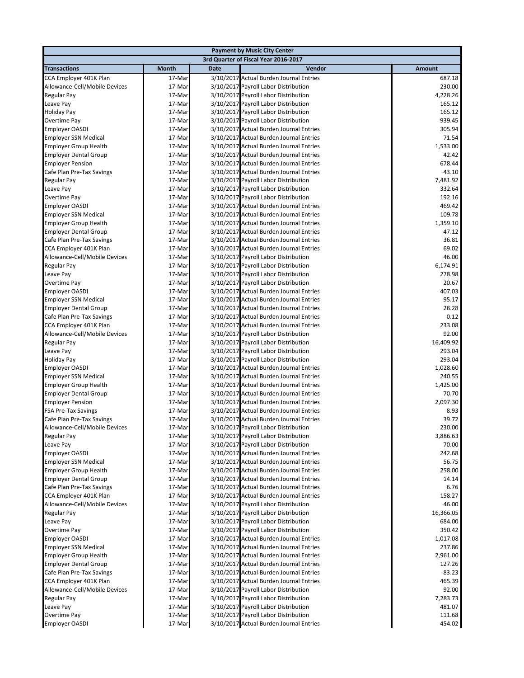|                                                         |                  |             | <b>Payment by Music City Center</b>                                                |                   |
|---------------------------------------------------------|------------------|-------------|------------------------------------------------------------------------------------|-------------------|
|                                                         |                  |             | 3rd Quarter of Fiscal Year 2016-2017                                               |                   |
| <b>Transactions</b>                                     | <b>Month</b>     | <b>Date</b> | Vendor                                                                             | Amount            |
| CCA Employer 401K Plan                                  | 17-Mar           |             | 3/10/2017 Actual Burden Journal Entries                                            | 687.18            |
| Allowance-Cell/Mobile Devices                           | 17-Mar           |             | 3/10/2017 Payroll Labor Distribution                                               | 230.00            |
| Regular Pay                                             | 17-Mar           |             | 3/10/2017 Payroll Labor Distribution                                               | 4,228.26          |
| Leave Pay                                               | 17-Mar           |             | 3/10/2017 Payroll Labor Distribution                                               | 165.12            |
| <b>Holiday Pay</b>                                      | 17-Mar           |             | 3/10/2017 Payroll Labor Distribution                                               | 165.12            |
| Overtime Pay                                            | 17-Mar           |             | 3/10/2017 Payroll Labor Distribution                                               | 939.45            |
| <b>Employer OASDI</b>                                   | 17-Mar           |             | 3/10/2017 Actual Burden Journal Entries                                            | 305.94            |
| <b>Employer SSN Medical</b>                             | 17-Mar           |             | 3/10/2017 Actual Burden Journal Entries                                            | 71.54             |
| <b>Employer Group Health</b>                            | 17-Mar           |             | 3/10/2017 Actual Burden Journal Entries                                            | 1,533.00          |
| <b>Employer Dental Group</b>                            | 17-Mar           |             | 3/10/2017 Actual Burden Journal Entries                                            | 42.42             |
| <b>Employer Pension</b>                                 | 17-Mar           |             | 3/10/2017 Actual Burden Journal Entries                                            | 678.44            |
| Cafe Plan Pre-Tax Savings                               | 17-Mar           |             | 3/10/2017 Actual Burden Journal Entries<br>3/10/2017 Payroll Labor Distribution    | 43.10<br>7,481.92 |
| Regular Pay<br>Leave Pay                                | 17-Mar<br>17-Mar |             | 3/10/2017 Payroll Labor Distribution                                               | 332.64            |
| Overtime Pay                                            | 17-Mar           |             | 3/10/2017 Payroll Labor Distribution                                               | 192.16            |
| Employer OASDI                                          | 17-Mar           |             | 3/10/2017 Actual Burden Journal Entries                                            | 469.42            |
| <b>Employer SSN Medical</b>                             | 17-Mar           |             | 3/10/2017 Actual Burden Journal Entries                                            | 109.78            |
| <b>Employer Group Health</b>                            | 17-Mar           |             | 3/10/2017 Actual Burden Journal Entries                                            | 1,359.10          |
| <b>Employer Dental Group</b>                            | 17-Mar           |             | 3/10/2017 Actual Burden Journal Entries                                            | 47.12             |
| Cafe Plan Pre-Tax Savings                               | 17-Mar           |             | 3/10/2017 Actual Burden Journal Entries                                            | 36.81             |
| CCA Employer 401K Plan                                  | 17-Mar           |             | 3/10/2017 Actual Burden Journal Entries                                            | 69.02             |
| Allowance-Cell/Mobile Devices                           | 17-Mar           |             | 3/10/2017 Payroll Labor Distribution                                               | 46.00             |
| Regular Pay                                             | 17-Mar           |             | 3/10/2017 Payroll Labor Distribution                                               | 6,174.91          |
| Leave Pay                                               | 17-Mar           |             | 3/10/2017 Payroll Labor Distribution                                               | 278.98            |
| Overtime Pay                                            | 17-Mar           |             | 3/10/2017 Payroll Labor Distribution                                               | 20.67             |
| Employer OASDI                                          | 17-Mar           |             | 3/10/2017 Actual Burden Journal Entries                                            | 407.03            |
| <b>Employer SSN Medical</b>                             | 17-Mar           |             | 3/10/2017 Actual Burden Journal Entries                                            | 95.17             |
| <b>Employer Dental Group</b>                            | 17-Mar           |             | 3/10/2017 Actual Burden Journal Entries                                            | 28.28             |
| Cafe Plan Pre-Tax Savings                               | 17-Mar           |             | 3/10/2017 Actual Burden Journal Entries                                            | 0.12              |
| CCA Employer 401K Plan                                  | 17-Mar           |             | 3/10/2017 Actual Burden Journal Entries                                            | 233.08            |
| Allowance-Cell/Mobile Devices                           | 17-Mar           |             | 3/10/2017 Payroll Labor Distribution                                               | 92.00             |
| Regular Pay                                             | 17-Mar           |             | 3/10/2017 Payroll Labor Distribution                                               | 16,409.92         |
| Leave Pay                                               | 17-Mar<br>17-Mar |             | 3/10/2017 Payroll Labor Distribution                                               | 293.04<br>293.04  |
| Holiday Pay<br><b>Employer OASDI</b>                    | 17-Mar           |             | 3/10/2017 Payroll Labor Distribution<br>3/10/2017 Actual Burden Journal Entries    | 1,028.60          |
| <b>Employer SSN Medical</b>                             | 17-Mar           |             | 3/10/2017 Actual Burden Journal Entries                                            | 240.55            |
| <b>Employer Group Health</b>                            | 17-Mar           |             | 3/10/2017 Actual Burden Journal Entries                                            | 1,425.00          |
| <b>Employer Dental Group</b>                            | 17-Mar           |             | 3/10/2017 Actual Burden Journal Entries                                            | 70.70             |
| <b>Employer Pension</b>                                 | 17-Mar           |             | 3/10/2017 Actual Burden Journal Entries                                            | 2,097.30          |
| <b>FSA Pre-Tax Savings</b>                              | 17-Mar           |             | 3/10/2017 Actual Burden Journal Entries                                            | 8.93              |
| Cafe Plan Pre-Tax Savings                               | 17-Mar           |             | 3/10/2017 Actual Burden Journal Entries                                            | 39.72             |
| Allowance-Cell/Mobile Devices                           | 17-Mar           |             | 3/10/2017 Payroll Labor Distribution                                               | 230.00            |
| Regular Pay                                             | 17-Mar           |             | 3/10/2017 Payroll Labor Distribution                                               | 3,886.63          |
| Leave Pay                                               | 17-Mar           |             | 3/10/2017 Payroll Labor Distribution                                               | 70.00             |
| <b>Employer OASDI</b>                                   | 17-Mar           |             | 3/10/2017 Actual Burden Journal Entries                                            | 242.68            |
| <b>Employer SSN Medical</b>                             | 17-Mar           |             | 3/10/2017 Actual Burden Journal Entries                                            | 56.75             |
| <b>Employer Group Health</b>                            | 17-Mar           |             | 3/10/2017 Actual Burden Journal Entries                                            | 258.00            |
| <b>Employer Dental Group</b>                            | 17-Mar           |             | 3/10/2017 Actual Burden Journal Entries                                            | 14.14             |
| Cafe Plan Pre-Tax Savings                               | 17-Mar           |             | 3/10/2017 Actual Burden Journal Entries<br>3/10/2017 Actual Burden Journal Entries | 6.76              |
| CCA Employer 401K Plan<br>Allowance-Cell/Mobile Devices | 17-Mar<br>17-Mar |             | 3/10/2017 Payroll Labor Distribution                                               | 158.27<br>46.00   |
| Regular Pay                                             | 17-Mar           |             | 3/10/2017 Payroll Labor Distribution                                               | 16,366.05         |
| Leave Pay                                               | 17-Mar           |             | 3/10/2017 Payroll Labor Distribution                                               | 684.00            |
| Overtime Pay                                            | 17-Mar           |             | 3/10/2017 Payroll Labor Distribution                                               | 350.42            |
| <b>Employer OASDI</b>                                   | 17-Mar           |             | 3/10/2017 Actual Burden Journal Entries                                            | 1,017.08          |
| <b>Employer SSN Medical</b>                             | 17-Mar           |             | 3/10/2017 Actual Burden Journal Entries                                            | 237.86            |
| <b>Employer Group Health</b>                            | 17-Mar           |             | 3/10/2017 Actual Burden Journal Entries                                            | 2,961.00          |
| <b>Employer Dental Group</b>                            | 17-Mar           |             | 3/10/2017 Actual Burden Journal Entries                                            | 127.26            |
| Cafe Plan Pre-Tax Savings                               | 17-Mar           |             | 3/10/2017 Actual Burden Journal Entries                                            | 83.23             |
| CCA Employer 401K Plan                                  | 17-Mar           |             | 3/10/2017 Actual Burden Journal Entries                                            | 465.39            |
| Allowance-Cell/Mobile Devices                           | 17-Mar           |             | 3/10/2017 Payroll Labor Distribution                                               | 92.00             |
| Regular Pay                                             | 17-Mar           |             | 3/10/2017 Payroll Labor Distribution                                               | 7,283.73          |
| Leave Pay                                               | 17-Mar           |             | 3/10/2017 Payroll Labor Distribution                                               | 481.07            |
| Overtime Pay                                            | 17-Mar           |             | 3/10/2017 Payroll Labor Distribution                                               | 111.68            |
| <b>Employer OASDI</b>                                   | 17-Mar           |             | 3/10/2017 Actual Burden Journal Entries                                            | 454.02            |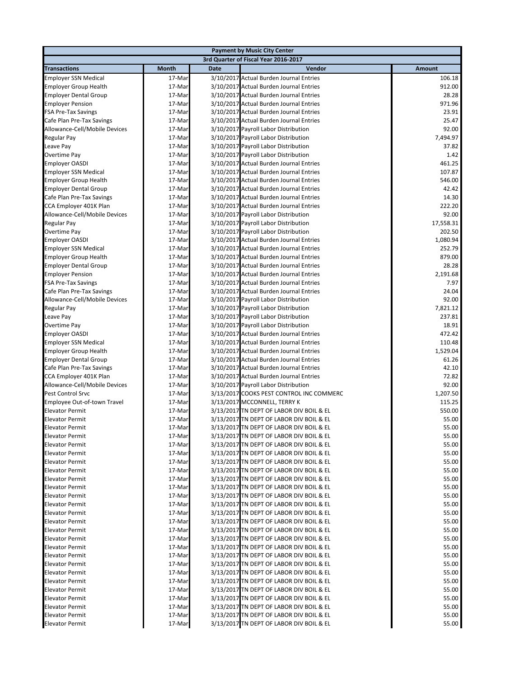|                                                      |                  |             | <b>Payment by Music City Center</b>                                                  |                    |
|------------------------------------------------------|------------------|-------------|--------------------------------------------------------------------------------------|--------------------|
|                                                      |                  |             | 3rd Quarter of Fiscal Year 2016-2017                                                 |                    |
| <b>Transactions</b>                                  | <b>Month</b>     | <b>Date</b> | Vendor                                                                               | <b>Amount</b>      |
| <b>Employer SSN Medical</b>                          | 17-Mar           |             | 3/10/2017 Actual Burden Journal Entries                                              | 106.18             |
| <b>Employer Group Health</b>                         | 17-Mar           |             | 3/10/2017 Actual Burden Journal Entries                                              | 912.00             |
| <b>Employer Dental Group</b>                         | 17-Mar           |             | 3/10/2017 Actual Burden Journal Entries                                              | 28.28              |
| <b>Employer Pension</b>                              | 17-Mar           |             | 3/10/2017 Actual Burden Journal Entries                                              | 971.96             |
| FSA Pre-Tax Savings                                  | 17-Mar           |             | 3/10/2017 Actual Burden Journal Entries                                              | 23.91              |
| Cafe Plan Pre-Tax Savings                            | 17-Mar           |             | 3/10/2017 Actual Burden Journal Entries                                              | 25.47              |
| Allowance-Cell/Mobile Devices                        | 17-Mar           |             | 3/10/2017 Payroll Labor Distribution                                                 | 92.00              |
| Regular Pay                                          | 17-Mar           |             | 3/10/2017 Payroll Labor Distribution                                                 | 7,494.97           |
| Leave Pay                                            | 17-Mar           |             | 3/10/2017 Payroll Labor Distribution                                                 | 37.82              |
| Overtime Pay                                         | 17-Mar           |             | 3/10/2017 Payroll Labor Distribution                                                 | 1.42               |
| <b>Employer OASDI</b>                                | 17-Mar           |             | 3/10/2017 Actual Burden Journal Entries                                              | 461.25             |
| Employer SSN Medical                                 | 17-Mar           |             | 3/10/2017 Actual Burden Journal Entries                                              | 107.87             |
| <b>Employer Group Health</b>                         | 17-Mar           |             | 3/10/2017 Actual Burden Journal Entries                                              | 546.00             |
| <b>Employer Dental Group</b>                         | 17-Mar           |             | 3/10/2017 Actual Burden Journal Entries                                              | 42.42              |
| Cafe Plan Pre-Tax Savings                            | 17-Mar           |             | 3/10/2017 Actual Burden Journal Entries                                              | 14.30              |
| CCA Employer 401K Plan                               | 17-Mar           |             | 3/10/2017 Actual Burden Journal Entries                                              | 222.20             |
| Allowance-Cell/Mobile Devices                        | 17-Mar           |             | 3/10/2017 Payroll Labor Distribution                                                 | 92.00              |
| Regular Pay<br>Overtime Pay                          | 17-Mar           |             | 3/10/2017 Payroll Labor Distribution<br>3/10/2017 Payroll Labor Distribution         | 17,558.31          |
|                                                      | 17-Mar           |             | 3/10/2017 Actual Burden Journal Entries                                              | 202.50<br>1,080.94 |
| <b>Employer OASDI</b><br><b>Employer SSN Medical</b> | 17-Mar<br>17-Mar |             | 3/10/2017 Actual Burden Journal Entries                                              | 252.79             |
| <b>Employer Group Health</b>                         | 17-Mar           |             | 3/10/2017 Actual Burden Journal Entries                                              | 879.00             |
| <b>Employer Dental Group</b>                         | 17-Mar           |             | 3/10/2017 Actual Burden Journal Entries                                              | 28.28              |
| <b>Employer Pension</b>                              | 17-Mar           |             | 3/10/2017 Actual Burden Journal Entries                                              | 2,191.68           |
| <b>FSA Pre-Tax Savings</b>                           | 17-Mar           |             | 3/10/2017 Actual Burden Journal Entries                                              | 7.97               |
| Cafe Plan Pre-Tax Savings                            | 17-Mar           |             | 3/10/2017 Actual Burden Journal Entries                                              | 24.04              |
| Allowance-Cell/Mobile Devices                        | 17-Mar           |             | 3/10/2017 Payroll Labor Distribution                                                 | 92.00              |
| Regular Pay                                          | 17-Mar           |             | 3/10/2017 Payroll Labor Distribution                                                 | 7,821.12           |
| Leave Pay                                            | 17-Mar           |             | 3/10/2017 Payroll Labor Distribution                                                 | 237.81             |
| Overtime Pay                                         | 17-Mar           |             | 3/10/2017 Payroll Labor Distribution                                                 | 18.91              |
| <b>Employer OASDI</b>                                | 17-Mar           |             | 3/10/2017 Actual Burden Journal Entries                                              | 472.42             |
| Employer SSN Medical                                 | 17-Mar           |             | 3/10/2017 Actual Burden Journal Entries                                              | 110.48             |
| <b>Employer Group Health</b>                         | 17-Mar           |             | 3/10/2017 Actual Burden Journal Entries                                              | 1,529.04           |
| <b>Employer Dental Group</b>                         | 17-Mar           |             | 3/10/2017 Actual Burden Journal Entries                                              | 61.26              |
| Cafe Plan Pre-Tax Savings                            | 17-Mar           |             | 3/10/2017 Actual Burden Journal Entries                                              | 42.10              |
| CCA Employer 401K Plan                               | 17-Mar           |             | 3/10/2017 Actual Burden Journal Entries                                              | 72.82              |
| Allowance-Cell/Mobile Devices                        | 17-Mar           |             | 3/10/2017 Payroll Labor Distribution                                                 | 92.00              |
| Pest Control Srvc                                    | 17-Mar           |             | 3/13/2017 COOKS PEST CONTROL INC COMMERC                                             | 1,207.50           |
| Employee Out-of-town Travel                          | 17-Mar           |             | 3/13/2017 MCCONNELL, TERRY K                                                         | 115.25             |
| <b>Elevator Permit</b>                               | 17-Mar           |             | 3/13/2017 TN DEPT OF LABOR DIV BOIL & EL                                             | 550.00             |
| <b>Elevator Permit</b>                               | 17-Mar           |             | 3/13/2017 TN DEPT OF LABOR DIV BOIL & EL                                             | 55.00              |
| <b>Elevator Permit</b>                               | 17-Mar           |             | 3/13/2017 TN DEPT OF LABOR DIV BOIL & EL                                             | 55.00              |
| <b>Elevator Permit</b>                               | 17-Mar           |             | 3/13/2017 TN DEPT OF LABOR DIV BOIL & EL                                             | 55.00              |
| <b>Elevator Permit</b>                               | 17-Mar           |             | 3/13/2017 TN DEPT OF LABOR DIV BOIL & EL                                             | 55.00              |
| <b>Elevator Permit</b>                               | 17-Mar           |             | 3/13/2017 TN DEPT OF LABOR DIV BOIL & EL                                             | 55.00              |
| <b>Elevator Permit</b>                               | 17-Mar           |             | 3/13/2017 TN DEPT OF LABOR DIV BOIL & EL                                             | 55.00              |
| <b>Elevator Permit</b>                               | 17-Mar           |             | 3/13/2017 TN DEPT OF LABOR DIV BOIL & EL                                             | 55.00              |
| <b>Elevator Permit</b>                               | 17-Mar           |             | 3/13/2017 TN DEPT OF LABOR DIV BOIL & EL                                             | 55.00              |
| <b>Elevator Permit</b><br><b>Elevator Permit</b>     | 17-Mar           |             | 3/13/2017 TN DEPT OF LABOR DIV BOIL & EL<br>3/13/2017 TN DEPT OF LABOR DIV BOIL & EL | 55.00<br>55.00     |
| <b>Elevator Permit</b>                               | 17-Mar<br>17-Mar |             | 3/13/2017 TN DEPT OF LABOR DIV BOIL & EL                                             | 55.00              |
| <b>Elevator Permit</b>                               | 17-Mar           |             | 3/13/2017 TN DEPT OF LABOR DIV BOIL & EL                                             | 55.00              |
| <b>Elevator Permit</b>                               | 17-Mar           |             | 3/13/2017 TN DEPT OF LABOR DIV BOIL & EL                                             | 55.00              |
| <b>Elevator Permit</b>                               | 17-Mar           |             | 3/13/2017 TN DEPT OF LABOR DIV BOIL & EL                                             | 55.00              |
| <b>Elevator Permit</b>                               | 17-Mar           |             | 3/13/2017 TN DEPT OF LABOR DIV BOIL & EL                                             | 55.00              |
| <b>Elevator Permit</b>                               | 17-Mar           |             | 3/13/2017 TN DEPT OF LABOR DIV BOIL & EL                                             | 55.00              |
| <b>Elevator Permit</b>                               | 17-Mar           |             | 3/13/2017 TN DEPT OF LABOR DIV BOIL & EL                                             | 55.00              |
| <b>Elevator Permit</b>                               | 17-Mar           |             | 3/13/2017 TN DEPT OF LABOR DIV BOIL & EL                                             | 55.00              |
| <b>Elevator Permit</b>                               | 17-Mar           |             | 3/13/2017 TN DEPT OF LABOR DIV BOIL & EL                                             | 55.00              |
| <b>Elevator Permit</b>                               | 17-Mar           |             | 3/13/2017 TN DEPT OF LABOR DIV BOIL & EL                                             | 55.00              |
| <b>Elevator Permit</b>                               | 17-Mar           |             | 3/13/2017 TN DEPT OF LABOR DIV BOIL & EL                                             | 55.00              |
| <b>Elevator Permit</b>                               | 17-Mar           |             | 3/13/2017 TN DEPT OF LABOR DIV BOIL & EL                                             | 55.00              |
| <b>Elevator Permit</b>                               | 17-Mar           |             | 3/13/2017 TN DEPT OF LABOR DIV BOIL & EL                                             | 55.00              |
| <b>Elevator Permit</b>                               | 17-Mar           |             | 3/13/2017 TN DEPT OF LABOR DIV BOIL & EL                                             | 55.00              |
| <b>Elevator Permit</b>                               | 17-Mar           |             | 3/13/2017 TN DEPT OF LABOR DIV BOIL & EL                                             | 55.00              |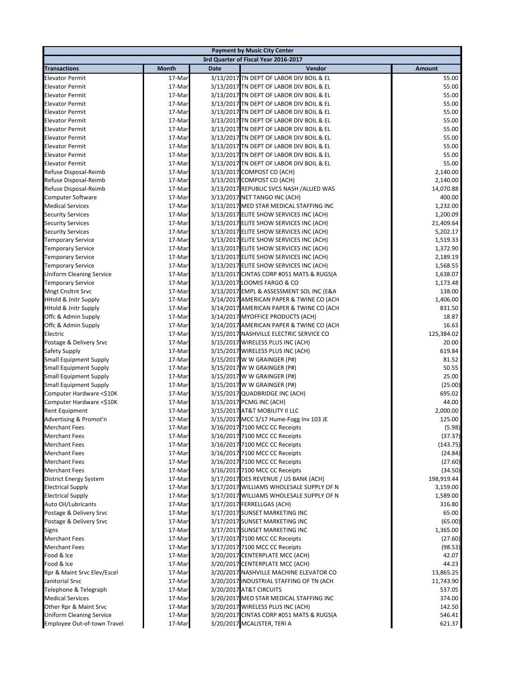|                                                    |                  |             | <b>Payment by Music City Center</b>                                                  |                       |
|----------------------------------------------------|------------------|-------------|--------------------------------------------------------------------------------------|-----------------------|
|                                                    |                  |             | 3rd Quarter of Fiscal Year 2016-2017                                                 |                       |
| <b>Transactions</b>                                | <b>Month</b>     | <b>Date</b> | Vendor                                                                               | <b>Amount</b>         |
| <b>Elevator Permit</b>                             | 17-Mar           |             | 3/13/2017 TN DEPT OF LABOR DIV BOIL & EL                                             | 55.00                 |
| <b>Elevator Permit</b>                             | 17-Mar           |             | 3/13/2017 TN DEPT OF LABOR DIV BOIL & EL                                             | 55.00                 |
| <b>Elevator Permit</b>                             | 17-Mar           |             | 3/13/2017 TN DEPT OF LABOR DIV BOIL & EL                                             | 55.00                 |
| <b>Elevator Permit</b>                             | 17-Mar           |             | 3/13/2017 TN DEPT OF LABOR DIV BOIL & EL                                             | 55.00                 |
| <b>Elevator Permit</b>                             | 17-Mar           |             | 3/13/2017 TN DEPT OF LABOR DIV BOIL & EL                                             | 55.00                 |
| <b>Elevator Permit</b>                             | 17-Mar           |             | 3/13/2017 TN DEPT OF LABOR DIV BOIL & EL                                             | 55.00                 |
| <b>Elevator Permit</b>                             | 17-Mar           |             | 3/13/2017 TN DEPT OF LABOR DIV BOIL & EL                                             | 55.00                 |
| <b>Elevator Permit</b><br><b>Elevator Permit</b>   | 17-Mar<br>17-Mar |             | 3/13/2017 TN DEPT OF LABOR DIV BOIL & EL<br>3/13/2017 TN DEPT OF LABOR DIV BOIL & EL | 55.00<br>55.00        |
| <b>Elevator Permit</b>                             | 17-Mar           |             | 3/13/2017 TN DEPT OF LABOR DIV BOIL & EL                                             | 55.00                 |
| <b>Elevator Permit</b>                             | 17-Mar           |             | 3/13/2017 TN DEPT OF LABOR DIV BOIL & EL                                             | 55.00                 |
| Refuse Disposal-Reimb                              | 17-Mar           |             | 3/13/2017 COMPOST CO (ACH)                                                           | 2,140.00              |
| Refuse Disposal-Reimb                              | 17-Mar           |             | 3/13/2017 COMPOST CO (ACH)                                                           | 2,140.00              |
| Refuse Disposal-Reimb                              | 17-Mar           |             | 3/13/2017 REPUBLIC SVCS NASH /ALLIED WAS                                             | 14,070.88             |
| Computer Software                                  | 17-Mar           |             | 3/13/2017 NET TANGO INC (ACH)                                                        | 400.00                |
| <b>Medical Services</b>                            | 17-Mar           |             | 3/13/2017 MED STAR MEDICAL STAFFING INC                                              | 1,232.00              |
| <b>Security Services</b>                           | 17-Mar           |             | 3/13/2017 ELITE SHOW SERVICES INC (ACH)                                              | 1,200.09              |
| <b>Security Services</b>                           | 17-Mar           |             | 3/13/2017 ELITE SHOW SERVICES INC (ACH)                                              | 21,409.64             |
| <b>Security Services</b>                           | 17-Mar           |             | 3/13/2017 ELITE SHOW SERVICES INC (ACH)                                              | 5,202.17              |
| <b>Temporary Service</b>                           | 17-Mar           |             | 3/13/2017 ELITE SHOW SERVICES INC (ACH)                                              | 1,519.33              |
| <b>Temporary Service</b>                           | 17-Mar           |             | 3/13/2017 ELITE SHOW SERVICES INC (ACH)                                              | 1,372.90              |
| <b>Temporary Service</b>                           | 17-Mar           |             | 3/13/2017 ELITE SHOW SERVICES INC (ACH)                                              | 2,189.19              |
| <b>Temporary Service</b>                           | 17-Mar           |             | 3/13/2017 ELITE SHOW SERVICES INC (ACH)                                              | 1,568.55              |
| <b>Uniform Cleaning Service</b>                    | 17-Mar           |             | 3/13/2017 CINTAS CORP #051 MATS & RUGS(A                                             | 1,638.07              |
| <b>Temporary Service</b>                           | 17-Mar           |             | 3/13/2017 LOOMIS FARGO & CO                                                          | 1,173.48              |
| <b>Mngt Cnsltnt Srvc</b>                           | 17-Mar           |             | 3/13/2017 EMPL & ASSESSMENT SOL INC (E&A                                             | 138.00                |
| <b>HHold &amp; Jnitr Supply</b>                    | 17-Mar           |             | 3/14/2017 AMERICAN PAPER & TWINE CO (ACH                                             | 1,406.00              |
| <b>HHold &amp; Jnitr Supply</b>                    | 17-Mar           |             | 3/14/2017 AMERICAN PAPER & TWINE CO (ACH                                             | 831.50<br>18.87       |
| Offc & Admin Supply<br>Offc & Admin Supply         | 17-Mar<br>17-Mar |             | 3/14/2017 MYOFFICE PRODUCTS (ACH)<br>3/14/2017 AMERICAN PAPER & TWINE CO (ACH        | 16.63                 |
| Electric                                           | 17-Mar           |             | 3/15/2017 NASHVILLE ELECTRIC SERVICE CO                                              | 125,384.02            |
| Postage & Delivery Srvc                            | 17-Mar           |             | 3/15/2017 WIRELESS PLUS INC (ACH)                                                    | 20.00                 |
| Safety Supply                                      | 17-Mar           |             | 3/15/2017 WIRELESS PLUS INC (ACH)                                                    | 619.84                |
| <b>Small Equipment Supply</b>                      | 17-Mar           |             | 3/15/2017 W W GRAINGER (P#)                                                          | 81.52                 |
| <b>Small Equipment Supply</b>                      | 17-Mar           |             | 3/15/2017 W W GRAINGER (P#)                                                          | 50.55                 |
| <b>Small Equipment Supply</b>                      | 17-Mar           |             | 3/15/2017 W W GRAINGER (P#)                                                          | 25.00                 |
| <b>Small Equipment Supply</b>                      | 17-Mar           |             | 3/15/2017 W W GRAINGER (P#)                                                          | (25.00)               |
| Computer Hardware <\$10K                           | 17-Mar           |             | 3/15/2017 QUADBRIDGE INC (ACH)                                                       | 695.02                |
| Computer Hardware <\$10K                           | 17-Mar           |             | 3/15/2017 PCMG INC (ACH)                                                             | 44.00                 |
| <b>Rent Equipment</b>                              | 17-Mar           |             | 3/15/2017 AT&T MOBILITY II LLC                                                       | 2,000.00              |
| Advertising & Promot'n                             | 17-Mar           |             | 3/15/2017 MCC 3/17 Hume-Fogg Inv 103 JE                                              | 125.00                |
| Merchant Fees                                      | 17-Mar           |             | 3/16/2017 7100 MCC CC Receipts                                                       | (5.98)                |
| Merchant Fees                                      | 17-Mar           |             | 3/16/2017 7100 MCC CC Receipts                                                       | (37.37)               |
| <b>Merchant Fees</b>                               | 17-Mar           |             | 3/16/2017 7100 MCC CC Receipts                                                       | (143.75)              |
| <b>Merchant Fees</b>                               | 17-Mar           |             | 3/16/2017 7100 MCC CC Receipts                                                       | (24.84)               |
| <b>Merchant Fees</b>                               | 17-Mar           |             | 3/16/2017 7100 MCC CC Receipts                                                       | (27.60)               |
| <b>Merchant Fees</b>                               | 17-Mar<br>17-Mar |             | 3/16/2017 7100 MCC CC Receipts<br>3/17/2017 DES REVENUE / US BANK (ACH)              | (34.50)<br>198,919.44 |
| District Energy System<br><b>Electrical Supply</b> | 17-Mar           |             | 3/17/2017 WILLIAMS WHOLESALE SUPPLY OF N                                             | 3,159.00              |
| <b>Electrical Supply</b>                           | 17-Mar           |             | 3/17/2017 WILLIAMS WHOLESALE SUPPLY OF N                                             | 1,589.00              |
| Auto Oil/Lubricants                                | 17-Mar           |             | 3/17/2017 FERRELLGAS (ACH)                                                           | 316.80                |
| Postage & Delivery Srvc                            | 17-Mar           |             | 3/17/2017 SUNSET MARKETING INC                                                       | 65.00                 |
| Postage & Delivery Srvc                            | 17-Mar           |             | 3/17/2017 SUNSET MARKETING INC                                                       | (65.00)               |
| Signs                                              | 17-Mar           |             | 3/17/2017 SUNSET MARKETING INC                                                       | 1,365.00              |
| <b>Merchant Fees</b>                               | 17-Mar           |             | 3/17/2017 7100 MCC CC Receipts                                                       | (27.60)               |
| <b>Merchant Fees</b>                               | 17-Mar           |             | 3/17/2017 7100 MCC CC Receipts                                                       | (98.53)               |
| Food & Ice                                         | 17-Mar           |             | 3/20/2017 CENTERPLATE MCC (ACH)                                                      | 42.07                 |
| Food & Ice                                         | 17-Mar           |             | 3/20/2017 CENTERPLATE MCC (ACH)                                                      | 44.23                 |
| Rpr & Maint Srvc Elev/Escel                        | 17-Mar           |             | 3/20/2017 NASHVILLE MACHINE ELEVATOR CO                                              | 13,865.25             |
| Janitorial Srvc                                    | 17-Mar           |             | 3/20/2017 INDUSTRIAL STAFFING OF TN (ACH                                             | 11,743.90             |
| Telephone & Telegraph                              | 17-Mar           |             | 3/20/2017 AT&T CIRCUITS                                                              | 537.05                |
| <b>Medical Services</b>                            | 17-Mar           |             | 3/20/2017 MED STAR MEDICAL STAFFING INC                                              | 374.00                |
| Other Rpr & Maint Srvc                             | 17-Mar           |             | 3/20/2017 WIRELESS PLUS INC (ACH)                                                    | 142.50                |
| <b>Uniform Cleaning Service</b>                    | 17-Mar           |             | 3/20/2017 CINTAS CORP #051 MATS & RUGS(A                                             | 546.41                |
| Employee Out-of-town Travel                        | 17-Mar           |             | 3/20/2017 MCALISTER, TERI A                                                          | 621.37                |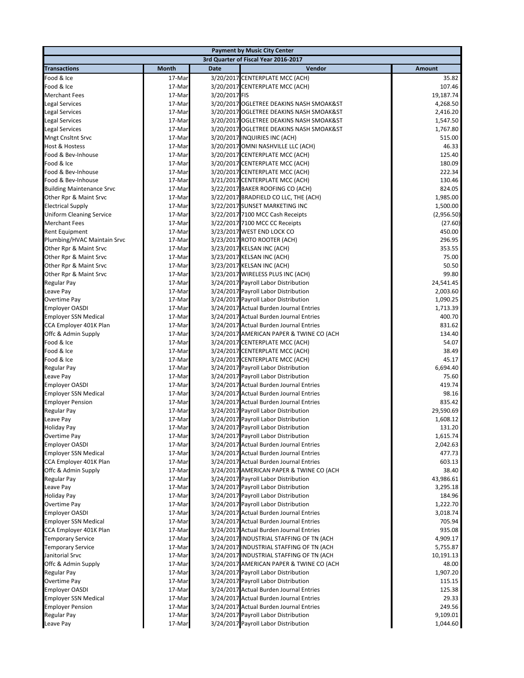|                                  |              |               | <b>Payment by Music City Center</b>      |            |
|----------------------------------|--------------|---------------|------------------------------------------|------------|
|                                  |              |               | 3rd Quarter of Fiscal Year 2016-2017     |            |
| <b>Transactions</b>              | <b>Month</b> | <b>Date</b>   | Vendor                                   | Amount     |
| Food & Ice                       | 17-Mar       |               | 3/20/2017 CENTERPLATE MCC (ACH)          | 35.82      |
| Food & Ice                       | 17-Mar       |               | 3/20/2017 CENTERPLATE MCC (ACH)          | 107.46     |
| <b>Merchant Fees</b>             | 17-Mar       | 3/20/2017 FIS |                                          | 19,187.74  |
| <b>Legal Services</b>            | 17-Mar       |               | 3/20/2017 OGLETREE DEAKINS NASH SMOAK&ST | 4,268.50   |
| <b>Legal Services</b>            | 17-Mar       |               | 3/20/2017 OGLETREE DEAKINS NASH SMOAK&ST | 2,416.20   |
| Legal Services                   | 17-Mar       |               | 3/20/2017 OGLETREE DEAKINS NASH SMOAK&ST | 1,547.50   |
| <b>Legal Services</b>            | 17-Mar       |               | 3/20/2017 OGLETREE DEAKINS NASH SMOAK&ST | 1,767.80   |
| <b>Mngt Cnsltnt Srvc</b>         | 17-Mar       |               | 3/20/2017 INQUIRIES INC (ACH)            | 515.00     |
| Host & Hostess                   | 17-Mar       |               | 3/20/2017 OMNI NASHVILLE LLC (ACH)       | 46.33      |
| Food & Bev-Inhouse               | 17-Mar       |               | 3/20/2017 CENTERPLATE MCC (ACH)          | 125.40     |
| Food & Ice                       | 17-Mar       |               | 3/20/2017 CENTERPLATE MCC (ACH)          | 180.09     |
| Food & Bev-Inhouse               | 17-Mar       |               | 3/20/2017 CENTERPLATE MCC (ACH)          | 222.34     |
| Food & Bev-Inhouse               | 17-Mar       |               | 3/21/2017 CENTERPLATE MCC (ACH)          | 130.46     |
| <b>Building Maintenance Srvc</b> | 17-Mar       |               | 3/22/2017 BAKER ROOFING CO (ACH)         | 824.05     |
| Other Rpr & Maint Srvc           | 17-Mar       |               | 3/22/2017 BRADFIELD CO LLC, THE (ACH)    | 1,985.00   |
| <b>Electrical Supply</b>         | 17-Mar       |               | 3/22/2017 SUNSET MARKETING INC           | 1,500.00   |
| <b>Uniform Cleaning Service</b>  | 17-Mar       |               | 3/22/2017 7100 MCC Cash Receipts         | (2,956.50) |
| <b>Merchant Fees</b>             | 17-Mar       |               | 3/22/2017 7100 MCC CC Receipts           | (27.60)    |
| <b>Rent Equipment</b>            | 17-Mar       |               | 3/23/2017 WEST END LOCK CO               | 450.00     |
| Plumbing/HVAC Maintain Srvc      | 17-Mar       |               | 3/23/2017 ROTO ROOTER (ACH)              | 296.95     |
| Other Rpr & Maint Srvc           | 17-Mar       |               | 3/23/2017 KELSAN INC (ACH)               | 353.55     |
| Other Rpr & Maint Srvc           | 17-Mar       |               | 3/23/2017 KELSAN INC (ACH)               | 75.00      |
| Other Rpr & Maint Srvc           | 17-Mar       |               | 3/23/2017 KELSAN INC (ACH)               | 50.50      |
| Other Rpr & Maint Srvc           | 17-Mar       |               | 3/23/2017 WIRELESS PLUS INC (ACH)        | 99.80      |
| Regular Pay                      | 17-Mar       |               | 3/24/2017 Payroll Labor Distribution     | 24,541.45  |
| Leave Pay                        | 17-Mar       |               | 3/24/2017 Payroll Labor Distribution     | 2,003.60   |
| Overtime Pay                     | 17-Mar       |               | 3/24/2017 Payroll Labor Distribution     | 1,090.25   |
| <b>Employer OASDI</b>            | 17-Mar       |               | 3/24/2017 Actual Burden Journal Entries  | 1,713.39   |
| <b>Employer SSN Medical</b>      | 17-Mar       |               | 3/24/2017 Actual Burden Journal Entries  | 400.70     |
| CCA Employer 401K Plan           | 17-Mar       |               | 3/24/2017 Actual Burden Journal Entries  | 831.62     |
| Offc & Admin Supply              | 17-Mar       |               | 3/24/2017 AMERICAN PAPER & TWINE CO (ACH | 134.40     |
| Food & Ice                       | 17-Mar       |               | 3/24/2017 CENTERPLATE MCC (ACH)          | 54.07      |
| Food & Ice                       | 17-Mar       |               | 3/24/2017 CENTERPLATE MCC (ACH)          | 38.49      |
| Food & Ice                       | 17-Mar       |               | 3/24/2017 CENTERPLATE MCC (ACH)          | 45.17      |
| Regular Pay                      | 17-Mar       |               | 3/24/2017 Payroll Labor Distribution     | 6,694.40   |
| Leave Pay                        | 17-Mar       |               | 3/24/2017 Payroll Labor Distribution     | 75.60      |
| <b>Employer OASDI</b>            | 17-Mar       |               | 3/24/2017 Actual Burden Journal Entries  | 419.74     |
| <b>Employer SSN Medical</b>      | 17-Mar       |               | 3/24/2017 Actual Burden Journal Entries  | 98.16      |
| <b>Employer Pension</b>          | 17-Mar       |               | 3/24/2017 Actual Burden Journal Entries  | 835.42     |
| Regular Pay                      | 17-Mar       |               | 3/24/2017 Payroll Labor Distribution     | 29,590.69  |
| Leave Pay                        | 17-Mar       |               | 3/24/2017 Payroll Labor Distribution     | 1,608.12   |
| Holiday Pay                      | 17-Mar       |               | 3/24/2017 Payroll Labor Distribution     | 131.20     |
| Overtime Pay                     | 17-Mar       |               | 3/24/2017 Payroll Labor Distribution     | 1,615.74   |
| <b>Employer OASDI</b>            | 17-Mar       |               | 3/24/2017 Actual Burden Journal Entries  | 2,042.63   |
| <b>Employer SSN Medical</b>      | 17-Mar       |               | 3/24/2017 Actual Burden Journal Entries  | 477.73     |
| CCA Employer 401K Plan           | 17-Mar       |               | 3/24/2017 Actual Burden Journal Entries  | 603.13     |
| Offc & Admin Supply              | 17-Mar       |               | 3/24/2017 AMERICAN PAPER & TWINE CO (ACH | 38.40      |
| Regular Pay                      | 17-Mar       |               | 3/24/2017 Payroll Labor Distribution     | 43,986.61  |
| Leave Pay                        | 17-Mar       |               | 3/24/2017 Payroll Labor Distribution     | 3,295.18   |
| Holiday Pay                      | 17-Mar       |               | 3/24/2017 Payroll Labor Distribution     | 184.96     |
| Overtime Pay                     | 17-Mar       |               | 3/24/2017 Payroll Labor Distribution     | 1,222.70   |
| <b>Employer OASDI</b>            | 17-Mar       |               | 3/24/2017 Actual Burden Journal Entries  | 3,018.74   |
| <b>Employer SSN Medical</b>      | 17-Mar       |               | 3/24/2017 Actual Burden Journal Entries  | 705.94     |
| CCA Employer 401K Plan           | 17-Mar       |               | 3/24/2017 Actual Burden Journal Entries  | 935.08     |
| <b>Temporary Service</b>         | 17-Mar       |               | 3/24/2017 INDUSTRIAL STAFFING OF TN (ACH | 4,909.17   |
| <b>Temporary Service</b>         | 17-Mar       |               | 3/24/2017 INDUSTRIAL STAFFING OF TN (ACH | 5,755.87   |
| Janitorial Srvc                  | 17-Mar       |               | 3/24/2017 INDUSTRIAL STAFFING OF TN (ACH | 10,191.13  |
| Offc & Admin Supply              | 17-Mar       |               | 3/24/2017 AMERICAN PAPER & TWINE CO (ACH | 48.00      |
| Regular Pay                      | 17-Mar       |               | 3/24/2017 Payroll Labor Distribution     | 1,907.20   |
| Overtime Pay                     | 17-Mar       |               | 3/24/2017 Payroll Labor Distribution     | 115.15     |
| <b>Employer OASDI</b>            | 17-Mar       |               | 3/24/2017 Actual Burden Journal Entries  | 125.38     |
| <b>Employer SSN Medical</b>      | 17-Mar       |               | 3/24/2017 Actual Burden Journal Entries  | 29.33      |
| <b>Employer Pension</b>          | 17-Mar       |               | 3/24/2017 Actual Burden Journal Entries  | 249.56     |
| Regular Pay                      | 17-Mar       |               | 3/24/2017 Payroll Labor Distribution     | 9,109.01   |
| Leave Pay                        | 17-Mar       |               | 3/24/2017 Payroll Labor Distribution     | 1,044.60   |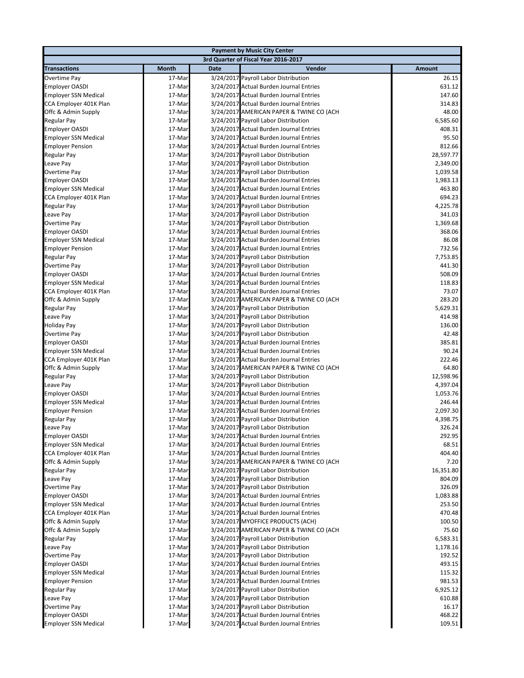|                                                      |                  |             | <b>Payment by Music City Center</b>                                                |                      |
|------------------------------------------------------|------------------|-------------|------------------------------------------------------------------------------------|----------------------|
|                                                      |                  |             | 3rd Quarter of Fiscal Year 2016-2017                                               |                      |
| <b>Transactions</b>                                  | Month            | <b>Date</b> | Vendor                                                                             | <b>Amount</b>        |
| Overtime Pay                                         | 17-Mar           |             | 3/24/2017 Payroll Labor Distribution                                               | 26.15                |
| <b>Employer OASDI</b>                                | 17-Mar           |             | 3/24/2017 Actual Burden Journal Entries                                            | 631.12               |
| <b>Employer SSN Medical</b>                          | 17-Mar           |             | 3/24/2017 Actual Burden Journal Entries                                            | 147.60               |
| CCA Employer 401K Plan                               | 17-Mar           |             | 3/24/2017 Actual Burden Journal Entries                                            | 314.83               |
| Offc & Admin Supply                                  | 17-Mar           |             | 3/24/2017 AMERICAN PAPER & TWINE CO (ACH                                           | 48.00                |
| Regular Pay                                          | 17-Mar           |             | 3/24/2017 Payroll Labor Distribution                                               | 6,585.60             |
| <b>Employer OASDI</b>                                | 17-Mar           |             | 3/24/2017 Actual Burden Journal Entries                                            | 408.31               |
| <b>Employer SSN Medical</b>                          | 17-Mar           |             | 3/24/2017 Actual Burden Journal Entries                                            | 95.50                |
| <b>Employer Pension</b>                              | 17-Mar           |             | 3/24/2017 Actual Burden Journal Entries                                            | 812.66               |
| Regular Pay                                          | 17-Mar           |             | 3/24/2017 Payroll Labor Distribution                                               | 28,597.77            |
| Leave Pay                                            | 17-Mar           |             | 3/24/2017 Payroll Labor Distribution                                               | 2,349.00             |
| Overtime Pay                                         | 17-Mar           |             | 3/24/2017 Payroll Labor Distribution                                               | 1,039.58             |
| <b>Employer OASDI</b><br><b>Employer SSN Medical</b> | 17-Mar<br>17-Mar |             | 3/24/2017 Actual Burden Journal Entries<br>3/24/2017 Actual Burden Journal Entries | 1,983.13<br>463.80   |
| CCA Employer 401K Plan                               | 17-Mar           |             | 3/24/2017 Actual Burden Journal Entries                                            | 694.23               |
| Regular Pay                                          | 17-Mar           |             | 3/24/2017 Payroll Labor Distribution                                               | 4,225.78             |
| Leave Pay                                            | 17-Mar           |             | 3/24/2017 Payroll Labor Distribution                                               | 341.03               |
| Overtime Pay                                         | 17-Mar           |             | 3/24/2017 Payroll Labor Distribution                                               | 1,369.68             |
| <b>Employer OASDI</b>                                | 17-Mar           |             | 3/24/2017 Actual Burden Journal Entries                                            | 368.06               |
| <b>Employer SSN Medical</b>                          | 17-Mar           |             | 3/24/2017 Actual Burden Journal Entries                                            | 86.08                |
| <b>Employer Pension</b>                              | 17-Mar           |             | 3/24/2017 Actual Burden Journal Entries                                            | 732.56               |
| Regular Pay                                          | 17-Mar           |             | 3/24/2017 Payroll Labor Distribution                                               | 7,753.85             |
| Overtime Pay                                         | 17-Mar           |             | 3/24/2017 Payroll Labor Distribution                                               | 441.30               |
| <b>Employer OASDI</b>                                | 17-Mar           |             | 3/24/2017 Actual Burden Journal Entries                                            | 508.09               |
| <b>Employer SSN Medical</b>                          | 17-Mar           |             | 3/24/2017 Actual Burden Journal Entries                                            | 118.83               |
| CCA Employer 401K Plan                               | 17-Mar           |             | 3/24/2017 Actual Burden Journal Entries                                            | 73.07                |
| Offc & Admin Supply                                  | 17-Mar           |             | 3/24/2017 AMERICAN PAPER & TWINE CO (ACH                                           | 283.20               |
| Regular Pay                                          | 17-Mar           |             | 3/24/2017 Payroll Labor Distribution                                               | 5,629.31             |
| Leave Pay                                            | 17-Mar           |             | 3/24/2017 Payroll Labor Distribution                                               | 414.98               |
| <b>Holiday Pay</b>                                   | 17-Mar           |             | 3/24/2017 Payroll Labor Distribution                                               | 136.00               |
| Overtime Pay                                         | 17-Mar           |             | 3/24/2017 Payroll Labor Distribution                                               | 42.48                |
| <b>Employer OASDI</b>                                | 17-Mar           |             | 3/24/2017 Actual Burden Journal Entries                                            | 385.81               |
| <b>Employer SSN Medical</b>                          | 17-Mar           |             | 3/24/2017 Actual Burden Journal Entries                                            | 90.24                |
| CCA Employer 401K Plan                               | 17-Mar<br>17-Mar |             | 3/24/2017 Actual Burden Journal Entries                                            | 222.46<br>64.80      |
| Offc & Admin Supply<br>Regular Pay                   | 17-Mar           |             | 3/24/2017 AMERICAN PAPER & TWINE CO (ACH<br>3/24/2017 Payroll Labor Distribution   | 12,598.96            |
| Leave Pay                                            | 17-Mar           |             | 3/24/2017 Payroll Labor Distribution                                               | 4,397.04             |
| <b>Employer OASDI</b>                                | 17-Mar           |             | 3/24/2017 Actual Burden Journal Entries                                            | 1,053.76             |
| <b>Employer SSN Medical</b>                          | 17-Mar           |             | 3/24/2017 Actual Burden Journal Entries                                            | 246.44               |
| <b>Employer Pension</b>                              | 17-Mar           |             | 3/24/2017 Actual Burden Journal Entries                                            | 2,097.30             |
| Regular Pay                                          | 17-Mar           |             | 3/24/2017 Payroll Labor Distribution                                               | 4,398.75             |
| Leave Pay                                            | 17-Mar           |             | 3/24/2017 Payroll Labor Distribution                                               | 326.24               |
| <b>Employer OASDI</b>                                | 17-Mar           |             | 3/24/2017 Actual Burden Journal Entries                                            | 292.95               |
| <b>Employer SSN Medical</b>                          | 17-Mar           |             | 3/24/2017 Actual Burden Journal Entries                                            | 68.51                |
| CCA Employer 401K Plan                               | 17-Mar           |             | 3/24/2017 Actual Burden Journal Entries                                            | 404.40               |
| Offc & Admin Supply                                  | 17-Mar           |             | 3/24/2017 AMERICAN PAPER & TWINE CO (ACH                                           | 7.20                 |
| <b>Regular Pay</b>                                   | 17-Mar           |             | 3/24/2017 Payroll Labor Distribution                                               | 16,351.80            |
| Leave Pay                                            | 17-Mar           |             | 3/24/2017 Payroll Labor Distribution                                               | 804.09               |
| Overtime Pay                                         | 17-Mar           |             | 3/24/2017 Payroll Labor Distribution                                               | 326.09               |
| <b>Employer OASDI</b>                                | 17-Mar           |             | 3/24/2017 Actual Burden Journal Entries                                            | 1,083.88             |
| <b>Employer SSN Medical</b>                          | 17-Mar           |             | 3/24/2017 Actual Burden Journal Entries                                            | 253.50               |
| CCA Employer 401K Plan                               | 17-Mar           |             | 3/24/2017 Actual Burden Journal Entries                                            | 470.48               |
| Offc & Admin Supply                                  | 17-Mar           |             | 3/24/2017 MYOFFICE PRODUCTS (ACH)                                                  | 100.50               |
| Offc & Admin Supply                                  | 17-Mar           |             | 3/24/2017 AMERICAN PAPER & TWINE CO (ACH                                           | 75.60                |
| Regular Pay<br>Leave Pay                             | 17-Mar<br>17-Mar |             | 3/24/2017 Payroll Labor Distribution<br>3/24/2017 Payroll Labor Distribution       | 6,583.31<br>1,178.16 |
| Overtime Pay                                         | 17-Mar           |             | 3/24/2017 Payroll Labor Distribution                                               | 192.52               |
| <b>Employer OASDI</b>                                | 17-Mar           |             | 3/24/2017 Actual Burden Journal Entries                                            | 493.15               |
| <b>Employer SSN Medical</b>                          | 17-Mar           |             | 3/24/2017 Actual Burden Journal Entries                                            | 115.32               |
| <b>Employer Pension</b>                              | 17-Mar           |             | 3/24/2017 Actual Burden Journal Entries                                            | 981.53               |
| Regular Pay                                          | 17-Mar           |             | 3/24/2017 Payroll Labor Distribution                                               | 6,925.12             |
| Leave Pay                                            | 17-Mar           |             | 3/24/2017 Payroll Labor Distribution                                               | 610.88               |
| Overtime Pay                                         | 17-Mar           |             | 3/24/2017 Payroll Labor Distribution                                               | 16.17                |
| <b>Employer OASDI</b>                                | 17-Mar           |             | 3/24/2017 Actual Burden Journal Entries                                            | 468.22               |
| <b>Employer SSN Medical</b>                          | 17-Mar           |             | 3/24/2017 Actual Burden Journal Entries                                            | 109.51               |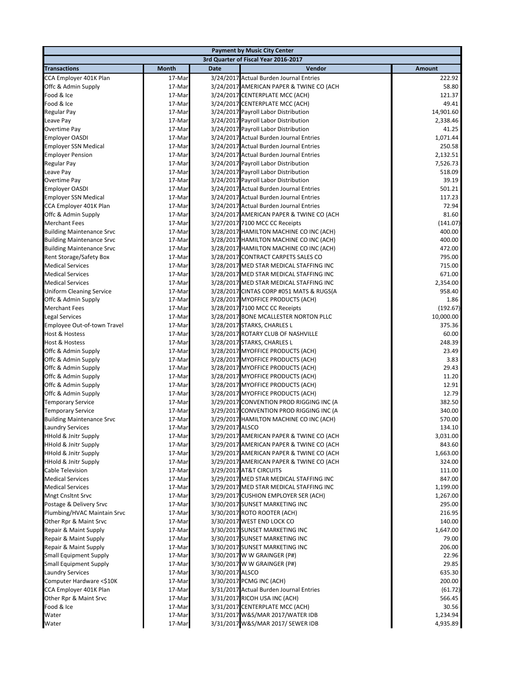| <b>Payment by Music City Center</b>                |                  |                 |                                                                                |                    |
|----------------------------------------------------|------------------|-----------------|--------------------------------------------------------------------------------|--------------------|
|                                                    |                  |                 | 3rd Quarter of Fiscal Year 2016-2017                                           |                    |
| <b>Transactions</b>                                | <b>Month</b>     | <b>Date</b>     | Vendor                                                                         | <b>Amount</b>      |
| CCA Employer 401K Plan                             | 17-Mar           |                 | 3/24/2017 Actual Burden Journal Entries                                        | 222.92             |
| Offc & Admin Supply                                | 17-Mar           |                 | 3/24/2017 AMERICAN PAPER & TWINE CO (ACH                                       | 58.80              |
| Food & Ice                                         | 17-Mar           |                 | 3/24/2017 CENTERPLATE MCC (ACH)                                                | 121.37             |
| Food & Ice                                         | 17-Mar           |                 | 3/24/2017 CENTERPLATE MCC (ACH)                                                | 49.41              |
| Regular Pay                                        | 17-Mar           |                 | 3/24/2017 Payroll Labor Distribution                                           | 14,901.60          |
| Leave Pay                                          | 17-Mar           |                 | 3/24/2017 Payroll Labor Distribution                                           | 2,338.46           |
| Overtime Pay                                       | 17-Mar           |                 | 3/24/2017 Payroll Labor Distribution                                           | 41.25              |
| <b>Employer OASDI</b>                              | 17-Mar           |                 | 3/24/2017 Actual Burden Journal Entries                                        | 1,071.44           |
| <b>Employer SSN Medical</b>                        | 17-Mar           |                 | 3/24/2017 Actual Burden Journal Entries                                        | 250.58             |
| <b>Employer Pension</b>                            | 17-Mar           |                 | 3/24/2017 Actual Burden Journal Entries                                        | 2,132.51           |
| Regular Pay                                        | 17-Mar           |                 | 3/24/2017 Payroll Labor Distribution                                           | 7,526.73           |
| Leave Pay                                          | 17-Mar           |                 | 3/24/2017 Payroll Labor Distribution                                           | 518.09             |
| Overtime Pay                                       | 17-Mar           |                 | 3/24/2017 Payroll Labor Distribution                                           | 39.19              |
| <b>Employer OASDI</b>                              | 17-Mar           |                 | 3/24/2017 Actual Burden Journal Entries                                        | 501.21             |
| <b>Employer SSN Medical</b>                        | 17-Mar           |                 | 3/24/2017 Actual Burden Journal Entries                                        | 117.23             |
| CCA Employer 401K Plan                             | 17-Mar           |                 | 3/24/2017 Actual Burden Journal Entries                                        | 72.94              |
| Offc & Admin Supply                                | 17-Mar           |                 | 3/24/2017 AMERICAN PAPER & TWINE CO (ACH                                       | 81.60              |
| <b>Merchant Fees</b>                               | 17-Mar           |                 | 3/27/2017 7100 MCC CC Receipts<br>3/28/2017 HAMILTON MACHINE CO INC (ACH)      | (141.07)<br>400.00 |
| <b>Building Maintenance Srvc</b>                   | 17-Mar           |                 |                                                                                | 400.00             |
| <b>Building Maintenance Srvc</b>                   | 17-Mar<br>17-Mar |                 | 3/28/2017 HAMILTON MACHINE CO INC (ACH)                                        | 472.00             |
| <b>Building Maintenance Srvc</b>                   |                  |                 | 3/28/2017 HAMILTON MACHINE CO INC (ACH)<br>3/28/2017 CONTRACT CARPETS SALES CO | 795.00             |
| Rent Storage/Safety Box<br><b>Medical Services</b> | 17-Mar<br>17-Mar |                 | 3/28/2017 MED STAR MEDICAL STAFFING INC                                        | 715.00             |
| <b>Medical Services</b>                            | 17-Mar           |                 | 3/28/2017 MED STAR MEDICAL STAFFING INC                                        | 671.00             |
| <b>Medical Services</b>                            | 17-Mar           |                 | 3/28/2017 MED STAR MEDICAL STAFFING INC                                        | 2,354.00           |
| <b>Uniform Cleaning Service</b>                    | 17-Mar           |                 | 3/28/2017 CINTAS CORP #051 MATS & RUGS(A                                       | 958.40             |
| Offc & Admin Supply                                | 17-Mar           |                 | 3/28/2017 MYOFFICE PRODUCTS (ACH)                                              | 1.86               |
| <b>Merchant Fees</b>                               | 17-Mar           |                 | 3/28/2017 7100 MCC CC Receipts                                                 | (192.67)           |
| <b>Legal Services</b>                              | 17-Mar           |                 | 3/28/2017 BONE MCALLESTER NORTON PLLC                                          | 10,000.00          |
| Employee Out-of-town Travel                        | 17-Mar           |                 | 3/28/2017 STARKS, CHARLES L                                                    | 375.36             |
| Host & Hostess                                     | 17-Mar           |                 | 3/28/2017 ROTARY CLUB OF NASHVILLE                                             | 60.00              |
| Host & Hostess                                     | 17-Mar           |                 | 3/28/2017 STARKS, CHARLES L                                                    | 248.39             |
| Offc & Admin Supply                                | 17-Mar           |                 | 3/28/2017 MYOFFICE PRODUCTS (ACH)                                              | 23.49              |
| Offc & Admin Supply                                | 17-Mar           |                 | 3/28/2017 MYOFFICE PRODUCTS (ACH)                                              | 3.83               |
| Offc & Admin Supply                                | 17-Mar           |                 | 3/28/2017 MYOFFICE PRODUCTS (ACH)                                              | 29.43              |
| Offc & Admin Supply                                | 17-Mar           |                 | 3/28/2017 MYOFFICE PRODUCTS (ACH)                                              | 11.20              |
| Offc & Admin Supply                                | 17-Mar           |                 | 3/28/2017 MYOFFICE PRODUCTS (ACH)                                              | 12.91              |
| Offc & Admin Supply                                | 17-Mar           |                 | 3/28/2017 MYOFFICE PRODUCTS (ACH)                                              | 12.79              |
| <b>Temporary Service</b>                           | 17-Mar           |                 | 3/29/2017 CONVENTION PROD RIGGING INC (A                                       | 382.50             |
| <b>Temporary Service</b>                           | 17-Mar           |                 | 3/29/2017 CONVENTION PROD RIGGING INC (A                                       | 340.00             |
| <b>Building Maintenance Srvc</b>                   | 17-Mar           |                 | 3/29/2017 HAMILTON MACHINE CO INC (ACH)                                        | 570.00             |
| <b>Laundry Services</b>                            | 17-Mar           | 3/29/2017 ALSCO |                                                                                | 134.10             |
| <b>HHold &amp; Jnitr Supply</b>                    | 17-Mar           |                 | 3/29/2017 AMERICAN PAPER & TWINE CO (ACH                                       | 3,031.00           |
| <b>HHold &amp; Jnitr Supply</b>                    | 17-Mar           |                 | 3/29/2017 AMERICAN PAPER & TWINE CO (ACH                                       | 843.60             |
| <b>HHold &amp; Jnitr Supply</b>                    | 17-Mar           |                 | 3/29/2017 AMERICAN PAPER & TWINE CO (ACH                                       | 1,663.00           |
| <b>HHold &amp; Jnitr Supply</b>                    | 17-Mar           |                 | 3/29/2017 AMERICAN PAPER & TWINE CO (ACH                                       | 324.00             |
| Cable Television                                   | 17-Mar           |                 | 3/29/2017 AT&T CIRCUITS                                                        | 111.00             |
| <b>Medical Services</b>                            | 17-Mar           |                 | 3/29/2017 MED STAR MEDICAL STAFFING INC                                        | 847.00             |
| <b>Medical Services</b>                            | 17-Mar           |                 | 3/29/2017 MED STAR MEDICAL STAFFING INC                                        | 1,199.00           |
| <b>Mngt Cnsltnt Srvc</b>                           | 17-Mar           |                 | 3/29/2017 CUSHION EMPLOYER SER (ACH)                                           | 1,267.00           |
| Postage & Delivery Srvc                            | 17-Mar           |                 | 3/30/2017 SUNSET MARKETING INC                                                 | 295.00             |
| Plumbing/HVAC Maintain Srvc                        | 17-Mar           |                 | 3/30/2017 ROTO ROOTER (ACH)                                                    | 216.95             |
| Other Rpr & Maint Srvc                             | 17-Mar           |                 | 3/30/2017 WEST END LOCK CO                                                     | 140.00             |
| Repair & Maint Supply                              | 17-Mar           |                 | 3/30/2017 SUNSET MARKETING INC                                                 | 1,647.00<br>79.00  |
| Repair & Maint Supply<br>Repair & Maint Supply     | 17-Mar           |                 | 3/30/2017 SUNSET MARKETING INC<br>3/30/2017 SUNSET MARKETING INC               | 206.00             |
| <b>Small Equipment Supply</b>                      | 17-Mar<br>17-Mar |                 | 3/30/2017 W W GRAINGER (P#)                                                    | 22.96              |
| <b>Small Equipment Supply</b>                      | 17-Mar           |                 | 3/30/2017 W W GRAINGER (P#)                                                    | 29.85              |
| <b>Laundry Services</b>                            | 17-Mar           | 3/30/2017 ALSCO |                                                                                | 635.30             |
| Computer Hardware <\$10K                           | 17-Mar           |                 | 3/30/2017 PCMG INC (ACH)                                                       | 200.00             |
| CCA Employer 401K Plan                             | 17-Mar           |                 | 3/31/2017 Actual Burden Journal Entries                                        | (61.72)            |
| Other Rpr & Maint Srvc                             | 17-Mar           |                 | 3/31/2017 RICOH USA INC (ACH)                                                  | 566.45             |
| Food & Ice                                         | 17-Mar           |                 | 3/31/2017 CENTERPLATE MCC (ACH)                                                | 30.56              |
| Water                                              | 17-Mar           |                 | 3/31/2017 W&S/MAR 2017/WATER IDB                                               | 1,234.94           |
| Water                                              | 17-Mar           |                 | 3/31/2017 W&S/MAR 2017/ SEWER IDB                                              | 4,935.89           |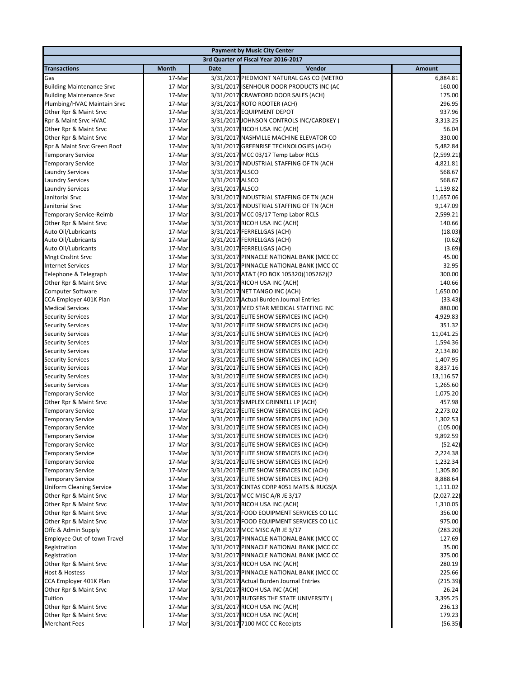|                                                           |                  |                 | <b>Payment by Music City Center</b>                                                |                    |
|-----------------------------------------------------------|------------------|-----------------|------------------------------------------------------------------------------------|--------------------|
|                                                           |                  |                 | 3rd Quarter of Fiscal Year 2016-2017                                               |                    |
| <b>Transactions</b>                                       | <b>Month</b>     | Date            | Vendor                                                                             | <b>Amount</b>      |
| Gas                                                       | 17-Mar           |                 | 3/31/2017 PIEDMONT NATURAL GAS CO (METRO                                           | 6,884.81           |
| Building Maintenance Srvc                                 | 17-Mar           |                 | 3/31/2017 ISENHOUR DOOR PRODUCTS INC (AC                                           | 160.00             |
| <b>Building Maintenance Srvc</b>                          | 17-Mar           |                 | 3/31/2017 CRAWFORD DOOR SALES (ACH)                                                | 175.00             |
| Plumbing/HVAC Maintain Srvc                               | 17-Mar           |                 | 3/31/2017 ROTO ROOTER (ACH)                                                        | 296.95             |
| Other Rpr & Maint Srvc                                    | 17-Mar           |                 | 3/31/2017 EQUIPMENT DEPOT                                                          | 937.96             |
| Rpr & Maint Srvc HVAC                                     | 17-Mar           |                 | 3/31/2017 JOHNSON CONTROLS INC/CARDKEY (                                           | 3,313.25           |
| Other Rpr & Maint Srvc                                    | 17-Mar           |                 | 3/31/2017 RICOH USA INC (ACH)                                                      | 56.04              |
| Other Rpr & Maint Srvc                                    | 17-Mar           |                 | 3/31/2017 NASHVILLE MACHINE ELEVATOR CO                                            | 330.00             |
| Rpr & Maint Srvc Green Roof                               | 17-Mar           |                 | 3/31/2017 GREENRISE TECHNOLOGIES (ACH)                                             | 5,482.84           |
| <b>Temporary Service</b>                                  | 17-Mar           |                 | 3/31/2017 MCC 03/17 Temp Labor RCLS                                                | (2,599.21)         |
| <b>Temporary Service</b>                                  | 17-Mar           |                 | 3/31/2017 INDUSTRIAL STAFFING OF TN (ACH                                           | 4,821.81           |
| <b>Laundry Services</b>                                   | 17-Mar           | 3/31/2017 ALSCO |                                                                                    | 568.67             |
| <b>Laundry Services</b>                                   | 17-Mar           | 3/31/2017 ALSCO |                                                                                    | 568.67             |
| <b>Laundry Services</b>                                   | 17-Mar           | 3/31/2017 ALSCO |                                                                                    | 1,139.82           |
| Janitorial Srvc                                           | 17-Mar           |                 | 3/31/2017 INDUSTRIAL STAFFING OF TN (ACH                                           | 11,657.06          |
| Janitorial Srvc                                           | 17-Mar           |                 | 3/31/2017 INDUSTRIAL STAFFING OF TN (ACH                                           | 9,147.09           |
| Temporary Service-Reimb                                   | 17-Mar           |                 | 3/31/2017 MCC 03/17 Temp Labor RCLS                                                | 2,599.21           |
| Other Rpr & Maint Srvc                                    | 17-Mar           |                 | 3/31/2017 RICOH USA INC (ACH)                                                      | 140.66             |
| Auto Oil/Lubricants                                       | 17-Mar           |                 | 3/31/2017 FERRELLGAS (ACH)                                                         | (18.03)            |
| Auto Oil/Lubricants                                       | 17-Mar           |                 | 3/31/2017 FERRELLGAS (ACH)                                                         | (0.62)             |
| Auto Oil/Lubricants                                       | 17-Mar           |                 | 3/31/2017 FERRELLGAS (ACH)                                                         | (3.69)             |
| <b>Mngt Cnsltnt Srvc</b>                                  | 17-Mar           |                 | 3/31/2017 PINNACLE NATIONAL BANK (MCC CC                                           | 45.00              |
| <b>Internet Services</b>                                  | 17-Mar           |                 | 3/31/2017 PINNACLE NATIONAL BANK (MCC CC                                           | 32.95              |
| Telephone & Telegraph                                     | 17-Mar           |                 | 3/31/2017 AT&T (PO BOX 105320)(105262)(7                                           | 300.00             |
| Other Rpr & Maint Srvc                                    | 17-Mar           |                 | 3/31/2017 RICOH USA INC (ACH)                                                      | 140.66             |
| <b>Computer Software</b>                                  | 17-Mar           |                 | 3/31/2017 NET TANGO INC (ACH)                                                      | 1,650.00           |
| CCA Employer 401K Plan                                    | 17-Mar           |                 | 3/31/2017 Actual Burden Journal Entries                                            | (33.43)            |
| <b>Medical Services</b>                                   | 17-Mar           |                 | 3/31/2017 MED STAR MEDICAL STAFFING INC                                            | 880.00             |
| <b>Security Services</b>                                  | 17-Mar           |                 | 3/31/2017 ELITE SHOW SERVICES INC (ACH)                                            | 4,929.83           |
| <b>Security Services</b>                                  | 17-Mar           |                 | 3/31/2017 ELITE SHOW SERVICES INC (ACH)                                            | 351.32             |
| <b>Security Services</b>                                  | 17-Mar           |                 | 3/31/2017 ELITE SHOW SERVICES INC (ACH)                                            | 11,041.25          |
| <b>Security Services</b>                                  | 17-Mar           |                 | 3/31/2017 ELITE SHOW SERVICES INC (ACH)                                            | 1,594.36           |
| <b>Security Services</b>                                  | 17-Mar           |                 | 3/31/2017 ELITE SHOW SERVICES INC (ACH)                                            | 2,134.80           |
| <b>Security Services</b>                                  | 17-Mar           |                 | 3/31/2017 ELITE SHOW SERVICES INC (ACH)                                            | 1,407.95           |
| <b>Security Services</b>                                  | 17-Mar           |                 | 3/31/2017 ELITE SHOW SERVICES INC (ACH)                                            | 8,837.16           |
| <b>Security Services</b>                                  | 17-Mar           |                 | 3/31/2017 ELITE SHOW SERVICES INC (ACH)                                            | 13,116.57          |
| <b>Security Services</b>                                  | 17-Mar           |                 | 3/31/2017 ELITE SHOW SERVICES INC (ACH)                                            | 1,265.60           |
| <b>Temporary Service</b>                                  | 17-Mar           |                 | 3/31/2017 ELITE SHOW SERVICES INC (ACH)                                            | 1,075.20           |
| Other Rpr & Maint Srvc                                    | 17-Mar           |                 | 3/31/2017 SIMPLEX GRINNELL LP (ACH)                                                | 457.98             |
| <b>Temporary Service</b>                                  | 17-Mar           |                 | 3/31/2017 ELITE SHOW SERVICES INC (ACH)                                            | 2,273.02           |
| <b>Temporary Service</b>                                  | 17-Mar           |                 | 3/31/2017 ELITE SHOW SERVICES INC (ACH)                                            | 1,302.53           |
| <b>Temporary Service</b>                                  | 17-Mar           |                 | 3/31/2017 ELITE SHOW SERVICES INC (ACH)                                            | (105.00)           |
| <b>Temporary Service</b>                                  | 17-Mar           |                 | 3/31/2017 ELITE SHOW SERVICES INC (ACH)                                            | 9,892.59           |
| <b>Temporary Service</b>                                  | 17-Mar           |                 | 3/31/2017 ELITE SHOW SERVICES INC (ACH)                                            | (52.42)            |
| <b>Temporary Service</b>                                  | 17-Mar           |                 | 3/31/2017 ELITE SHOW SERVICES INC (ACH)                                            | 2,224.38           |
| <b>Temporary Service</b>                                  | 17-Mar           |                 | 3/31/2017 ELITE SHOW SERVICES INC (ACH)                                            | 1,232.34           |
| <b>Temporary Service</b>                                  | 17-Mar           |                 | 3/31/2017 ELITE SHOW SERVICES INC (ACH)<br>3/31/2017 ELITE SHOW SERVICES INC (ACH) | 1,305.80           |
| <b>Temporary Service</b>                                  | 17-Mar           |                 |                                                                                    | 8,888.64           |
| <b>Uniform Cleaning Service</b><br>Other Rpr & Maint Srvc | 17-Mar           |                 | 3/31/2017 CINTAS CORP #051 MATS & RUGS(A                                           | 1,111.02           |
|                                                           | 17-Mar           |                 | 3/31/2017 MCC MISC A/R JE 3/17                                                     | (2,027.22)         |
| Other Rpr & Maint Srvc<br>Other Rpr & Maint Srvc          | 17-Mar<br>17-Mar |                 | 3/31/2017 RICOH USA INC (ACH)<br>3/31/2017 FOOD EQUIPMENT SERVICES CO LLC          | 1,310.05<br>356.00 |
| Other Rpr & Maint Srvc                                    | 17-Mar           |                 | 3/31/2017 FOOD EQUIPMENT SERVICES CO LLC                                           | 975.00             |
| Offc & Admin Supply                                       | 17-Mar           |                 | 3/31/2017 MCC MISC A/R JE 3/17                                                     | (283.20)           |
| Employee Out-of-town Travel                               | 17-Mar           |                 | 3/31/2017 PINNACLE NATIONAL BANK (MCC CC                                           | 127.69             |
| Registration                                              |                  |                 | 3/31/2017 PINNACLE NATIONAL BANK (MCC CC                                           | 35.00              |
| Registration                                              | 17-Mar<br>17-Mar |                 | 3/31/2017 PINNACLE NATIONAL BANK (MCC CC                                           | 375.00             |
| Other Rpr & Maint Srvc                                    | 17-Mar           |                 | 3/31/2017 RICOH USA INC (ACH)                                                      | 280.19             |
| Host & Hostess                                            | 17-Mar           |                 | 3/31/2017 PINNACLE NATIONAL BANK (MCC CC                                           | 225.66             |
| CCA Employer 401K Plan                                    | 17-Mar           |                 | 3/31/2017 Actual Burden Journal Entries                                            | (215.39)           |
| Other Rpr & Maint Srvc                                    | 17-Mar           |                 | 3/31/2017 RICOH USA INC (ACH)                                                      | 26.24              |
| Tuition                                                   | 17-Mar           |                 | 3/31/2017 RUTGERS THE STATE UNIVERSITY (                                           | 3,395.25           |
| Other Rpr & Maint Srvc                                    | 17-Mar           |                 | 3/31/2017 RICOH USA INC (ACH)                                                      | 236.13             |
| Other Rpr & Maint Srvc                                    | 17-Mar           |                 | 3/31/2017 RICOH USA INC (ACH)                                                      | 179.23             |
| <b>Merchant Fees</b>                                      | 17-Mar           |                 | 3/31/2017 7100 MCC CC Receipts                                                     | (56.35)            |
|                                                           |                  |                 |                                                                                    |                    |